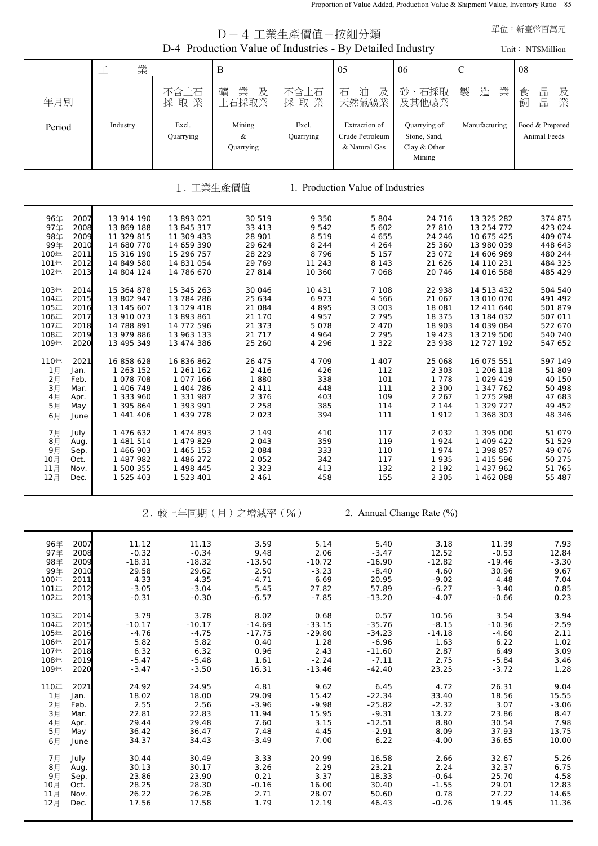Proportion of Value Added, Production Value & Shipment Value, Inventory Ratio 85

|                                                                                                              |                                                                                                |                                                                                                | 單位:新臺幣百萬元                                                           |                                                                          |                                                                            |                                                                    |                                                                                                |                                                                           |  |
|--------------------------------------------------------------------------------------------------------------|------------------------------------------------------------------------------------------------|------------------------------------------------------------------------------------------------|---------------------------------------------------------------------|--------------------------------------------------------------------------|----------------------------------------------------------------------------|--------------------------------------------------------------------|------------------------------------------------------------------------------------------------|---------------------------------------------------------------------------|--|
|                                                                                                              |                                                                                                |                                                                                                | D-4 Production Value of Industries - By Detailed Industry           | D-4 工業生產價值-按細分類                                                          |                                                                            |                                                                    |                                                                                                | Unit: NT\$Million                                                         |  |
|                                                                                                              | 業<br>工                                                                                         |                                                                                                | B                                                                   |                                                                          | 05                                                                         | 06                                                                 | ${\bf C}$                                                                                      | 08                                                                        |  |
| 年月別                                                                                                          |                                                                                                | 不含土石<br>採取業                                                                                    | 業<br>及<br>礦<br>土石採取業                                                | 不含土石<br>採取業                                                              | 油<br>石<br>及<br>天然氣礦業                                                       | 砂、石採取<br>及其他礦業                                                     | 製<br>造<br>業                                                                                    | 品<br>及業<br>食<br>品<br>飼                                                    |  |
| Period                                                                                                       | Industry                                                                                       | Excl.<br>Quarrying                                                                             | Mining<br>$\&$<br>Quarrying                                         | Excl.<br>Quarrying                                                       | Extraction of<br>Crude Petroleum<br>& Natural Gas                          | Quarrying of<br>Stone, Sand,<br>Clay & Other<br>Mining             | Manufacturing                                                                                  | Food & Prepared<br>Animal Feeds                                           |  |
| 1. 工業生產價值<br>1. Production Value of Industries                                                               |                                                                                                |                                                                                                |                                                                     |                                                                          |                                                                            |                                                                    |                                                                                                |                                                                           |  |
| 96年<br>2007<br>97年<br>2008<br>98年<br>2009<br>99年<br>2010<br>2011<br>100年<br>101年<br>2012<br>102年<br>2013     | 13 914 190<br>13 869 188<br>11 329 815<br>14 680 770<br>15 316 190<br>14 849 580<br>14 804 124 | 13 893 021<br>13 845 317<br>11 309 433<br>14 659 390<br>15 296 757<br>14 831 054<br>14 786 670 | 30 519<br>33 413<br>28 901<br>29 624<br>28 2 29<br>29 769<br>27 814 | 9 3 5 0<br>9542<br>8519<br>8 2 4 4<br>8796<br>11 243<br>10 360           | 5 804<br>5 602<br>4 655<br>4 264<br>5 1 5 7<br>8 1 4 3<br>7 0 6 8          | 24 716<br>27 810<br>24 246<br>25 360<br>23 072<br>21 626<br>20 746 | 13 325 282<br>13 254 772<br>10 675 425<br>13 980 039<br>14 606 969<br>14 110 231<br>14 016 588 | 374 875<br>423 024<br>409 074<br>448 643<br>480 244<br>484 325<br>485 429 |  |
| 103年<br>2014<br>104年<br>2015<br>105年<br>2016<br>2017<br>106年<br>107年<br>2018<br>2019<br>108年<br>109年<br>2020 | 15 364 878<br>13 802 947<br>13 145 607<br>13 910 073<br>14 788 891<br>13 979 886<br>13 495 349 | 15 345 263<br>13 784 286<br>13 129 418<br>13 893 861<br>14 772 596<br>13 963 133<br>13 474 386 | 30 046<br>25 634<br>21 084<br>21 170<br>21 373<br>21 717<br>25 260  | 10 431<br>6 9 7 3<br>4 8 9 5<br>4 9 5 7<br>5 0 7 8<br>4 9 6 4<br>4 2 9 6 | 7 108<br>4 566<br>3 0 0 3<br>2795<br>2 4 7 0<br>2 2 9 5<br>1 3 2 2         | 22 938<br>21 067<br>18 081<br>18 375<br>18 903<br>19 423<br>23 938 | 14 513 432<br>13 010 070<br>12 411 640<br>13 184 032<br>14 039 084<br>13 219 500<br>12 727 192 | 504 540<br>491 492<br>501 879<br>507 011<br>522 670<br>540 740<br>547 652 |  |
| 2021<br>110年<br>1月<br>Jan.<br>2月<br>Feb.<br>3月<br>Mar.<br>4月<br>Apr.<br>5月<br>May<br>6月<br>June              | 16 858 628<br>1 263 152<br>1 078 708<br>1 406 749<br>1 333 960<br>1 395 864<br>1 441 406       | 16 836 862<br>1 261 162<br>1 077 166<br>1 404 786<br>1 331 987<br>1 393 991<br>1 439 778       | 26 475<br>2416<br>1880<br>2 4 1 1<br>2 3 7 6<br>2 2 5 8<br>2 0 2 3  | 4 709<br>426<br>338<br>448<br>403<br>385<br>394                          | 1 4 0 7<br>112<br>101<br>111<br>109<br>114<br>111                          | 25 068<br>2 3 0 3<br>1 7 7 8<br>2 300<br>2 2 6 7<br>2 144<br>1912  | 16 075 551<br>1 206 118<br>1 029 419<br>1 347 762<br>1 275 298<br>1 329 727<br>1 368 303       | 597 149<br>51 809<br>40 150<br>50 498<br>47 683<br>49 452<br>48 346       |  |
| 7月<br>July<br>8月<br>Aug.<br>9月<br>Sep.<br>10月<br>Oct.<br>11月<br>Nov.<br>12月<br>Dec.                          | 1 476 632<br>1 481 514<br>1 466 903<br>1 487 982<br>1 500 355<br>1 525 403                     | 1 474 893<br>1 479 829<br>1 465 153<br>1 486 272<br>1 498 445<br>1 523 401                     | 2 149<br>2 0 4 3<br>2 0 8 4<br>2 052<br>2 323<br>2 4 6 1            | 410<br>359<br>333<br>342<br>413<br>458                                   | 117<br>119<br>110<br>117<br>132<br>155                                     | 2 0 3 2<br>1924<br>1974<br>1935<br>2 192<br>2 3 0 5                | 1 395 000<br>1 409 422<br>1 398 857<br>1 415 596<br>1 437 962<br>1 462 088                     | 51 079<br>51 529<br>49 076<br>50 275<br>51 765<br>55 487                  |  |
|                                                                                                              |                                                                                                |                                                                                                | 2. 較上年同期(月)之增減率(%)                                                  |                                                                          |                                                                            | 2. Annual Change Rate (%)                                          |                                                                                                |                                                                           |  |
| 96年<br>2007<br>97年<br>2008<br>98年<br>2009<br>99年<br>2010<br>100年<br>2011<br>101年<br>2012<br>102年<br>2013     | 11.12<br>$-0.32$<br>$-18.31$<br>29.58<br>4.33<br>$-3.05$<br>$-0.31$                            | 11.13<br>$-0.34$<br>$-18.32$<br>29.62<br>4.35<br>$-3.04$<br>$-0.30$                            | 3.59<br>9.48<br>$-13.50$<br>2.50<br>$-4.71$<br>5.45<br>$-6.57$      | 5.14<br>2.06<br>$-10.72$<br>$-3.23$<br>6.69<br>27.82<br>$-7.85$          | 5.40<br>$-3.47$<br>$-16.90$<br>$-8.40$<br>20.95<br>57.89<br>$-13.20$       | 3.18<br>12.52<br>$-12.82$<br>4.60<br>$-9.02$<br>$-6.27$<br>$-4.07$ | 11.39<br>$-0.53$<br>$-19.46$<br>30.96<br>4.48<br>$-3.40$<br>$-0.66$                            | 7.93<br>12.84<br>$-3.30$<br>9.67<br>7.04<br>0.85<br>0.23                  |  |
| 103年<br>2014<br>104年<br>2015<br>105年<br>2016<br>106年<br>2017<br>107年<br>2018<br>108年<br>2019<br>109年<br>2020 | 3.79<br>$-10.17$<br>$-4.76$<br>5.82<br>6.32<br>$-5.47$<br>$-3.47$                              | 3.78<br>$-10.17$<br>$-4.75$<br>5.82<br>6.32<br>$-5.48$<br>$-3.50$                              | 8.02<br>$-14.69$<br>$-17.75$<br>0.40<br>0.96<br>1.61<br>16.31       | 0.68<br>$-33.15$<br>$-29.80$<br>1.28<br>2.43<br>$-2.24$<br>$-13.46$      | 0.57<br>$-35.76$<br>$-34.23$<br>$-6.96$<br>$-11.60$<br>$-7.11$<br>$-42.40$ | 10.56<br>$-8.15$<br>$-14.18$<br>1.63<br>2.87<br>2.75<br>23.25      | 3.54<br>$-10.36$<br>$-4.60$<br>6.22<br>6.49<br>$-5.84$<br>$-3.72$                              | 3.94<br>$-2.59$<br>2.11<br>1.02<br>3.09<br>3.46<br>1.28                   |  |
| 2021<br>110年<br>1月<br>Jan.<br>2月<br>Feb.<br>3月<br>Mar.<br>4月<br>Apr.<br>5月<br>May<br>6月<br>June              | 24.92<br>18.02<br>2.55<br>22.81<br>29.44<br>36.42<br>34.37                                     | 24.95<br>18.00<br>2.56<br>22.83<br>29.48<br>36.47<br>34.43                                     | 4.81<br>29.09<br>$-3.96$<br>11.94<br>7.60<br>7.48<br>$-3.49$        | 9.62<br>15.42<br>$-9.98$<br>15.95<br>3.15<br>4.45<br>7.00                | 6.45<br>$-22.34$<br>$-25.82$<br>$-9.31$<br>$-12.51$<br>$-2.91$<br>6.22     | 4.72<br>33.40<br>$-2.32$<br>13.22<br>8.80<br>8.09<br>$-4.00$       | 26.31<br>18.56<br>3.07<br>23.86<br>30.54<br>37.93<br>36.65                                     | 9.04<br>15.55<br>$-3.06$<br>8.47<br>7.98<br>13.75<br>10.00                |  |
| 7月<br>July<br>8月<br>Aug.<br>9月<br>Sep.<br>10月<br>Oct.<br>11月<br>Nov.<br>12月<br>Dec.                          | 30.44<br>30.13<br>23.86<br>28.25<br>26.22<br>17.56                                             | 30.49<br>30.17<br>23.90<br>28.30<br>26.26<br>17.58                                             | 3.33<br>3.26<br>0.21<br>$-0.16$<br>2.71<br>1.79                     | 20.99<br>2.29<br>3.37<br>16.00<br>28.07<br>12.19                         | 16.58<br>23.21<br>18.33<br>30.40<br>50.60<br>46.43                         | 2.66<br>2.24<br>$-0.64$<br>$-1.55$<br>0.78<br>$-0.26$              | 32.67<br>32.37<br>25.70<br>29.01<br>27.22<br>19.45                                             | 5.26<br>6.75<br>4.58<br>12.83<br>14.65<br>11.36                           |  |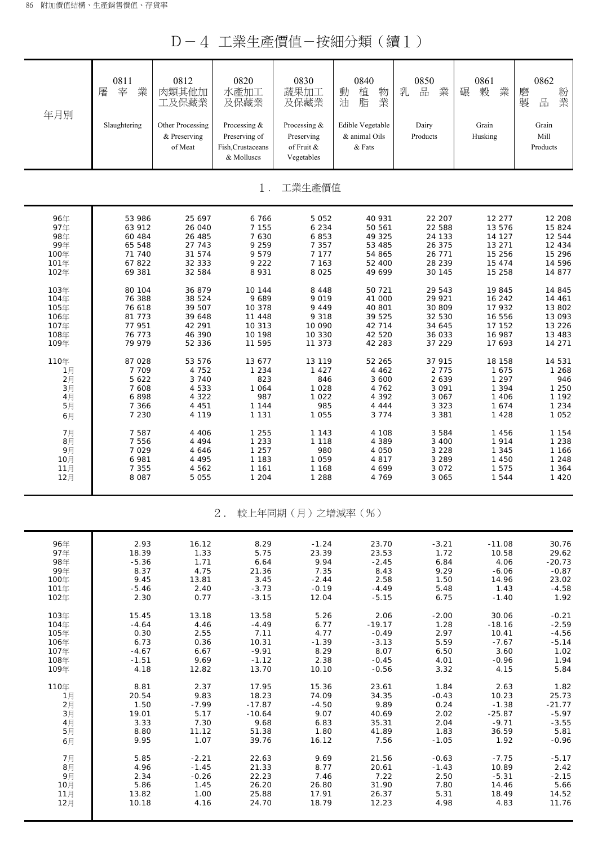D-4 工業生產價值-按細分類(續1)

| 年月別  | 0811<br>業<br>宰<br>屠 | 0812<br>肉類其他加<br>工及保藏業                      | 0820<br>水產加工<br>及保藏業                                             | 0830<br>蔬果加工<br>及保藏業                                     | 0840<br>植<br>物<br>動<br>業<br>油<br>脂          | 0850<br>品<br>乳<br>業 | 0861<br>榖<br>業<br>碾 | 0862<br>粉<br>磨<br>業<br>製<br>品 |
|------|---------------------|---------------------------------------------|------------------------------------------------------------------|----------------------------------------------------------|---------------------------------------------|---------------------|---------------------|-------------------------------|
|      | Slaughtering        | Other Processing<br>& Preserving<br>of Meat | Processing &<br>Preserving of<br>Fish, Crustaceans<br>& Molluscs | Processing $&$<br>Preserving<br>of Fruit &<br>Vegetables | Edible Vegetable<br>& animal Oils<br>& Fats | Dairy<br>Products   | Grain<br>Husking    | Grain<br>Mill<br>Products     |
|      |                     |                                             | $1$ .                                                            | 工業生產價值                                                   |                                             |                     |                     |                               |
| 96年  | 53 986              | 25 697                                      | 6766                                                             | 5 0 5 2                                                  | 40 931                                      | 22 207              | 12 277              | 12 208                        |
| 97年  | 63 912              | 26 040                                      | 7 1 5 5                                                          | 6 2 3 4                                                  | 50 561                                      | 22 588              | 13 576              | 15 824                        |
| 98年  | 60 484              | 26 485                                      | 7 6 3 0                                                          | 6853                                                     | 49 325                                      | 24 133              | 14 127              | 12 544                        |
| 99年  | 65 548              | 27 743                                      | 9 2 5 9                                                          | 7 3 5 7                                                  | 53 485                                      | 26 375              | 13 271              | 12 4 3 4                      |
| 100年 | 71 740              | 31 574                                      | 9579                                                             | 7 1 7 7                                                  | 54 865                                      | 26 771              | 15 256              | 15 2 9 6                      |
| 101年 | 67 822              | 32 333                                      | 9 2 2 2                                                          | 7 1 6 3                                                  | 52 400                                      | 28 239              | 15 474              | 14 596                        |
| 102年 | 69 381              | 32 584                                      | 8 9 3 1                                                          | 8 0 2 5                                                  | 49 699                                      | 30 145              | 15 258              | 14 877                        |
| 103年 | 80 104              | 36 879                                      | 10 144                                                           | 8 4 4 8                                                  | 50 721                                      | 29 543              | 19 845              | 14 845                        |
| 104年 | 76 388              | 38 5 24                                     | 9689                                                             | 9019                                                     | 41 000                                      | 29 921              | 16 24 2             | 14 461                        |
| 105年 | 76 618              | 39 507                                      | 10 378                                                           | 9 4 4 9                                                  | 40 801                                      | 30 809              | 17 932              | 13 802                        |
| 106年 | 81 773              | 39 648                                      | 11 448                                                           | 9 3 1 8                                                  | 39 525                                      | 32 530              | 16 556              | 13 093                        |
| 107年 | 77 951              | 42 291                                      | 10 313                                                           | 10 090                                                   | 42 714                                      | 34 645              | 17 152              | 13 2 2 6                      |
| 108年 | 76 773              | 46 390                                      | 10 198                                                           | 10 330                                                   | 42 520                                      | 36 033              | 16 987              | 13 4 8 3                      |
| 109年 | 79 979              | 52 336                                      | 11 595                                                           | 11 373                                                   | 42 283                                      | 37 229              | 17 693              | 14 271                        |
| 110年 | 87 028              | 53 576                                      | 13 677                                                           | 13 119                                                   | 52 265                                      | 37 915              | 18 158              | 14 531                        |
| 1月   | 7 709               | 4 752                                       | 1 2 3 4                                                          | 1 4 2 7                                                  | 4 4 6 2                                     | 2 7 7 5             | 1675                | 1 2 6 8                       |
| 2月   | 5 6 2 2             | 3 7 4 0                                     | 823                                                              | 846                                                      | 3 600                                       | 2 6 3 9             | 1 2 9 7             | 946                           |
| 3月   | 7 608               | 4 5 3 3                                     | 1 0 6 4                                                          | 1 0 2 8                                                  | 4 762                                       | 3 0 9 1             | 1 3 9 4             | 1 2 5 0                       |
| 4月   | 6898                | 4 3 2 2                                     | 987                                                              | 1 0 2 2                                                  | 4 3 9 2                                     | 3 0 6 7             | 1 4 0 6             | 1 1 9 2                       |
| 5月   | 7 366               | 4 4 5 1                                     | 1 1 4 4                                                          | 985                                                      | 4 4 4 4                                     | 3 3 2 3             | 1674                | 1 2 3 4                       |
| 6月   | 7 2 3 0             | 4 1 1 9                                     | 1 1 3 1                                                          | 1 0 5 5                                                  | 3 7 7 4                                     | 3 3 8 1             | 1 4 2 8             | 1 0 5 2                       |
| 7月   | 7 5 8 7             | 4 4 0 6                                     | 1 2 5 5                                                          | 1 1 4 3                                                  | 4 108                                       | 3 5 8 4             | 1 4 5 6             | 1 1 5 4                       |
| 8月   | 7 5 5 6             | 4 4 9 4                                     | 1 2 3 3                                                          | 1 1 1 8                                                  | 4 3 8 9                                     | 3 4 0 0             | 1914                | 1 2 3 8                       |
| 9月   | 7 0 2 9             | 4 6 4 6                                     | 1 2 5 7                                                          | 980                                                      | 4 0 5 0                                     | 3 2 2 8             | 1 3 4 5             | 1 166                         |
| 10月  | 6 981               | 4 4 9 5                                     | 1 1 8 3                                                          | 1 0 5 9                                                  | 4817                                        | 3 2 8 9             | 1 450               | 1 2 4 8                       |
| 11月  | 7 3 5 5             | 4 5 6 2                                     | 1 1 6 1                                                          | 1 1 6 8                                                  | 4 6 9 9                                     | 3 0 7 2             | 1 575               | 1 3 6 4                       |
| 12月  | 8 0 8 7             | 5 0 5 5                                     | 1 2 0 4                                                          | 1 2 8 8                                                  | 4769                                        | 3 0 6 5             | 1 544               | 1 4 2 0                       |
|      |                     |                                             | $2$ .                                                            | 較上年同期(月)之增減率(%)                                          |                                             |                     |                     |                               |
| 96年  | 2.93                | 16.12                                       | 8.29                                                             | $-1.24$                                                  | 23.70                                       | $-3.21$             | $-11.08$            | 30.76                         |
| 97年  | 18.39               | 1.33                                        | 5.75                                                             | 23.39                                                    | 23.53                                       | 1.72                | 10.58               | 29.62                         |
| 98年  | $-5.36$             | 1.71                                        | 6.64                                                             | 9.94                                                     | $-2.45$                                     | 6.84                | 4.06                | $-20.73$                      |
| 99年  | 8.37                | 4.75                                        | 21.36                                                            | 7.35                                                     | 8.43                                        | 9.29                | $-6.06$             | $-0.87$                       |
| 100年 | 9.45                | 13.81                                       | 3.45                                                             | $-2.44$                                                  | 2.58                                        | 1.50                | 14.96               | 23.02                         |
| 101年 | $-5.46$             | 2.40                                        | $-3.73$                                                          | $-0.19$                                                  | $-4.49$                                     | 5.48                | 1.43                | $-4.58$                       |
| 102年 | 2.30                | 0.77                                        | $-3.15$                                                          | 12.04                                                    | $-5.15$                                     | 6.75                | $-1.40$             | 1.92                          |
| 103年 | 15.45               | 13.18                                       | 13.58                                                            | 5.26                                                     | 2.06                                        | $-2.00$             | 30.06               | $-0.21$                       |
| 104年 | $-4.64$             | 4.46                                        | $-4.49$                                                          | 6.77                                                     | $-19.17$                                    | 1.28                | $-18.16$            | $-2.59$                       |
| 105年 | 0.30                | 2.55                                        | 7.11                                                             | 4.77                                                     | $-0.49$                                     | 2.97                | 10.41               | $-4.56$                       |
| 106年 | 6.73                | 0.36                                        | 10.31                                                            | $-1.39$                                                  | $-3.13$                                     | 5.59                | $-7.67$             | $-5.14$                       |
| 107年 | $-4.67$             | 6.67                                        | $-9.91$                                                          | 8.29                                                     | 8.07                                        | 6.50                | 3.60                | 1.02                          |
| 108年 | $-1.51$             | 9.69                                        | $-1.12$                                                          | 2.38                                                     | $-0.45$                                     | 4.01                | $-0.96$             | 1.94                          |
| 109年 | 4.18                | 12.82                                       | 13.70                                                            | 10.10                                                    | $-0.56$                                     | 3.32                | 4.15                | 5.84                          |
| 110年 | 8.81                | 2.37                                        | 17.95                                                            | 15.36                                                    | 23.61                                       | 1.84                | 2.63                | 1.82                          |
| 1月   | 20.54               | 9.83                                        | 18.23                                                            | 74.09                                                    | 34.35                                       | $-0.43$             | 10.23               | 25.73                         |
| 2月   | 1.50                | $-7.99$                                     | $-17.87$                                                         | $-4.50$                                                  | 9.89                                        | 0.24                | $-1.38$             | $-21.77$                      |
| 3月   | 19.01               | 5.17                                        | $-10.64$                                                         | 9.07                                                     | 40.69                                       | 2.02                | $-25.87$            | $-5.97$                       |
| 4月   | 3.33                | 7.30                                        | 9.68                                                             | 6.83                                                     | 35.31                                       | 2.04                | $-9.71$             | $-3.55$                       |
| 5月   | 8.80                | 11.12                                       | 51.38                                                            | 1.80                                                     | 41.89                                       | 1.83                | 36.59               | 5.81                          |
| 6月   | 9.95                | 1.07                                        | 39.76                                                            | 16.12                                                    | 7.56                                        | $-1.05$             | 1.92                | $-0.96$                       |
| 7月   | 5.85                | $-2.21$                                     | 22.63                                                            | 9.69                                                     | 21.56                                       | $-0.63$             | $-7.75$             | $-5.17$                       |
| 8月   | 4.96                | $-1.45$                                     | 21.33                                                            | 8.77                                                     | 20.61                                       | $-1.43$             | 10.89               | 2.42                          |
| 9月   | 2.34                | $-0.26$                                     | 22.23                                                            | 7.46                                                     | 7.22                                        | 2.50                | $-5.31$             | $-2.15$                       |
| 10月  | 5.86                | 1.45                                        | 26.20                                                            | 26.80                                                    | 31.90                                       | 7.80                | 14.46               | 5.66                          |
| 11月  | 13.82               | 1.00                                        | 25.88                                                            | 17.91                                                    | 26.37                                       | 5.31                | 18.49               | 14.52                         |
| 12月  | 10.18               | 4.16                                        | 24.70                                                            | 18.79                                                    | 12.23                                       | 4.98                | 4.83                | 11.76                         |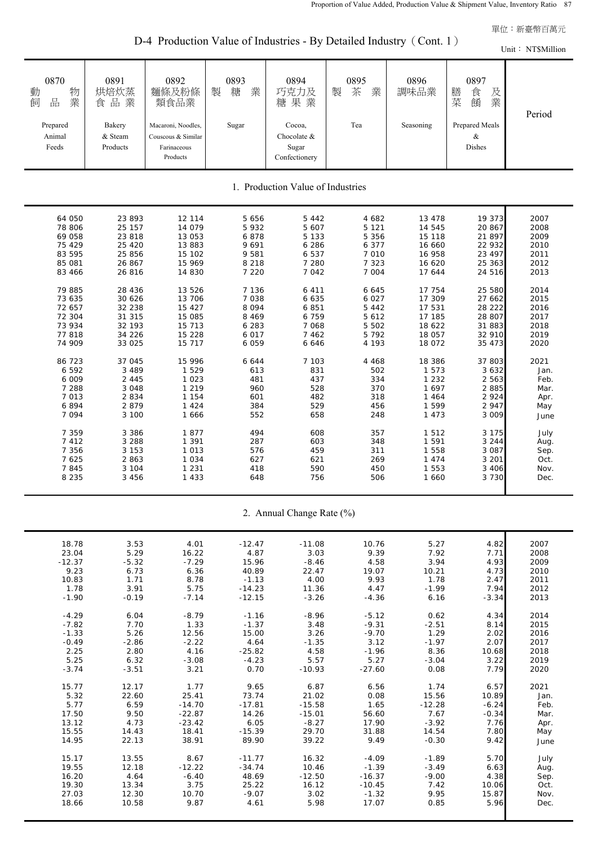D-4 Production Value of Industries - By Detailed Industry (Cont. 1)

Unit: NT\$Million

| 0870<br>物<br>動<br>業<br>品<br>飼<br>Prepared<br>Animal<br>Feeds | 0891<br>烘焙炊蒸<br>食品業<br>Bakery<br>& Steam<br>Products | 0892<br>麵條及粉條<br>類食品業<br>Macaroni, Noodles,<br>Couscous & Similar<br>Farinaceous<br>Products | 0893<br>糖<br>製<br>業<br>Sugar | 0894<br>巧克力及<br>糖果業<br>Cocoa,<br>Chocolate &<br>Sugar<br>Confectionery | 0895<br>茶<br>製<br>業<br>Tea | 0896<br>調味品業<br>Seasoning | 0897<br>膳<br>食<br>及<br>菜<br>業<br>餚<br>Prepared Meals<br>&<br>Dishes | Period |
|--------------------------------------------------------------|------------------------------------------------------|----------------------------------------------------------------------------------------------|------------------------------|------------------------------------------------------------------------|----------------------------|---------------------------|---------------------------------------------------------------------|--------|
|                                                              |                                                      |                                                                                              |                              | 1. Production Value of Industries                                      |                            |                           |                                                                     |        |
| 64 050                                                       | 23 893                                               | 12 114                                                                                       | 5 6 5 6                      | 5 4 4 2                                                                | 4 682                      | 13 478                    | 19 373                                                              | 2007   |
| 78 806                                                       | 25 157                                               | 14 079                                                                                       | 5932                         | 5 607                                                                  | 5 1 2 1                    | 14 545                    | 20 867                                                              | 2008   |
| 69 058                                                       | 23 818                                               | 13 053                                                                                       | 6878                         | 5 1 3 3                                                                | 5 3 5 6                    | 15 118                    | 21 897                                                              | 2009   |
| 75 429                                                       | 25 4 20                                              | 13 883                                                                                       | 9691                         | 6 2 8 6                                                                | 6 3 7 7                    | 16 660                    | 22 932                                                              | 2010   |
| 83 595                                                       | 25 856                                               | 15 102                                                                                       | 9 5 8 1                      | 6 5 3 7                                                                | 7 0 1 0                    | 16 958                    | 23 497                                                              | 2011   |
| 85 081                                                       | 26 867                                               | 15 969                                                                                       | 8 2 1 8                      | 7 2 8 0                                                                | 7 3 2 3                    | 16 620                    | 25 363                                                              | 2012   |
| 83 466                                                       | 26 816                                               | 14 830                                                                                       | 7 2 2 0                      | 7 0 4 2                                                                | 7 0 0 4                    | 17 644                    | 24 516                                                              | 2013   |
| 79 885                                                       | 28 4 36                                              | 13 5 26                                                                                      | 7 1 3 6                      | 6 4 1 1                                                                | 6 6 4 5                    | 17 754                    | 25 580                                                              | 2014   |
| 73 635                                                       | 30 626                                               | 13 706                                                                                       | 7 0 3 8                      | 6 6 3 5                                                                | 6 0 2 7                    | 17 309                    | 27 662                                                              | 2015   |
| 72 657                                                       | 32 238                                               | 15 427                                                                                       | 8 0 9 4                      | 6851                                                                   | 5 4 4 2                    | 17 531                    | 28 222                                                              | 2016   |
| 72 304                                                       | 31 315                                               | 15 085                                                                                       | 8 4 6 9                      | 6759                                                                   | 5 6 1 2                    | 17 185                    | 28 807                                                              | 2017   |
| 73 934                                                       | 32 193                                               | 15 713                                                                                       | 6 2 8 3                      | 7 0 6 8                                                                | 5 5 0 2                    | 18 622                    | 31 883                                                              | 2018   |
| 77818                                                        | 34 226                                               | 15 228                                                                                       | 6 0 1 7                      | 7 4 6 2                                                                | 5 7 9 2                    | 18 057                    | 32 910                                                              | 2019   |
| 74 909                                                       | 33 0 25                                              | 15 717                                                                                       | 6 0 5 9                      | 6 6 4 6                                                                | 4 1 9 3                    | 18 072                    | 35 473                                                              | 2020   |
| 86 723                                                       | 37 045                                               | 15 996                                                                                       | 6 6 4 4                      | 7 103                                                                  | 4 4 6 8                    | 18 386                    | 37 803                                                              | 2021   |
| 6 5 9 2                                                      | 3 4 8 9                                              | 1 5 2 9                                                                                      | 613                          | 831                                                                    | 502                        | 1 5 7 3                   | 3 6 3 2                                                             | Jan.   |
| 6 0 0 9                                                      | 2 4 4 5                                              | 1 0 2 3                                                                                      | 481                          | 437                                                                    | 334                        | 1 2 3 2                   | 2 5 6 3                                                             | Feb.   |
| 7 2 8 8                                                      | 3 0 4 8                                              | 1 2 1 9                                                                                      | 960                          | 528                                                                    | 370                        | 1697                      | 2 8 8 5                                                             | Mar.   |
| 7 0 1 3                                                      | 2834                                                 | 1 1 5 4                                                                                      | 601                          | 482                                                                    | 318                        | 1 4 6 4                   | 2 9 2 4                                                             | Apr.   |
| 6894                                                         | 2879                                                 | 1 4 2 4                                                                                      | 384                          | 529                                                                    | 456                        | 1 5 9 9                   | 2 9 4 7                                                             | May    |
| 7094                                                         | 3 100                                                | 1 6 6 6                                                                                      | 552                          | 658                                                                    | 248                        | 1 4 7 3                   | 3 0 0 9                                                             | June   |
| 7 3 5 9                                                      | 3 3 8 6                                              | 1877                                                                                         | 494                          | 608                                                                    | 357                        | 1512                      | 3 1 7 5                                                             | July   |
| 7412                                                         | 3 2 8 8                                              | 1 3 9 1                                                                                      | 287                          | 603                                                                    | 348                        | 1 5 9 1                   | 3 2 4 4                                                             | Aug.   |
| 7 3 5 6                                                      | 3 1 5 3                                              | 1 0 1 3                                                                                      | 576                          | 459                                                                    | 311                        | 1 5 5 8                   | 3 0 8 7                                                             | Sep.   |
| 7 6 2 5                                                      | 2863                                                 | 1 0 3 4                                                                                      | 627                          | 621                                                                    | 269                        | 1 4 7 4                   | 3 2 0 1                                                             | Oct.   |
| 7845                                                         | 3 1 0 4                                              | 1 2 3 1                                                                                      | 418                          | 590                                                                    | 450                        | 1 5 5 3                   | 3 4 0 6                                                             | Nov.   |
| 8 2 3 5                                                      | 3 4 5 6                                              | 1 4 3 3                                                                                      | 648                          | 756                                                                    | 506                        | 1 6 6 0                   | 3 7 3 0                                                             | Dec.   |
|                                                              |                                                      |                                                                                              |                              | 2. Annual Change Rate (%)                                              |                            |                           |                                                                     |        |
| 18.78                                                        | 3.53                                                 | 4.01                                                                                         | $-12.47$                     | $-11.08$                                                               | 10.76                      | 5.27                      | 4.82                                                                | 2007   |
| 23.04                                                        | 5.29                                                 | 16.22                                                                                        | 4.87                         | 3.03                                                                   | 9.39                       | 7.92                      | 7.71                                                                | 2008   |
| $-12.37$                                                     | $-5.32$                                              | $-7.29$                                                                                      | 15.96                        | $-8.46$                                                                | 4.58                       | 3.94                      | 4.93                                                                | 2009   |
| 9.23                                                         | 6.73                                                 | 6.36                                                                                         | 40.89                        | 22.47                                                                  | 19.07                      | 10.21                     | 4.73                                                                | 2010   |
| 10.83                                                        | 1.71                                                 | 8.78                                                                                         | $-1.13$                      | 4.00                                                                   | 9.93                       | 1.78                      | 2.47                                                                | 2011   |
| 1.78                                                         | 3.91                                                 | 5.75                                                                                         | $-14.23$                     | 11.36                                                                  | 4.47                       | $-1.99$                   | 7.94                                                                | 2012   |
| $-1.90$                                                      | $-0.19$                                              | $-7.14$                                                                                      | $-12.15$                     | $-3.26$                                                                | $-4.36$                    | 6.16                      | $-3.34$                                                             | 2013   |
| $-4.29$                                                      | 6.04                                                 | $-8.79$                                                                                      | $-1.16$                      | $-8.96$                                                                | $-5.12$                    | 0.62                      | 4.34                                                                | 2014   |
| $-7.82$                                                      | 7.70                                                 | 1.33                                                                                         | $-1.37$                      | 3.48                                                                   | $-9.31$                    | $-2.51$                   | 8.14                                                                | 2015   |
| $-1.33$                                                      | 5.26                                                 | 12.56                                                                                        | 15.00                        | 3.26                                                                   | $-9.70$                    | 1.29                      | 2.02                                                                | 2016   |
| $-0.49$                                                      | $-2.86$                                              | $-2.22$                                                                                      | 4.64                         | $-1.35$                                                                | 3.12                       | $-1.97$                   | 2.07                                                                | 2017   |
| 2.25                                                         | 2.80                                                 | 4.16                                                                                         | $-25.82$                     | 4.58                                                                   | $-1.96$                    | 8.36                      | 10.68                                                               | 2018   |
| 5.25                                                         | 6.32                                                 | $-3.08$                                                                                      | $-4.23$                      | 5.57                                                                   | 5.27                       | $-3.04$                   | 3.22                                                                | 2019   |
| $-3.74$                                                      | $-3.51$                                              | 3.21                                                                                         | 0.70                         | $-10.93$                                                               | $-27.60$                   | 0.08                      | 7.79                                                                | 2020   |
| 15.77                                                        | 12.17                                                | 1.77                                                                                         | 9.65                         | 6.87                                                                   | 6.56                       | 1.74                      | 6.57                                                                | 2021   |
| 5.32                                                         | 22.60                                                | 25.41                                                                                        | 73.74                        | 21.02                                                                  | 0.08                       | 15.56                     | 10.89                                                               | Jan.   |
| 5.77                                                         | 6.59                                                 | $-14.70$                                                                                     | $-17.81$                     | $-15.58$                                                               | 1.65                       | $-12.28$                  | $-6.24$                                                             | Feb.   |
| 17.50                                                        | 9.50                                                 | $-22.87$                                                                                     | 14.26                        | $-15.01$                                                               | 56.60                      | 7.67                      | $-0.34$                                                             | Mar.   |
| 13.12                                                        | 4.73                                                 | $-23.42$                                                                                     | 6.05                         | $-8.27$                                                                | 17.90                      | $-3.92$                   | 7.76                                                                | Apr.   |
| 15.55                                                        | 14.43                                                | 18.41                                                                                        | $-15.39$                     | 29.70                                                                  | 31.88                      | 14.54                     | 7.80                                                                | May    |
| 14.95                                                        | 22.13                                                | 38.91                                                                                        | 89.90                        | 39.22                                                                  | 9.49                       | $-0.30$                   | 9.42                                                                | June   |
| 15.17                                                        | 13.55                                                | 8.67                                                                                         | $-11.77$                     | 16.32                                                                  | $-4.09$                    | $-1.89$                   | 5.70                                                                | July   |
| 19.55                                                        | 12.18                                                | $-12.22$                                                                                     | $-34.74$                     | 10.46                                                                  | $-1.39$                    | $-3.49$                   | 6.63                                                                | Aug.   |
| 16.20                                                        | 4.64                                                 | $-6.40$                                                                                      | 48.69                        | $-12.50$                                                               | $-16.37$                   | $-9.00$                   | 4.38                                                                | Sep.   |

19.30 13.34 3.75 25.22 16.12 -10.45 7.42 10.06 Oct. 27.03 12.30 10.70 -9.07 3.02 -1.32 9.95 15.87 Nov. 18.66 10.58 9.87 4.61 5.98 17.07 0.85 5.96 Dec.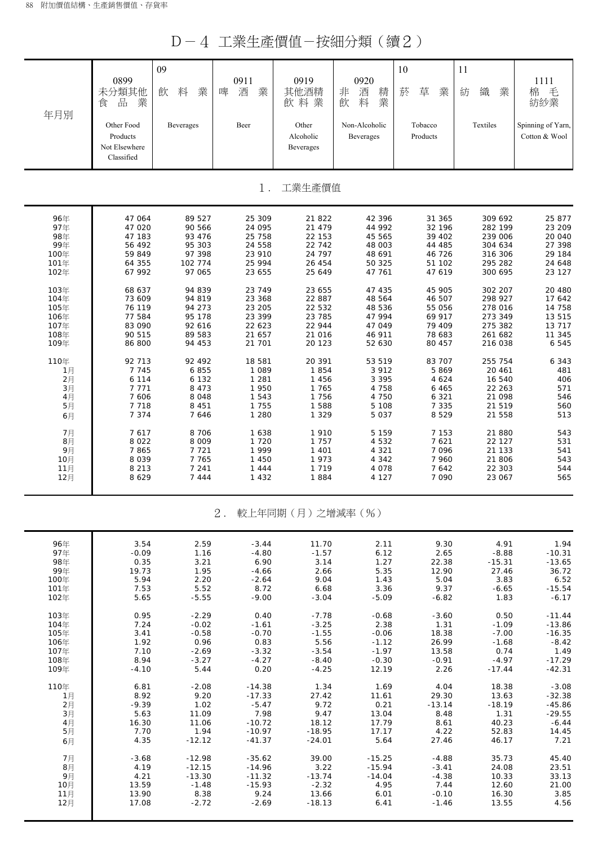D-4 工業生產價值-按細分類(續2)

| 年月別      | 0899<br>未分類其他<br>品<br>業<br>食<br>Other Food<br>Products<br>Not Elsewhere<br>Classified | 09<br>飲<br>料<br>業<br>Beverages | 0911<br>業<br>酒<br>啤<br>Beer | 0919<br>其他酒精<br>飲料業<br>Other<br>Alcoholic<br>Beverages | 0920<br>非<br>精<br>酒<br>業<br>料<br>飲<br>Non-Alcoholic<br><b>Beverages</b> | 10<br>菸<br>草<br>業<br>Tobacco<br>Products | 11<br>織<br>業<br>紡<br>Textiles | 1111<br>毛<br>棉<br>紡紗業<br>Spinning of Yarn,<br>Cotton & Wool |
|----------|---------------------------------------------------------------------------------------|--------------------------------|-----------------------------|--------------------------------------------------------|-------------------------------------------------------------------------|------------------------------------------|-------------------------------|-------------------------------------------------------------|
|          |                                                                                       |                                | $1$ .                       | 工業生產價值                                                 |                                                                         |                                          |                               |                                                             |
| 96年      | 47 064                                                                                | 89 527                         | 25 309                      | 21 822                                                 | 42 396                                                                  | 31 365                                   | 309 692                       | 25 877                                                      |
| 97年      | 47 020                                                                                | 90 566                         | 24 095                      | 21 479                                                 | 44 992                                                                  | 32 196                                   | 282 199                       | 23 209                                                      |
| 98年      | 47 183                                                                                | 93 476                         | 25 758                      | 22 153                                                 | 45 565                                                                  | 39 402                                   | 239 006                       | 20 040                                                      |
| 99年      | 56 492                                                                                | 95 303                         | 24 558                      | 22 742                                                 | 48 003                                                                  | 44 485                                   | 304 634                       | 27 398                                                      |
| 100年     | 59 849                                                                                | 97 398                         | 23 910                      | 24 797                                                 | 48 691                                                                  | 46 726                                   | 316 306                       | 29 184                                                      |
| 101年     | 64 355                                                                                | 102 774                        | 25 994                      | 26 454                                                 | 50 325                                                                  | 51 102                                   | 295 282                       | 24 648                                                      |
| 102年     | 67 992                                                                                | 97 065                         | 23 655                      | 25 649                                                 | 47 761                                                                  | 47 619                                   | 300 695                       | 23 127                                                      |
| 103年     | 68 637                                                                                | 94 839                         | 23 749                      | 23 655                                                 | 47 435                                                                  | 45 905                                   | 302 207                       | 20 480                                                      |
| 104年     | 73 609                                                                                | 94 819                         | 23 368                      | 22 887                                                 | 48 564                                                                  | 46 507                                   | 298 927                       | 17 642                                                      |
| 105年     | 76 119                                                                                | 94 273                         | 23 205                      | 22 5 32                                                | 48 536                                                                  | 55 056                                   | 278 016                       | 14 758                                                      |
| 106年     | 77 584                                                                                | 95 178                         | 23 399                      | 23 785                                                 | 47 994                                                                  | 69 917                                   | 273 349                       | 13 515                                                      |
| 107年     | 83 090                                                                                | 92 616                         | 22 623                      | 22 944                                                 | 47 049                                                                  | 79 409                                   | 275 382                       | 13 717                                                      |
| 108年     | 90 515                                                                                | 89 583                         | 21 657                      | 21 016                                                 | 46 911                                                                  | 78 683                                   | 261 682                       | 11 345                                                      |
| 109年     | 86 800                                                                                | 94 453                         | 21 701                      | 20 123                                                 | 52 630                                                                  | 80 457                                   | 216 038                       | 6 5 4 5                                                     |
| 110年     | 92 713                                                                                | 92 492                         | 18 581                      | 20 391                                                 | 53 519                                                                  | 83 707                                   | 255 754                       | 6 3 4 3                                                     |
| 1月       | 7 7 4 5                                                                               | 6855                           | 1 0 8 9                     | 1854                                                   | 3 9 1 2                                                                 | 5869                                     | 20 4 61                       | 481                                                         |
| 2月       | 6 1 1 4                                                                               | 6 1 3 2                        | 1 2 8 1                     | 1 4 5 6                                                | 3 3 9 5                                                                 | 4 6 2 4                                  | 16 540                        | 406                                                         |
| $3\n  3$ | 7 7 7 1                                                                               | 8 4 7 3                        | 1 950                       | 1 765                                                  | 4 7 5 8                                                                 | 6 4 6 5                                  | 22 263                        | 571                                                         |
| 4月       | 7 606                                                                                 | 8 0 4 8                        | 1 5 4 3                     | 1 7 5 6                                                | 4 7 5 0                                                                 | 6 3 2 1                                  | 21 098                        | 546                                                         |
| 5月       | 7 7 1 8                                                                               | 8 4 5 1                        | 1 7 5 5                     | 1 5 8 8                                                | 5 108                                                                   | 7 3 3 5                                  | 21 519                        | 560                                                         |
| 6月       | 7 3 7 4                                                                               | 7 6 4 6                        | 1 2 8 0                     | 1 3 2 9                                                | 5 0 3 7                                                                 | 8 5 2 9                                  | 21 558                        | 513                                                         |
| 7月       | 7617                                                                                  | 8 7 0 6                        | 1638                        | 1 9 1 0                                                | 5 1 5 9                                                                 | 7 153                                    | 21 880                        | 543                                                         |
| 8月       | 8 0 2 2                                                                               | 8 0 0 9                        | 1 7 2 0                     | 1 757                                                  | 4 5 3 2                                                                 | 7 621                                    | 22 127                        | 531                                                         |
| 9月       | 7865                                                                                  | 7 7 2 1                        | 1999                        | 1 4 0 1                                                | 4 3 2 1                                                                 | 7 0 9 6                                  | 21 133                        | 541                                                         |
| 10月      | 8 0 3 9                                                                               | 7 7 6 5                        | 1 450                       | 1973                                                   | 4 3 4 2                                                                 | 7 960                                    | 21 806                        | 543                                                         |
| 11月      | 8 2 1 3                                                                               | 7 2 4 1                        | 1444                        | 1 7 1 9                                                | 4 0 7 8                                                                 | 7 642                                    | 22 303                        | 544                                                         |
| 12月      | 8629                                                                                  | 7444                           | 1 4 3 2                     | 1884                                                   | 4 1 2 7                                                                 | 7 0 9 0                                  | 23 067                        | 565                                                         |
|          |                                                                                       |                                | 2.                          | 較上年同期(月)之增減率(%)                                        |                                                                         |                                          |                               |                                                             |
| 96年      | 3.54                                                                                  | 2.59                           | $-3.44$                     | 11.70                                                  | 2.11                                                                    | 9.30                                     | 4.91                          | 1.94                                                        |
| 97年      | $-0.09$                                                                               | 1.16                           | $-4.80$                     | $-1.57$                                                | 6.12                                                                    | 2.65                                     | $-8.88$                       | $-10.31$                                                    |
| 98年      | 0.35                                                                                  | 3.21                           | 6.90                        | 3.14                                                   | 1.27                                                                    | 22.38                                    | $-15.31$                      | $-13.65$                                                    |
| 99年      | 19.73                                                                                 | 1.95                           | $-4.66$                     | 2.66                                                   | 5.35                                                                    | 12.90                                    | 27.46                         | 36.72                                                       |
| 100年     | 5.94                                                                                  | 2.20                           | $-2.64$                     | 9.04                                                   | 1.43                                                                    | 5.04                                     | 3.83                          | 6.52                                                        |
| 101年     | 7.53                                                                                  | 5.52                           | 8.72                        | 6.68                                                   | 3.36                                                                    | 9.37                                     | $-6.65$                       | $-15.54$                                                    |
| 102年     | 5.65                                                                                  | $-5.55$                        | $-9.00$                     | $-3.04$                                                | $-5.09$                                                                 | $-6.82$                                  | 1.83                          | $-6.17$                                                     |
| 103年     | 0.95                                                                                  | $-2.29$                        | 0.40                        | $-7.78$                                                | $-0.68$                                                                 | $-3.60$                                  | 0.50                          | $-11.44$                                                    |
| 104年     | 7.24                                                                                  | $-0.02$                        | $-1.61$                     | $-3.25$                                                | 2.38                                                                    | 1.31                                     | $-1.09$                       | $-13.86$                                                    |
| 105年     | 3.41                                                                                  | $-0.58$                        | $-0.70$                     | $-1.55$                                                | $-0.06$                                                                 | 18.38                                    | $-7.00$                       | $-16.35$                                                    |
| 106年     | 1.92                                                                                  | 0.96                           | 0.83                        | 5.56                                                   | $-1.12$                                                                 | 26.99                                    | $-1.68$                       | $-8.42$                                                     |
| 107年     | 7.10                                                                                  | $-2.69$                        | $-3.32$                     | $-3.54$                                                | $-1.97$                                                                 | 13.58                                    | 0.74                          | 1.49                                                        |
| 108年     | 8.94                                                                                  | $-3.27$                        | $-4.27$                     | $-8.40$                                                | $-0.30$                                                                 | $-0.91$                                  | $-4.97$                       | $-17.29$                                                    |
| 109年     | $-4.10$                                                                               | 5.44                           | 0.20                        | $-4.25$                                                | 12.19                                                                   | 2.26                                     | $-17.44$                      | $-42.31$                                                    |
| 110年     | 6.81                                                                                  | $-2.08$                        | $-14.38$                    | 1.34                                                   | 1.69                                                                    | 4.04                                     | 18.38                         | $-3.08$                                                     |
| 1月       | 8.92                                                                                  | 9.20                           | $-17.33$                    | 27.42                                                  | 11.61                                                                   | 29.30                                    | 13.63                         | $-32.38$                                                    |
| 2月       | $-9.39$                                                                               | 1.02                           | $-5.47$                     | 9.72                                                   | 0.21                                                                    | $-13.14$                                 | $-18.19$                      | $-45.86$                                                    |
| 3月       | 5.63                                                                                  | 11.09                          | 7.98                        | 9.47                                                   | 13.04                                                                   | 8.48                                     | 1.31                          | $-29.55$                                                    |
| 4月       | 16.30                                                                                 | 11.06                          | $-10.72$                    | 18.12                                                  | 17.79                                                                   | 8.61                                     | 40.23                         | $-6.44$                                                     |
| 5月       | 7.70                                                                                  | 1.94                           | $-10.97$                    | $-18.95$                                               | 17.17                                                                   | 4.22                                     | 52.83                         | 14.45                                                       |
| 6月       | 4.35                                                                                  | $-12.12$                       | $-41.37$                    | $-24.01$                                               | 5.64                                                                    | 27.46                                    | 46.17                         | 7.21                                                        |
| 7月       | $-3.68$                                                                               | $-12.98$                       | $-35.62$                    | 39.00                                                  | $-15.25$                                                                | $-4.88$                                  | 35.73                         | 45.40                                                       |
| 8月       | 4.19                                                                                  | $-12.15$                       | $-14.96$                    | 3.22                                                   | $-15.94$                                                                | $-3.41$                                  | 24.08                         | 23.51                                                       |
| 9月       | 4.21                                                                                  | $-13.30$                       | $-11.32$                    | $-13.74$                                               | $-14.04$                                                                | $-4.38$                                  | 10.33                         | 33.13                                                       |
| 10月      | 13.59                                                                                 | $-1.48$                        | $-15.93$                    | $-2.32$                                                | 4.95                                                                    | 7.44                                     | 12.60                         | 21.00                                                       |
| 11月      | 13.90                                                                                 | 8.38                           | 9.24                        | 13.66                                                  | 6.01                                                                    | $-0.10$                                  | 16.30                         | 3.85                                                        |
| 12月      | 17.08                                                                                 | $-2.72$                        | $-2.69$                     | $-18.13$                                               | 6.41                                                                    | $-1.46$                                  | 13.55                         | 4.56                                                        |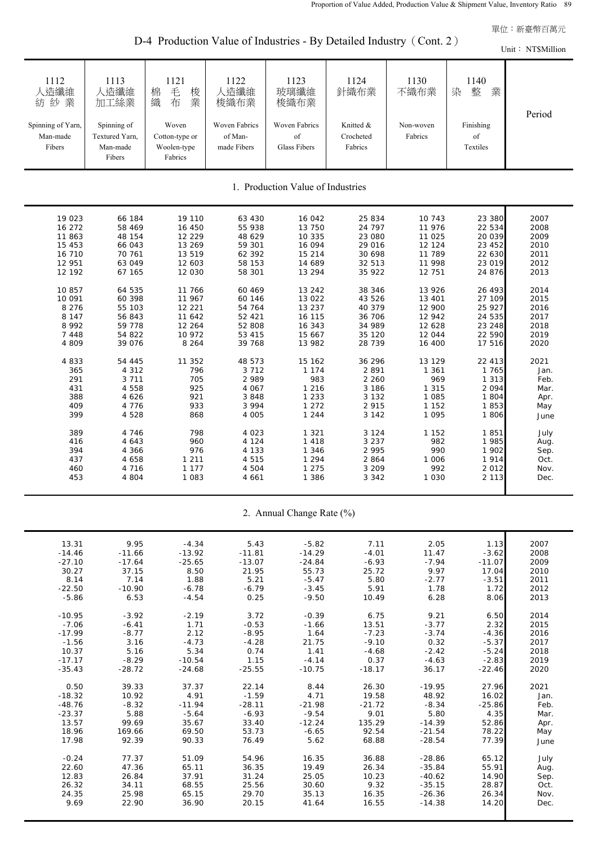D-4 Production Value of Industries - By Detailed Industry (Cont. 2)

Unit: NT\$Million

| 1112<br>人造纖維<br>紡紗業<br>Spinning of Yarn,<br>Man-made<br>Fibers | 1113<br>人造纖維<br>加工絲業<br>Spinning of<br>Textured Yarn,<br>Man-made<br>Fibers | 1121<br>毛<br>棉<br>梭業<br>織<br>布<br>Woven<br>Cotton-type or<br>Woolen-type<br>Fabrics | 1122<br>人造纖維<br>梭織布業<br>Woven Fabrics<br>of Man-<br>made Fibers | 1123<br>玻璃纖維<br>梭織布業<br>Woven Fabrics<br>of<br><b>Glass Fibers</b> | 1124<br>針織布業<br>Knitted &<br>Crocheted<br>Fabrics | 1130<br>不織布業<br>Non-woven<br>Fabrics | 1140<br>整<br>染<br>業<br>Finishing<br>of<br>Textiles | Period |
|----------------------------------------------------------------|-----------------------------------------------------------------------------|-------------------------------------------------------------------------------------|-----------------------------------------------------------------|--------------------------------------------------------------------|---------------------------------------------------|--------------------------------------|----------------------------------------------------|--------|
|                                                                |                                                                             |                                                                                     |                                                                 | 1. Production Value of Industries                                  |                                                   |                                      |                                                    |        |
| 19 023                                                         | 66 184                                                                      | 19 110                                                                              | 63 430                                                          | 16 042                                                             | 25 834                                            | 10 743                               | 23 380                                             | 2007   |
| 16 27 2                                                        | 58 469                                                                      | 16 450                                                                              | 55 938                                                          | 13 750                                                             | 24 797                                            | 11 976                               | 22 534                                             | 2008   |
| 11 863                                                         | 48 154                                                                      | 12 229                                                                              | 48 629                                                          | 10 335                                                             | 23 080                                            | 11 025                               | 20 039                                             | 2009   |
| 15 453                                                         | 66 043                                                                      | 13 269                                                                              | 59 301                                                          | 16 094                                                             | 29 016                                            | 12 124                               | 23 452                                             | 2010   |
| 16 710                                                         | 70 761                                                                      | 13 519                                                                              | 62 392                                                          | 15 214                                                             | 30 698                                            | 11 789                               | 22 630                                             | 2011   |
| 12 951                                                         | 63 049                                                                      | 12 603                                                                              | 58 153                                                          | 14 689                                                             | 32 513                                            | 11 998                               | 23 019                                             | 2012   |
| 12 192                                                         | 67 165                                                                      | 12 030                                                                              | 58 301                                                          | 13 294                                                             | 35 922                                            | 12 751                               | 24 876                                             | 2013   |
| 10 857                                                         | 64 535                                                                      | 11 766                                                                              | 60 469                                                          | 13 24 2                                                            | 38 346                                            | 13 926                               | 26 493                                             | 2014   |
| 10 091                                                         | 60 398                                                                      | 11 967                                                                              | 60 146                                                          | 13 0 22                                                            | 43 526                                            | 13 401                               | 27 109                                             | 2015   |
| 8 2 7 6                                                        | 55 103                                                                      | 12 221                                                                              | 54 764                                                          | 13 237                                                             | 40 379                                            | 12 900                               | 25 927                                             | 2016   |
| 8 1 4 7                                                        | 56 843                                                                      | 11 642                                                                              | 52 421                                                          | 16 115                                                             | 36 706                                            | 12 942                               | 24 535                                             | 2017   |
| 8 9 9 2                                                        | 59 778                                                                      | 12 264                                                                              | 52 808                                                          | 16 343                                                             | 34 989                                            | 12 628                               | 23 248                                             | 2018   |
| 7 4 4 8                                                        | 54 822                                                                      | 10 972                                                                              | 53 415                                                          | 15 667                                                             | 35 120                                            | 12 044                               | 22 590                                             | 2019   |
| 4 8 0 9                                                        | 39 076                                                                      | 8 2 6 4                                                                             | 39 768                                                          | 13 982                                                             | 28 739                                            | 16 400                               | 17 516                                             | 2020   |
| 4 8 3 3                                                        | 54 445                                                                      | 11 352                                                                              | 48 573                                                          | 15 162                                                             | 36 296                                            | 13 129                               | 22 413                                             | 2021   |
| 365                                                            | 4 3 1 2                                                                     | 796                                                                                 | 3 7 1 2                                                         | 1 1 7 4                                                            | 2891                                              | 1 3 6 1                              | 1765                                               | Jan.   |
| 291                                                            | 3 7 1 1                                                                     | 705                                                                                 | 2 9 8 9                                                         | 983                                                                | 2 2 6 0                                           | 969                                  | 1 3 1 3                                            | Feb.   |
| 431                                                            | 4 5 5 8                                                                     | 925                                                                                 | 4 0 6 7                                                         | 1 2 1 6                                                            | 3 1 8 6                                           | 1 3 1 5                              | 2 0 9 4                                            | Mar.   |
| 388                                                            | 4 6 2 6                                                                     | 921                                                                                 | 3848                                                            | 1 2 3 3                                                            | 3 1 3 2                                           | 1 0 8 5                              | 1 804                                              | Apr.   |
| 409                                                            | 4 7 7 6                                                                     | 933                                                                                 | 3 9 9 4                                                         | 1 2 7 2                                                            | 2 9 1 5                                           | 1 1 5 2                              | 1853                                               | May    |
| 399                                                            | 4 5 2 8                                                                     | 868                                                                                 | 4 0 0 5                                                         | 1 2 4 4                                                            | 3 1 4 2                                           | 1 0 9 5                              | 1 806                                              | June   |
| 389                                                            | 4 7 4 6                                                                     | 798                                                                                 | 4 0 2 3                                                         | 1 3 2 1                                                            | 3 1 2 4                                           | 1 1 5 2                              | 1851                                               | July   |
| 416                                                            | 4 6 4 3                                                                     | 960                                                                                 | 4 1 2 4                                                         | 1 4 1 8                                                            | 3 2 3 7                                           | 982                                  | 1 985                                              | Aug.   |
| 394                                                            | 4 3 6 6                                                                     | 976                                                                                 | 4 1 3 3                                                         | 1 3 4 6                                                            | 2 9 9 5                                           | 990                                  | 1 902                                              | Sep.   |
| 437                                                            | 4 6 5 8                                                                     | 1 2 1 1                                                                             | 4 5 1 5                                                         | 1 2 9 4                                                            | 2 8 6 4                                           | 1 0 0 6                              | 1 9 1 4                                            | Oct.   |
| 460                                                            | 4 7 1 6                                                                     | 1 1 7 7                                                                             | 4 5 0 4                                                         | 1 2 7 5                                                            | 3 2 0 9                                           | 992                                  | 2 0 1 2                                            | Nov.   |
| 453                                                            | 4 8 0 4                                                                     | 1 0 8 3                                                                             | 4 6 6 1                                                         | 1 3 8 6                                                            | 3 3 4 2                                           | 1 0 3 0                              | 2 1 1 3                                            | Dec.   |
|                                                                |                                                                             |                                                                                     |                                                                 | 2. Annual Change Rate (%)                                          |                                                   |                                      |                                                    |        |
| 13.31                                                          | 9.95                                                                        | $-4.34$                                                                             | 5.43                                                            | $-5.82$                                                            | 7.11                                              | 2.05                                 | 1.13                                               | 2007   |
| $-14.46$                                                       | $-11.66$                                                                    | $-13.92$                                                                            | $-11.81$                                                        | $-14.29$                                                           | $-4.01$                                           | 11.47                                | $-3.62$                                            | 2008   |
| $-27.10$                                                       | $-17.64$                                                                    | $-25.65$                                                                            | $-13.07$                                                        | $-24.84$                                                           | $-6.93$                                           | $-7.94$                              | $-11.07$                                           | 2009   |
| 30.27                                                          | 37.15                                                                       | 8.50                                                                                | 21.95                                                           | 55.73                                                              | 25.72                                             | 9.97                                 | 17.04                                              | 2010   |
| 8.14                                                           | 7.14                                                                        | 1.88                                                                                | 5.21                                                            | $-5.47$                                                            | 5.80                                              | $-2.77$                              | $-3.51$                                            | 2011   |
| $-22.50$                                                       | $-10.90$                                                                    | $-6.78$                                                                             | $-6.79$                                                         | $-3.45$                                                            | 5.91                                              | 1.78                                 | 1.72                                               | 2012   |
| $-5.86$                                                        | 6.53                                                                        | $-4.54$                                                                             | 0.25                                                            | $-9.50$                                                            | 10.49                                             | 6.28                                 | 8.06                                               | 2013   |
| $-10.95$                                                       | $-3.92$                                                                     | $-2.19$                                                                             | 3.72                                                            | $-0.39$                                                            | 6.75                                              | 9.21                                 | 6.50                                               | 2014   |
| $-7.06$                                                        | $-6.41$                                                                     | 1.71                                                                                | $-0.53$                                                         | $-1.66$                                                            | 13.51                                             | $-3.77$                              | 2.32                                               | 2015   |
| $-17.99$                                                       | $-8.77$                                                                     | 2.12                                                                                | $-8.95$                                                         | 1.64                                                               | $-7.23$                                           | $-3.74$                              | $-4.36$                                            | 2016   |
| $-1.56$                                                        | 3.16                                                                        | $-4.73$                                                                             | $-4.28$                                                         | 21.75                                                              | $-9.10$                                           | 0.32                                 | $-5.37$                                            | 2017   |
| 10.37                                                          | 5.16                                                                        | 5.34                                                                                | 0.74                                                            | 1.41                                                               | $-4.68$                                           | $-2.42$                              | $-5.24$                                            | 2018   |
| $-17.17$                                                       | $-8.29$                                                                     | $-10.54$                                                                            | 1.15                                                            | $-4.14$                                                            | 0.37                                              | $-4.63$                              | $-2.83$                                            | 2019   |
| $-35.43$                                                       | $-28.72$                                                                    | $-24.68$                                                                            | $-25.55$                                                        | $-10.75$                                                           | $-18.17$                                          | 36.17                                | $-22.46$                                           | 2020   |
| 0.50                                                           | 39.33                                                                       | 37.37                                                                               | 22.14                                                           | 8.44                                                               | 26.30                                             | $-19.95$                             | 27.96                                              | 2021   |
| $-18.32$                                                       | 10.92                                                                       | 4.91                                                                                | $-1.59$                                                         | 4.71                                                               | 19.58                                             | 48.92                                | 16.02                                              | Jan.   |
| $-48.76$                                                       | $-8.32$                                                                     | $-11.94$                                                                            | $-28.11$                                                        | $-21.98$                                                           | $-21.72$                                          | $-8.34$                              | $-25.86$                                           | Feb.   |
| $-23.37$                                                       | 5.88                                                                        | $-5.64$                                                                             | $-6.93$                                                         | $-9.54$                                                            | 9.01                                              | 5.80                                 | 4.35                                               | Mar.   |
| 13.57                                                          | 99.69                                                                       | 35.67                                                                               | 33.40                                                           | $-12.24$                                                           | 135.29                                            | $-14.39$                             | 52.86                                              | Apr.   |
| 18.96                                                          | 169.66                                                                      | 69.50                                                                               | 53.73                                                           | $-6.65$                                                            | 92.54                                             | $-21.54$                             | 78.22                                              | May    |
| 17.98                                                          | 92.39                                                                       | 90.33                                                                               | 76.49                                                           | 5.62                                                               | 68.88                                             | $-28.54$                             | 77.39                                              | June   |
| $-0.24$                                                        | 77.37                                                                       | 51.09                                                                               | 54.96                                                           | 16.35                                                              | 36.88                                             | $-28.86$                             | 65.12                                              | July   |
| 22.60                                                          | 47.36                                                                       | 65.11                                                                               | 36.35                                                           | 19.49                                                              | 26.34                                             | $-35.84$                             | 55.91                                              | Aug.   |
| 12.83                                                          | 26.84                                                                       | 37.91                                                                               | 31.24                                                           | 25.05                                                              | 10.23                                             | $-40.62$                             | 14.90                                              | Sep.   |
| 26.32                                                          | 34.11                                                                       | 68.55                                                                               | 25.56                                                           | 30.60                                                              | 9.32                                              | $-35.15$                             | 28.87                                              | Oct.   |
| 24.35                                                          | 25.98                                                                       | 65.15                                                                               | 29.70                                                           | 35.13                                                              | 16.35                                             | $-26.36$                             | 26.34                                              | Nov.   |

9.69 22.90 36.90 20.15 41.64 16.55 -14.38 14.20 Dec.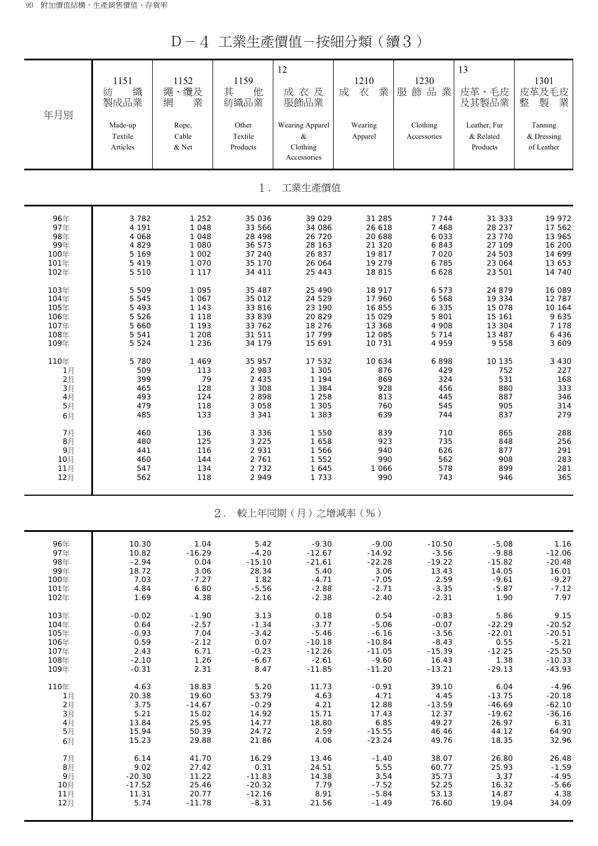D-4 工業生產價值-按細分類(續3)

| 年月別  | 1151<br>織<br>紡<br>製成品業<br>Made-up<br>Textile<br>Articles | 1152<br>繩、纜及<br>業<br>網<br>Rope,<br>Cable<br>& Net | 1159<br>其<br>他<br>紡織品業<br>Other<br>Textile<br>Products | 12<br>成 衣 及<br>服飾品業<br>Wearing Apparel<br>$\&$<br>Clothing<br>Accessories | 1210<br>衣<br>業<br>成<br>Wearing<br>Apparel | 1230<br>服飾品業<br>Clothing<br>Accessories | 13<br>皮革、毛皮<br>及其製品業<br>Leather, Fur<br>& Related<br>Products | 1301<br>皮革及毛皮<br>業<br>整<br>製<br>Tanning<br>& Dressing<br>of Leather |
|------|----------------------------------------------------------|---------------------------------------------------|--------------------------------------------------------|---------------------------------------------------------------------------|-------------------------------------------|-----------------------------------------|---------------------------------------------------------------|---------------------------------------------------------------------|
|      |                                                          |                                                   | $1$ .                                                  | 工業生產價值                                                                    |                                           |                                         |                                                               |                                                                     |
| 96年  | 3 7 8 2                                                  | 1 2 5 2                                           | 35 0 36                                                | 39 0 29                                                                   | 31 285                                    | 7 7 4 4                                 | 31 333                                                        | 19 972                                                              |
| 97年  | 4 1 9 1                                                  | 1 0 4 8                                           | 33 566                                                 | 34 086                                                                    | 26 618                                    | 7 4 6 8                                 | 28 237                                                        | 17 562                                                              |
| 98年  | 4 0 6 8                                                  | 1 0 4 8                                           | 28 4 9 8                                               | 26 7 20                                                                   | 20 688                                    | 6 0 3 3                                 | 23 770                                                        | 13 965                                                              |
| 99年  | 4 8 2 9                                                  | 1 0 8 0                                           | 36 573                                                 | 28 163                                                                    | 21 3 20                                   | 6843                                    | 27 109                                                        | 16 200                                                              |
| 100年 | 5 1 6 9                                                  | 1 0 0 2                                           | 37 240                                                 | 26 837                                                                    | 19817                                     | 7 0 2 0                                 | 24 503                                                        | 14 699                                                              |
| 101年 | 5 4 1 9                                                  | 1 0 7 0                                           | 35 170                                                 | 26 064                                                                    | 19 279                                    | 6 7 8 5                                 | 23 064                                                        | 13 653                                                              |
| 102年 | 5 5 1 0                                                  | 1 1 1 7                                           | 34 411                                                 | 25 4 4 3                                                                  | 18 815                                    | 6 6 2 8                                 | 23 501                                                        | 14 740                                                              |
| 103年 | 5 5 0 9                                                  | 1 0 9 5                                           | 35 487                                                 | 25 4 9 0                                                                  | 18 917                                    | 6 5 7 3                                 | 24 879                                                        | 16 089                                                              |
| 104年 | 5 5 4 5                                                  | 1 0 6 7                                           | 35 012                                                 | 24 5 29                                                                   | 17 960                                    | 6 5 6 8                                 | 19 334                                                        | 12 787                                                              |
| 105年 | 5 4 9 3                                                  | 1 1 4 3                                           | 33 816                                                 | 23 190                                                                    | 16 855                                    | 6 3 3 5                                 | 15 078                                                        | 10 164                                                              |
| 106年 | 5 5 2 6                                                  | 1 1 1 8                                           | 33 839                                                 | 20 829                                                                    | 15 0 29                                   | 5 801                                   | 15 161                                                        | 9 6 3 5                                                             |
| 107年 | 5 6 6 0                                                  | 1 1 9 3                                           | 33 762                                                 | 18 276                                                                    | 13 368                                    | 4 9 0 8                                 | 13 304                                                        | 7 1 7 8                                                             |
| 108年 | 5 5 4 1                                                  | 1 2 0 8                                           | 31 511                                                 | 17 799                                                                    | 12 085                                    | 5 7 1 4                                 | 13 487                                                        | 6 4 3 6                                                             |
| 109年 | 5 5 2 4                                                  | 1 2 3 6                                           | 34 179                                                 | 15 691                                                                    | 10 731                                    | 4 9 5 9                                 | 9 5 5 8                                                       | 3 6 0 9                                                             |
| 110年 | 5 7 8 0                                                  | 1 4 6 9                                           | 35 957                                                 | 17 532                                                                    | 10 634                                    | 6898                                    | 10 135                                                        | 3 4 3 0                                                             |
| 1月   | 509                                                      | 113                                               | 2 9 8 3                                                | 1 3 0 5                                                                   | 876                                       | 429                                     | 752                                                           | 227                                                                 |
| 2月   | 399                                                      | 79                                                | 2 4 3 5                                                | 1 1 9 4                                                                   | 869                                       | 324                                     | 531                                                           | 168                                                                 |
| 3月   | 465                                                      | 128                                               | 3 3 0 8                                                | 1 3 8 4                                                                   | 928                                       | 456                                     | 880                                                           | 333                                                                 |
| 4月   | 493                                                      | 124                                               | 2898                                                   | 1 2 5 8                                                                   | 813                                       | 445                                     | 887                                                           | 346                                                                 |
| 5月   | 479                                                      | 118                                               | 3 0 5 8                                                | 1 3 0 5                                                                   | 760                                       | 545                                     | 905                                                           | 314                                                                 |
| 6月   | 485                                                      | 133                                               | 3 3 4 1                                                | 1 3 8 3                                                                   | 639                                       | 744                                     | 837                                                           | 279                                                                 |
| 7月   | 460                                                      | 136                                               | 3 3 3 6                                                | 1 550                                                                     | 839                                       | 710                                     | 865                                                           | 288                                                                 |
| 8月   | 480                                                      | 125                                               | 3 2 2 5                                                | 1 658                                                                     | 923                                       | 735                                     | 848                                                           | 256                                                                 |
| 9月   | 441                                                      | 116                                               | 2 9 3 1                                                | 1 566                                                                     | 940                                       | 626                                     | 877                                                           | 291                                                                 |
| 10月  | 460                                                      | 144                                               | 2 7 6 1                                                | 1 5 5 2                                                                   | 990                                       | 562                                     | 908                                                           | 283                                                                 |
| 11月  | 547                                                      | 134                                               | 2 7 3 2                                                | 1 6 4 5                                                                   | 1 0 6 6                                   | 578                                     | 899                                                           | 281                                                                 |
| 12月  | 562                                                      | 118                                               | 2949                                                   | 1 7 3 3                                                                   | 990                                       | 743                                     | 946                                                           | 365                                                                 |
|      |                                                          |                                                   | 2.                                                     | 較上年同期(月)之增減率(%)                                                           |                                           |                                         |                                                               |                                                                     |
| 96年  | 10.30                                                    | 1.04                                              | 5.42                                                   | $-9.30$                                                                   | $-9.00$                                   | $-10.50$                                | $-5.08$                                                       | 1.16                                                                |
| 97年  | 10.82                                                    | $-16.29$                                          | $-4.20$                                                | $-12.67$                                                                  | $-14.92$                                  | $-3.56$                                 | $-9.88$                                                       | $-12.06$                                                            |
| 98年  | $-2.94$                                                  | 0.04                                              | $-15.10$                                               | $-21.61$                                                                  | $-22.28$                                  | $-19.22$                                | $-15.82$                                                      | $-20.48$                                                            |
| 99年  | 18.72                                                    | 3.06                                              | 28.34                                                  | 5.40                                                                      | 3.06                                      | 13.43                                   | 14.05                                                         | 16.01                                                               |
| 100年 | 7.03                                                     | $-7.27$                                           | 1.82                                                   | $-4.71$                                                                   | $-7.05$                                   | 2.59                                    | $-9.61$                                                       | $-9.27$                                                             |
| 101年 | 4.84                                                     | 6.80                                              | $-5.56$                                                | $-2.88$                                                                   | $-2.71$                                   | $-3.35$                                 | $-5.87$                                                       | $-7.12$                                                             |
| 102年 | 1.69                                                     | 4.38                                              | $-2.16$                                                | $-2.38$                                                                   | $-2.40$                                   | $-2.31$                                 | 1.90                                                          | 7.97                                                                |
| 103年 | $-0.02$                                                  | $-1.90$                                           | 3.13                                                   | 0.18                                                                      | 0.54                                      | -0.83                                   | 5.86                                                          | 9.15                                                                |
| 104年 | 0.64                                                     | $-2.57$                                           | $-1.34$                                                | $-3.77$                                                                   | $-5.06$                                   | $-0.07$                                 | $-22.29$                                                      | $-20.52$                                                            |
| 105年 | $-0.93$                                                  | 7.04                                              | $-3.42$                                                | $-5.46$                                                                   | $-6.16$                                   | $-3.56$                                 | $-22.01$                                                      | $-20.51$                                                            |
| 106年 | 0.59                                                     | $-2.12$                                           | 0.07                                                   | $-10.18$                                                                  | $-10.84$                                  | $-8.43$                                 | 0.55                                                          | $-5.21$                                                             |
| 107年 | 2.43                                                     | 6.71                                              | $-0.23$                                                | $-12.26$                                                                  | $-11.05$                                  | $-15.39$                                | $-12.25$                                                      | $-25.50$                                                            |
| 108年 | $-2.10$                                                  | 1.26                                              | $-6.67$                                                | $-2.61$                                                                   | $-9.60$                                   | 16.43                                   | 1.38                                                          | $-10.33$                                                            |
| 109年 | $-0.31$                                                  | 2.31                                              | 8.47                                                   | $-11.85$                                                                  | $-11.20$                                  | $-13.21$                                | $-29.13$                                                      | $-43.93$                                                            |
| 110年 | 4.63                                                     | 18.83                                             | 5.20                                                   | 11.73                                                                     | $-0.91$                                   | 39.10                                   | 6.04                                                          | $-4.96$                                                             |
| 1月   | 20.38                                                    | 19.60                                             | 53.79                                                  | 4.63                                                                      | 4.71                                      | 4.45                                    | $-13.75$                                                      | $-20.18$                                                            |
| 2月   | 3.75                                                     | $-14.67$                                          | $-0.29$                                                | 4.21                                                                      | 12.88                                     | $-13.59$                                | $-46.69$                                                      | $-62.10$                                                            |
| 3月   | 5.21                                                     | 15.02                                             | 14.92                                                  | 15.71                                                                     | 17.43                                     | 12.37                                   | $-19.62$                                                      | $-36.16$                                                            |
| 4月   | 13.84                                                    | 25.95                                             | 14.77                                                  | 18.80                                                                     | 6.85                                      | 49.27                                   | 26.97                                                         | 6.31                                                                |
| 5月   | 15.94                                                    | 50.39                                             | 24.72                                                  | 2.59                                                                      | $-15.55$                                  | 46.46                                   | 44.12                                                         | 64.90                                                               |
| 6月   | 15.23                                                    | 29.88                                             | 21.86                                                  | 4.06                                                                      | $-23.24$                                  | 49.76                                   | 18.35                                                         | 32.96                                                               |
| 7月   | 6.14                                                     | 41.70                                             | 16.29                                                  | 13.46                                                                     | $-1.40$                                   | 38.07                                   | 26.80                                                         | 26.48                                                               |
| 8月   | 9.02                                                     | 27.42                                             | 0.31                                                   | 24.51                                                                     | 5.55                                      | 60.77                                   | 25.93                                                         | $-1.59$                                                             |
| 9月   | $-20.30$                                                 | 11.22                                             | $-11.83$                                               | 14.38                                                                     | 3.54                                      | 35.73                                   | 3.37                                                          | $-4.95$                                                             |
| 10月  | $-17.52$                                                 | 25.46                                             | $-20.32$                                               | 7.79                                                                      | $-7.52$                                   | 52.25                                   | 16.32                                                         | $-5.66$                                                             |
| 11月  | 11.31                                                    | 20.77                                             | $-12.16$                                               | 8.91                                                                      | $-5.84$                                   | 53.13                                   | 14.87                                                         | 4.38                                                                |
| 12月  | 5.74                                                     | $-11.78$                                          | $-8.31$                                                | 21.56                                                                     | $-1.49$                                   | 76.60                                   | 19.04                                                         | 34.09                                                               |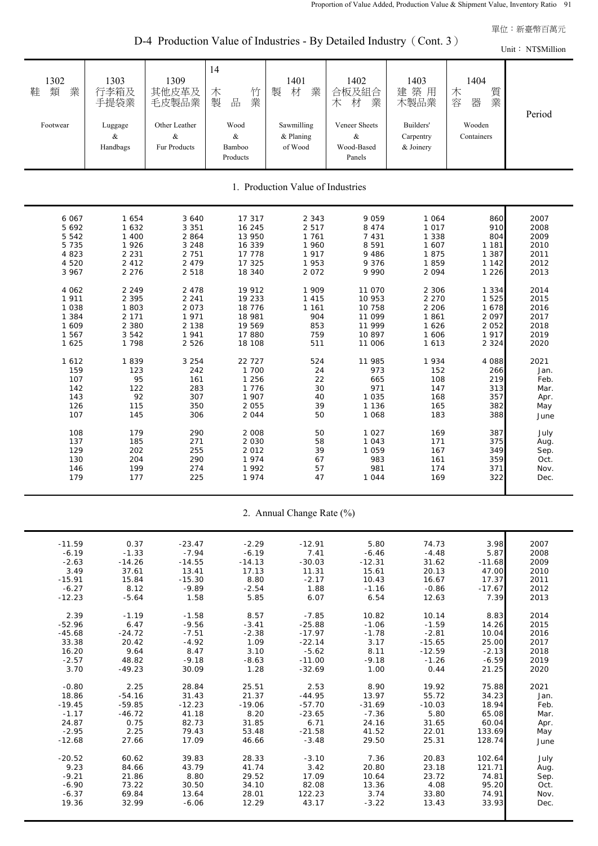D-4 Production Value of Industries - By Detailed Industry (Cont. 3)

| $D_{\text{H}}$ I found the value of munistries - By Detailed munstry (Com. 3)<br>Unit: NT\$Million |                                         |                                                 |                                                             |                                                |                                                       |                                               |                                                   |        |  |  |
|----------------------------------------------------------------------------------------------------|-----------------------------------------|-------------------------------------------------|-------------------------------------------------------------|------------------------------------------------|-------------------------------------------------------|-----------------------------------------------|---------------------------------------------------|--------|--|--|
| 1302<br>類<br>業<br>鞋<br>Footwear                                                                    | 1303<br>行李箱及<br>手提袋業<br>Luggage<br>$\&$ | 1309<br>其他皮革及<br>毛皮製品業<br>Other Leather<br>$\&$ | 14<br>竹業<br>木<br>製<br>$\frac{\Box}{\Box \Box}$<br>Wood<br>& | 1401<br>製<br>材<br>業<br>Sawmilling<br>& Planing | 1402<br>合板及組合<br>材<br>業<br>木<br>Veneer Sheets<br>$\&$ | 1403<br>建築用<br>木製品業<br>Builders'<br>Carpentry | 1404<br>質業<br>木<br>容<br>器<br>Wooden<br>Containers | Period |  |  |
|                                                                                                    | Handbags                                | Fur Products                                    | Bamboo<br>Products                                          | of Wood                                        | Wood-Based<br>Panels                                  | & Joinery                                     |                                                   |        |  |  |
| 1. Production Value of Industries                                                                  |                                         |                                                 |                                                             |                                                |                                                       |                                               |                                                   |        |  |  |
| 6 0 6 7                                                                                            | 1 654                                   | 3 6 4 0                                         | 17 317                                                      | 2 3 4 3                                        | 9 0 5 9                                               | 1 0 6 4                                       | 860                                               | 2007   |  |  |
| 5 6 9 2                                                                                            | 1 6 3 2                                 | 3 3 5 1                                         | 16 245                                                      | 2 5 1 7                                        | 8 4 7 4                                               | 1 0 1 7                                       | 910                                               | 2008   |  |  |
| 5 5 4 2                                                                                            | 1 4 0 0                                 | 2 8 6 4                                         | 13 950                                                      | 1 761                                          | 7 4 3 1                                               | 1 3 3 8                                       | 804                                               | 2009   |  |  |
| 5 7 3 5                                                                                            | 1926                                    | 3 2 4 8                                         | 16 339                                                      | 1 960                                          | 8 5 9 1                                               | 1 607                                         | 1 1 8 1                                           | 2010   |  |  |
| 4 8 2 3                                                                                            | 2 2 3 1                                 | 2 7 5 1                                         | 17 778                                                      | 1917                                           | 9 4 8 6                                               | 1875                                          | 1 3 8 7                                           | 2011   |  |  |
| 4 5 2 0                                                                                            | 2 4 1 2                                 | 2 4 7 9                                         | 17 325                                                      | 1953                                           | 9 3 7 6                                               | 1859                                          | 1 142                                             | 2012   |  |  |
| 3 9 6 7                                                                                            | 2 2 7 6                                 | 2 5 1 8                                         | 18 340                                                      | 2 0 7 2                                        | 9 9 9 0                                               | 2 0 9 4                                       | 1 2 2 6                                           | 2013   |  |  |
| 4 0 6 2                                                                                            | 2 2 4 9                                 | 2 4 7 8                                         | 19 912                                                      | 1 909                                          | 11 070                                                | 2 3 0 6                                       | 1 3 3 4                                           | 2014   |  |  |
| 1911                                                                                               | 2 3 9 5                                 | 2 2 4 1                                         | 19 233                                                      | 1 4 1 5                                        | 10 953                                                | 2 2 7 0                                       | 1 5 2 5                                           | 2015   |  |  |
| 1 0 3 8                                                                                            | 1803                                    | 2 0 7 3                                         | 18 7 7 6                                                    | 1 1 6 1                                        | 10 758                                                | 2 2 0 6                                       | 1678                                              | 2016   |  |  |
| 1 3 8 4                                                                                            | 2 1 7 1                                 | 1971                                            | 18 981                                                      | 904                                            | 11 099                                                | 1861                                          | 2 0 9 7                                           | 2017   |  |  |
| 1 609                                                                                              | 2 3 8 0                                 | 2 1 3 8                                         | 19 569                                                      | 853                                            | 11 999                                                | 1 6 2 6                                       | 2 0 5 2                                           | 2018   |  |  |
| 1 5 6 7                                                                                            | 3 5 4 2                                 | 1941                                            | 17880                                                       | 759                                            | 10 897                                                | 1 606                                         | 1917                                              | 2019   |  |  |
| 1 6 2 5                                                                                            | 1798                                    | 2 5 2 6                                         | 18 108                                                      | 511                                            | 11 006                                                | 1 6 1 3                                       | 2 3 2 4                                           | 2020   |  |  |
| 1 6 1 2                                                                                            | 1839                                    | 3 2 5 4                                         | 22 7 27                                                     | 524                                            | 11 985                                                | 1934                                          | 4 0 8 8                                           | 2021   |  |  |
| 159                                                                                                | 123                                     | 242                                             | 1 700                                                       | 24                                             | 973                                                   | 152                                           | 266                                               | Jan.   |  |  |
| 107                                                                                                | 95                                      | 161                                             | 1 2 5 6                                                     | 22                                             | 665                                                   | 108                                           | 219                                               | Feb.   |  |  |
| 142                                                                                                | 122                                     | 283                                             | 1 7 7 6                                                     | 30                                             | 971                                                   | 147                                           | 313                                               | Mar.   |  |  |
| 143                                                                                                | 92                                      | 307                                             | 1 907                                                       | 40                                             | 1 0 3 5                                               | 168                                           | 357                                               | Apr.   |  |  |
| 126                                                                                                | 115                                     | 350                                             | 2 0 5 5                                                     | 39                                             | 1 1 3 6                                               | 165                                           | 382                                               | May    |  |  |
| 107                                                                                                | 145                                     | 306                                             | 2 0 4 4                                                     | 50                                             | 1 0 6 8                                               | 183                                           | 388                                               | June   |  |  |
| 108                                                                                                | 179                                     | 290                                             | 2 0 0 8                                                     | 50                                             | 1 0 2 7                                               | 169                                           | 387                                               | July   |  |  |
| 137                                                                                                | 185                                     | 271                                             | 2 0 3 0                                                     | 58                                             | 1 0 4 3                                               | 171                                           | 375                                               | Aug.   |  |  |
| 129                                                                                                | 202                                     | 255                                             | 2 0 1 2                                                     | 39                                             | 1 0 5 9                                               | 167                                           | 349                                               | Sep.   |  |  |
| 130                                                                                                | 204                                     | 290                                             | 1974                                                        | 67                                             | 983                                                   | 161                                           | 359                                               | Oct.   |  |  |
| 146                                                                                                | 199                                     | 274                                             | 1992                                                        | 57                                             | 981                                                   | 174                                           | 371                                               | Nov.   |  |  |
| 179                                                                                                | 177                                     | 225                                             | 1974                                                        | 47                                             | 1 0 4 4                                               | 169                                           | 322                                               | Dec.   |  |  |

| 2. Annual Change Rate (%) |  |  |
|---------------------------|--|--|
|                           |  |  |

|          |                                                                                             |                                                                   |                                                                         |                                                                                       |                                                                                  |                                                                             |                                                                                           | 2007                                                                    |
|----------|---------------------------------------------------------------------------------------------|-------------------------------------------------------------------|-------------------------------------------------------------------------|---------------------------------------------------------------------------------------|----------------------------------------------------------------------------------|-----------------------------------------------------------------------------|-------------------------------------------------------------------------------------------|-------------------------------------------------------------------------|
|          |                                                                                             |                                                                   |                                                                         |                                                                                       |                                                                                  |                                                                             |                                                                                           | 2008                                                                    |
|          |                                                                                             |                                                                   |                                                                         |                                                                                       |                                                                                  |                                                                             |                                                                                           | 2009                                                                    |
|          |                                                                                             |                                                                   |                                                                         |                                                                                       |                                                                                  |                                                                             |                                                                                           | 2010                                                                    |
|          |                                                                                             |                                                                   |                                                                         |                                                                                       |                                                                                  |                                                                             |                                                                                           | 2011                                                                    |
|          |                                                                                             | $-9.89$                                                           |                                                                         |                                                                                       |                                                                                  |                                                                             | $-17.67$                                                                                  | 2012                                                                    |
| $-12.23$ | $-5.64$                                                                                     | 1.58                                                              | 5.85                                                                    | 6.07                                                                                  | 6.54                                                                             | 12.63                                                                       | 7.39                                                                                      | 2013                                                                    |
| 2.39     | $-1.19$                                                                                     | $-1.58$                                                           |                                                                         | $-7.85$                                                                               | 10.82                                                                            | 10.14                                                                       | 8.83                                                                                      | 2014                                                                    |
| $-52.96$ | 6.47                                                                                        | $-9.56$                                                           | $-3.41$                                                                 | $-25.88$                                                                              | $-1.06$                                                                          | $-1.59$                                                                     | 14.26                                                                                     | 2015                                                                    |
|          |                                                                                             |                                                                   |                                                                         |                                                                                       |                                                                                  |                                                                             |                                                                                           | 2016                                                                    |
|          | 20.42                                                                                       | $-4.92$                                                           |                                                                         |                                                                                       |                                                                                  |                                                                             |                                                                                           | 2017                                                                    |
|          | 9.64                                                                                        |                                                                   | 3.10                                                                    | $-5.62$                                                                               | 8.11                                                                             |                                                                             |                                                                                           | 2018                                                                    |
| $-2.57$  | 48.82                                                                                       | $-9.18$                                                           | $-8.63$                                                                 | $-11.00$                                                                              | $-9.18$                                                                          | $-1.26$                                                                     | $-6.59$                                                                                   | 2019                                                                    |
| 3.70     | $-49.23$                                                                                    | 30.09                                                             | 1.28                                                                    | $-32.69$                                                                              | 1.00                                                                             | 0.44                                                                        | 21.25                                                                                     | 2020                                                                    |
|          |                                                                                             |                                                                   |                                                                         |                                                                                       |                                                                                  |                                                                             |                                                                                           |                                                                         |
| $-0.80$  | 2.25                                                                                        | 28.84                                                             | 25.51                                                                   | 2.53                                                                                  | 8.90                                                                             | 19.92                                                                       | 75.88                                                                                     | 2021                                                                    |
| 18.86    | $-54.16$                                                                                    | 31.43                                                             | 21.37                                                                   | $-44.95$                                                                              | 13.97                                                                            | 55.72                                                                       | 34.23                                                                                     | Jan.                                                                    |
| $-19.45$ | $-59.85$                                                                                    | $-12.23$                                                          | $-19.06$                                                                | $-57.70$                                                                              | $-31.69$                                                                         | $-10.03$                                                                    | 18.94                                                                                     | Feb.                                                                    |
| $-1.17$  | $-46.72$                                                                                    | 41.18                                                             | 8.20                                                                    | $-23.65$                                                                              | $-7.36$                                                                          | 5.80                                                                        | 65.08                                                                                     | Mar.                                                                    |
| 24.87    | 0.75                                                                                        | 82.73                                                             | 31.85                                                                   | 6.71                                                                                  | 24.16                                                                            | 31.65                                                                       | 60.04                                                                                     | Apr.                                                                    |
| $-2.95$  | 2.25                                                                                        | 79.43                                                             | 53.48                                                                   | $-21.58$                                                                              | 41.52                                                                            | 22.01                                                                       | 133.69                                                                                    | May                                                                     |
| $-12.68$ | 27.66                                                                                       | 17.09                                                             | 46.66                                                                   | $-3.48$                                                                               | 29.50                                                                            | 25.31                                                                       | 128.74                                                                                    | June                                                                    |
|          |                                                                                             |                                                                   |                                                                         |                                                                                       |                                                                                  |                                                                             |                                                                                           |                                                                         |
| $-20.52$ | 60.62                                                                                       | 39.83                                                             | 28.33                                                                   | $-3.10$                                                                               | 7.36                                                                             | 20.83                                                                       | 102.64                                                                                    | July                                                                    |
| 9.23     | 84.66                                                                                       | 43.79                                                             | 41.74                                                                   | 3.42                                                                                  | 20.80                                                                            | 23.18                                                                       | 121.71                                                                                    | Aug.                                                                    |
| $-9.21$  | 21.86                                                                                       | 8.80                                                              | 29.52                                                                   | 17.09                                                                                 | 10.64                                                                            | 23.72                                                                       | 74.81                                                                                     | Sep.                                                                    |
| $-6.90$  | 73.22                                                                                       | 30.50                                                             | 34.10                                                                   | 82.08                                                                                 | 13.36                                                                            | 4.08                                                                        | 95.20                                                                                     | Oct.                                                                    |
| $-6.37$  | 69.84                                                                                       | 13.64                                                             | 28.01                                                                   | 122.23                                                                                | 3.74                                                                             | 33.80                                                                       | 74.91                                                                                     | Nov.                                                                    |
| 19.36    | 32.99                                                                                       | $-6.06$                                                           | 12.29                                                                   | 43.17                                                                                 | $-3.22$                                                                          | 13.43                                                                       | 33.93                                                                                     | Dec.                                                                    |
|          |                                                                                             |                                                                   |                                                                         |                                                                                       |                                                                                  |                                                                             |                                                                                           |                                                                         |
|          | $-11.59$<br>$-6.19$<br>$-2.63$<br>3.49<br>$-15.91$<br>$-6.27$<br>$-45.68$<br>33.38<br>16.20 | 0.37<br>$-1.33$<br>$-14.26$<br>37.61<br>15.84<br>8.12<br>$-24.72$ | $-23.47$<br>$-7.94$<br>$-14.55$<br>13.41<br>$-15.30$<br>$-7.51$<br>8.47 | $-2.29$<br>$-6.19$<br>$-14.13$<br>17.13<br>8.80<br>$-2.54$<br>8.57<br>$-2.38$<br>1.09 | $-12.91$<br>7.41<br>$-30.03$<br>11.31<br>$-2.17$<br>1.88<br>$-17.97$<br>$-22.14$ | 5.80<br>$-6.46$<br>$-12.31$<br>15.61<br>10.43<br>$-1.16$<br>$-1.78$<br>3.17 | 74.73<br>$-4.48$<br>31.62<br>20.13<br>16.67<br>$-0.86$<br>$-2.81$<br>$-15.65$<br>$-12.59$ | 3.98<br>5.87<br>$-11.68$<br>47.00<br>17.37<br>10.04<br>25.00<br>$-2.13$ |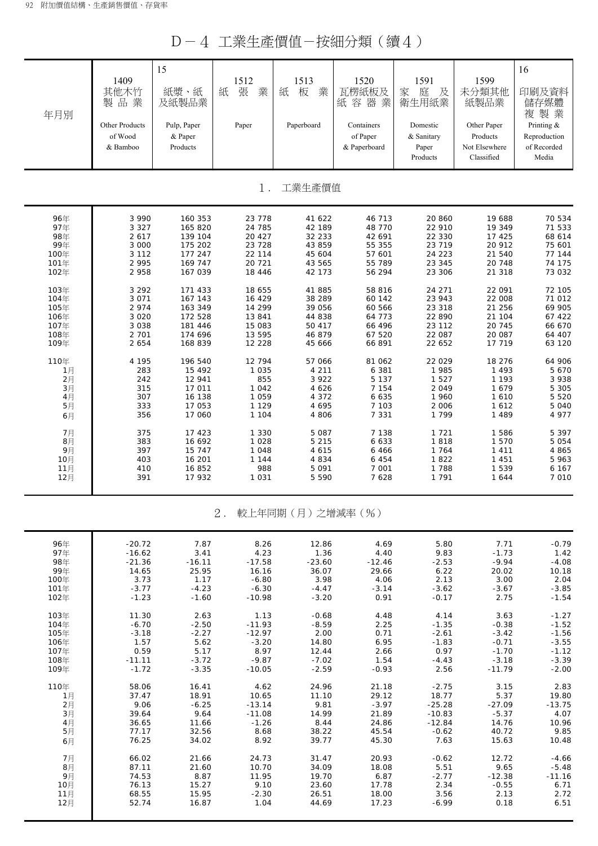D-4 工業生產價值-按細分類(續4)

| 年月別  | 1409<br>其他木竹<br>製品業<br>Other Products<br>of Wood<br>& Bamboo | 15<br>紙漿、紙<br>及紙製品業<br>Pulp, Paper<br>& Paper<br>Products | 1512<br>張<br>紙<br>業<br>Paper | 1513<br>業<br>紙<br>板<br>Paperboard | 1520<br>瓦楞紙板及<br>紙容器<br>業<br>Containers<br>of Paper<br>& Paperboard | 1591<br>家<br>庭<br>及<br>衛生用紙業<br>Domestic<br>& Sanitary<br>Paper<br>Products | 1599<br>未分類其他<br>紙製品業<br>Other Paper<br>Products<br>Not Elsewhere<br>Classified | 16<br>印刷及資料<br>儲存媒體<br>複製業<br>Printing &<br>Reproduction<br>of Recorded<br>Media |
|------|--------------------------------------------------------------|-----------------------------------------------------------|------------------------------|-----------------------------------|---------------------------------------------------------------------|-----------------------------------------------------------------------------|---------------------------------------------------------------------------------|----------------------------------------------------------------------------------|
|      |                                                              |                                                           | $1$ .                        | 工業生產價值                            |                                                                     |                                                                             |                                                                                 |                                                                                  |
| 96年  | 3 9 9 0                                                      | 160 353                                                   | 23 7 7 8                     | 41 622                            | 46 713                                                              | 20 860                                                                      | 19 688                                                                          | 70 534                                                                           |
| 97年  | 3 3 2 7                                                      | 165 820                                                   | 24 785                       | 42 189                            | 48 770                                                              | 22 910                                                                      | 19 349                                                                          | 71 533                                                                           |
| 98年  | 2 6 1 7                                                      | 139 104                                                   | 20 4 27                      | 32 233                            | 42 691                                                              | 22 330                                                                      | 17 425                                                                          | 68 614                                                                           |
| 99年  | 3 0 0 0                                                      | 175 202                                                   | 23 7 28                      | 43 859                            | 55 355                                                              | 23 719                                                                      | 20 912                                                                          | 75 601                                                                           |
| 100年 | 3 1 1 2                                                      | 177 247                                                   | 22 114                       | 45 604                            | 57 601                                                              | 24 223                                                                      | 21 540                                                                          | 77 144                                                                           |
| 101年 | 2 9 9 5                                                      | 169 747                                                   | 20 7 21                      | 43 565                            | 55 789                                                              | 23 345                                                                      | 20 748                                                                          | 74 175                                                                           |
| 102年 | 2958                                                         | 167 039                                                   | 18 4 4 6                     | 42 173                            | 56 294                                                              | 23 306                                                                      | 21 318                                                                          | 73 032                                                                           |
| 103年 | 3 2 9 2                                                      | 171 433                                                   | 18 655                       | 41 885                            | 58 816                                                              | 24 271                                                                      | 22 091                                                                          | 72 105                                                                           |
| 104年 | 3 0 7 1                                                      | 167 143                                                   | 16 429                       | 38 289                            | 60 142                                                              | 23 943                                                                      | 22 008                                                                          | 71 012                                                                           |
| 105年 | 2 9 7 4                                                      | 163 349                                                   | 14 299                       | 39 056                            | 60 566                                                              | 23 318                                                                      | 21 256                                                                          | 69 905                                                                           |
| 106年 | 3 0 2 0                                                      | 172 528                                                   | 13 841                       | 44 838                            | 64 773                                                              | 22 890                                                                      | 21 104                                                                          | 67 422                                                                           |
| 107年 | 3 0 3 8                                                      | 181 446                                                   | 15 083                       | 50 417                            | 66 496                                                              | 23 112                                                                      | 20 745                                                                          | 66 670                                                                           |
| 108年 | 2 7 0 1                                                      | 174 696                                                   | 13 5 9 5                     | 46 879                            | 67 520                                                              | 22 087                                                                      | 20 087                                                                          | 64 407                                                                           |
| 109年 | 2 6 5 4                                                      | 168 839                                                   | 12 2 2 8                     | 45 666                            | 66 891                                                              | 22 652                                                                      | 17 719                                                                          | 63 120                                                                           |
| 110年 | 4 1 9 5                                                      | 196 540                                                   | 12 794                       | 57 066                            | 81 062                                                              | 22 0 29                                                                     | 18 276                                                                          | 64 906                                                                           |
| 1月   | 283                                                          | 15 4 9 2                                                  | 1 0 3 5                      | 4 2 1 1                           | 6 3 8 1                                                             | 1 9 8 5                                                                     | 1 4 9 3                                                                         | 5 670                                                                            |
| 2月   | 242                                                          | 12 941                                                    | 855                          | 3 9 2 2                           | 5 1 3 7                                                             | 1 5 2 7                                                                     | 1 1 9 3                                                                         | 3 938                                                                            |
| 3月   | 315                                                          | 17 011                                                    | 1 0 4 2                      | 4 6 2 6                           | 7 1 5 4                                                             | 2 0 4 9                                                                     | 1679                                                                            | 5 305                                                                            |
| 4月   | 307                                                          | 16 138                                                    | 1 0 5 9                      | 4 3 7 2                           | 6 6 3 5                                                             | 1 960                                                                       | 1610                                                                            | 5 520                                                                            |
| 5月   | 333                                                          | 17 053                                                    | 1 1 2 9                      | 4 6 9 5                           | 7 103                                                               | 2 0 0 6                                                                     | 1612                                                                            | 5 0 4 0                                                                          |
| 6月   | 356                                                          | 17 060                                                    | 1 1 0 4                      | 4 8 0 6                           | 7 3 3 1                                                             | 1 7 9 9                                                                     | 1 4 8 9                                                                         | 4 9 7 7                                                                          |
| 7月   | 375                                                          | 17 423                                                    | 1 3 3 0                      | 5 0 8 7                           | 7 1 3 8                                                             | 1 7 2 1                                                                     | 1 5 8 6                                                                         | 5 3 9 7                                                                          |
| 8月   | 383                                                          | 16 692                                                    | 1 0 2 8                      | 5 2 1 5                           | 6 6 3 3                                                             | 1818                                                                        | 1 570                                                                           | 5 0 5 4                                                                          |
| 9月   | 397                                                          | 15 747                                                    | 1 0 4 8                      | 4 6 1 5                           | 6 4 6 6                                                             | 1 764                                                                       | 1 4 1 1                                                                         | 4 8 6 5                                                                          |
| 10月  | 403                                                          | 16 201                                                    | 1 1 4 4                      | 4 8 3 4                           | 6 4 5 4                                                             | 1822                                                                        | 1 4 5 1                                                                         | 5 9 6 3                                                                          |
| 11月  | 410                                                          | 16 852                                                    | 988                          | 5 0 9 1                           | 7 001                                                               | 1 7 8 8                                                                     | 1 5 3 9                                                                         | 6 1 6 7                                                                          |
| 12月  | 391                                                          | 17 932                                                    | 1 0 3 1                      | 5 5 9 0                           | 7 6 2 8                                                             | 1 7 9 1                                                                     | 1 644                                                                           | 7 0 1 0                                                                          |
|      |                                                              |                                                           | $2$ .                        | 較上年同期(月)之增減率(%)                   |                                                                     |                                                                             |                                                                                 |                                                                                  |
| 96年  | $-20.72$                                                     | 7.87                                                      | 8.26                         | 12.86                             | 4.69                                                                | 5.80                                                                        | 7.71                                                                            | $-0.79$                                                                          |
| 97年  | $-16.62$                                                     | 3.41                                                      | 4.23                         | 1.36                              | 4.40                                                                | 9.83                                                                        | $-1.73$                                                                         | 1.42                                                                             |
| 98年  | $-21.36$                                                     | $-16.11$                                                  | $-17.58$                     | $-23.60$                          | $-12.46$                                                            | $-2.53$                                                                     | $-9.94$                                                                         | $-4.08$                                                                          |
| 99年  | 14.65                                                        | 25.95                                                     | 16.16                        | 36.07                             | 29.66                                                               | 6.22                                                                        | 20.02                                                                           | 10.18                                                                            |
| 100年 | 3.73                                                         | 1.17                                                      | $-6.80$                      | 3.98                              | 4.06                                                                | 2.13                                                                        | 3.00                                                                            | 2.04                                                                             |
| 101年 | $-3.77$                                                      | $-4.23$                                                   | $-6.30$                      | $-4.47$                           | $-3.14$                                                             | $-3.62$                                                                     | $-3.67$                                                                         | $-3.85$                                                                          |
| 102年 | $-1.23$                                                      | $-1.60$                                                   | $-10.98$                     | $-3.20$                           | 0.91                                                                | $-0.17$                                                                     | 2.75                                                                            | $-1.54$                                                                          |
| 103年 | 11.30                                                        | 2.63                                                      | 1.13                         | $-0.68$                           | 4.48                                                                | 4.14                                                                        | 3.63                                                                            | $-1.27$                                                                          |
| 104年 | $-6.70$                                                      | $-2.50$                                                   | $-11.93$                     | $-8.59$                           | 2.25                                                                | $-1.35$                                                                     | $-0.38$                                                                         | $-1.52$                                                                          |
| 105年 | $-3.18$                                                      | $-2.27$                                                   | $-12.97$                     | 2.00                              | 0.71                                                                | $-2.61$                                                                     | $-3.42$                                                                         | $-1.56$                                                                          |
| 106年 | 1.57                                                         | 5.62                                                      | $-3.20$                      | 14.80                             | 6.95                                                                | $-1.83$                                                                     | $-0.71$                                                                         | $-3.55$                                                                          |
| 107年 | 0.59                                                         | 5.17                                                      | 8.97                         | 12.44                             | 2.66                                                                | 0.97                                                                        | $-1.70$                                                                         | $-1.12$                                                                          |
| 108年 | $-11.11$                                                     | $-3.72$                                                   | $-9.87$                      | $-7.02$                           | 1.54                                                                | $-4.43$                                                                     | $-3.18$                                                                         | $-3.39$                                                                          |
| 109年 | $-1.72$                                                      | $-3.35$                                                   | $-10.05$                     | $-2.59$                           | $-0.93$                                                             | 2.56                                                                        | $-11.79$                                                                        | $-2.00$                                                                          |
| 110年 | 58.06                                                        | 16.41                                                     | 4.62                         | 24.96                             | 21.18                                                               | $-2.75$                                                                     | 3.15                                                                            | 2.83                                                                             |
| 1月   | 37.47                                                        | 18.91                                                     | 10.65                        | 11.10                             | 29.12                                                               | 18.77                                                                       | 5.37                                                                            | 19.80                                                                            |
| 2月   | 9.06                                                         | $-6.25$                                                   | $-13.14$                     | 9.81                              | $-3.97$                                                             | $-25.28$                                                                    | $-27.09$                                                                        | $-13.75$                                                                         |
| 3月   | 39.64                                                        | 9.64                                                      | $-11.08$                     | 14.99                             | 21.89                                                               | $-10.83$                                                                    | $-5.37$                                                                         | 4.07                                                                             |
| 4月   | 36.65                                                        | 11.66                                                     | $-1.26$                      | 8.44                              | 24.86                                                               | $-12.84$                                                                    | 14.76                                                                           | 10.96                                                                            |
| 5月   | 77.17                                                        | 32.56                                                     | 8.68                         | 38.22                             | 45.54                                                               | $-0.62$                                                                     | 40.72                                                                           | 9.85                                                                             |
| 6月   | 76.25                                                        | 34.02                                                     | 8.92                         | 39.77                             | 45.30                                                               | 7.63                                                                        | 15.63                                                                           | 10.48                                                                            |
| 7月   | 66.02                                                        | 21.66                                                     | 24.73                        | 31.47                             | 20.93                                                               | $-0.62$                                                                     | 12.72                                                                           | $-4.66$                                                                          |
| 8月   | 87.11                                                        | 21.60                                                     | 10.70                        | 34.09                             | 18.08                                                               | 5.51                                                                        | 9.65                                                                            | $-5.48$                                                                          |
| 9月   | 74.53                                                        | 8.87                                                      | 11.95                        | 19.70                             | 6.87                                                                | $-2.77$                                                                     | $-12.38$                                                                        | $-11.16$                                                                         |
| 10月  | 76.13                                                        | 15.27                                                     | 9.10                         | 23.60                             | 17.78                                                               | 2.34                                                                        | $-0.55$                                                                         | 6.71                                                                             |
| 11月  | 68.55                                                        | 15.95                                                     | $-2.30$                      | 26.51                             | 18.00                                                               | 3.56                                                                        | 2.13                                                                            | 2.72                                                                             |
| 12月  | 52.74                                                        | 16.87                                                     | 1.04                         | 44.69                             | 17.23                                                               | $-6.99$                                                                     | 0.18                                                                            | 6.51                                                                             |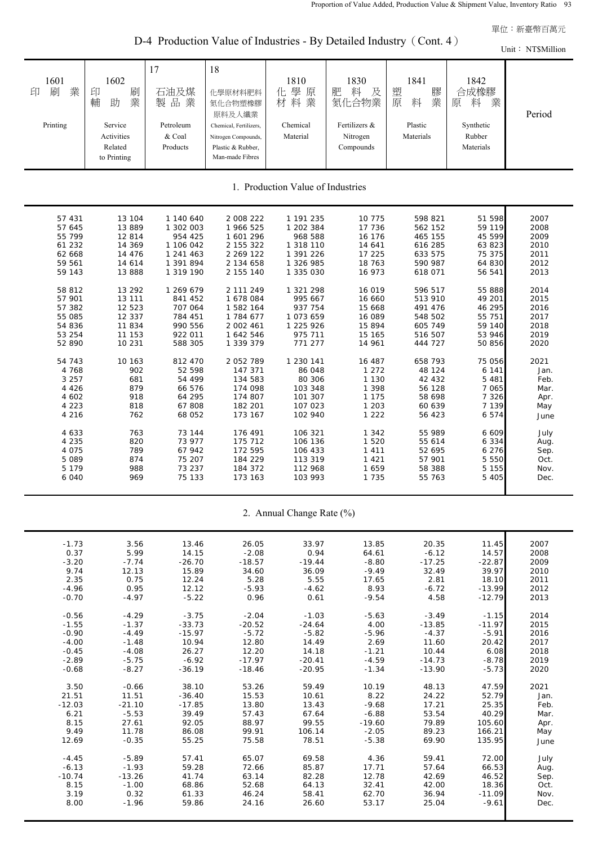D-4 Production Value of Industries - By Detailed Industry (Cont. 4)

| 18<br>17<br>1602<br>1810<br>1841<br>1601<br>1830<br>1842<br>合成橡膠<br>刷<br>業<br>化學原<br>肥<br>料<br>塑<br>膠<br>印<br>刷<br>印<br>石油及煤<br>及<br>化學原材料肥料<br>業<br>業<br>製品業<br>材料業<br>原<br>料<br>業<br>輔<br>氮化合物業<br>料<br>助<br>原<br>氮化合物塑橡膠<br>Period<br>原料及人纖業<br>Printing<br>Service<br>Petroleum<br>Chemical, Fertilizers,<br>Chemical<br>Fertilizers &<br>Plastic<br>Synthetic<br>& Coal<br>Rubber<br>Activities<br>Material<br>Nitrogen<br>Materials<br>Nitrogen Compounds,<br>Related<br>Products<br>Compounds<br>Materials<br>Plastic & Rubber,<br>Man-made Fibres<br>to Printing<br>1. Production Value of Industries<br>57 431<br>2 008 222<br>10 775<br>2007<br>13 104<br>1 140 640<br>1 191 235<br>598 821<br>51 598<br>13 889<br>1 966 525<br>17 736<br>2008<br>57 645<br>1 302 003<br>1 202 384<br>562 152<br>59 119<br>55 799<br>12 814<br>45 599<br>2009<br>954 425<br>1 601 296<br>968 588<br>16 176<br>465 155<br>61 232<br>14 369<br>1 106 042<br>2 155 322<br>616 285<br>2010<br>1 318 110<br>14 641<br>63 823<br>62 668<br>14 4 7 6<br>1 241 463<br>2 269 122<br>1 391 226<br>17 225<br>633 575<br>75 375<br>2011<br>59 561<br>1 326 985<br>18 763<br>590 987<br>2012<br>14 614<br>1 391 894<br>2 134 658<br>64 830<br>13 888<br>1 335 030<br>16 973<br>2013<br>59 143<br>1 319 190<br>2 155 140<br>618 071<br>56 541<br>16 019<br>2014<br>58 812<br>13 29 2<br>1 269 679<br>2 111 249<br>1 321 298<br>596 517<br>55 888<br>57 901<br>13 111<br>1 678 084<br>16 660<br>513 910<br>49 201<br>2015<br>841 452<br>995 667<br>57 382<br>12 523<br>707 064<br>937 754<br>46 295<br>2016<br>1 582 164<br>15 668<br>491 476<br>55 085<br>12 337<br>1 784 677<br>55 751<br>2017<br>784 451<br>1 073 659<br>16 089<br>548 502<br>54 836<br>11 834<br>990 556<br>2 002 461<br>1 225 926<br>15 894<br>605 749<br>2018<br>59 140<br>53 254<br>11 153<br>2019<br>922 011<br>1 642 546<br>975 711<br>15 165<br>516 507<br>53 946<br>52 890<br>10 231<br>588 305<br>1 339 379<br>771 277<br>14 961<br>444 727<br>2020<br>50 856<br>2 052 789<br>2021<br>54 743<br>10 163<br>812 470<br>1 230 141<br>16 487<br>658 793<br>75 056<br>902<br>1 2 7 2<br>48 124<br>4 768<br>52 598<br>147 371<br>86 048<br>6 141<br>Jan.<br>3 2 5 7<br>681<br>80 306<br>54 499<br>134 583<br>1 1 3 0<br>42 432<br>5 4 8 1<br>Feb.<br>4 4 2 6<br>879<br>66 576<br>1 3 9 8<br>56 128<br>174 098<br>103 348<br>7 0 6 5<br>Mar.<br>918<br>4 602<br>64 295<br>174 807<br>101 307<br>1 1 7 5<br>58 698<br>7 3 2 6<br>Apr.<br>1 2 0 3<br>4 2 2 3<br>818<br>67 808<br>182 201<br>107 023<br>60 639<br>7 139<br>May<br>4 2 1 6<br>762<br>68 052<br>173 167<br>102 940<br>1 2 2 2<br>56 423<br>6 5 7 4<br>June<br>763<br>4 6 3 3<br>73 144<br>176 491<br>106 321<br>1 3 4 2<br>55 989<br>6 609<br>July<br>820<br>73 977<br>4 2 3 5<br>175 712<br>106 136<br>1 5 2 0<br>55 614<br>6 3 3 4<br>Aug.<br>789<br>4 0 7 5<br>67 942<br>172 595<br>106 433<br>1 4 1 1<br>52 695<br>6 2 7 6 |  |  |  |  | Unit: NT\$Million |
|-------------------------------------------------------------------------------------------------------------------------------------------------------------------------------------------------------------------------------------------------------------------------------------------------------------------------------------------------------------------------------------------------------------------------------------------------------------------------------------------------------------------------------------------------------------------------------------------------------------------------------------------------------------------------------------------------------------------------------------------------------------------------------------------------------------------------------------------------------------------------------------------------------------------------------------------------------------------------------------------------------------------------------------------------------------------------------------------------------------------------------------------------------------------------------------------------------------------------------------------------------------------------------------------------------------------------------------------------------------------------------------------------------------------------------------------------------------------------------------------------------------------------------------------------------------------------------------------------------------------------------------------------------------------------------------------------------------------------------------------------------------------------------------------------------------------------------------------------------------------------------------------------------------------------------------------------------------------------------------------------------------------------------------------------------------------------------------------------------------------------------------------------------------------------------------------------------------------------------------------------------------------------------------------------------------------------------------------------------------------------------------------------------------------------------------------------------------------------------------------------------------------------------------------------------------------------------------------------------------------------------------------------------------------------------------------------------------------------------------------------------------------------------------------------------------------------------------------------------------------------------------------------------------------------------------------|--|--|--|--|-------------------|
|                                                                                                                                                                                                                                                                                                                                                                                                                                                                                                                                                                                                                                                                                                                                                                                                                                                                                                                                                                                                                                                                                                                                                                                                                                                                                                                                                                                                                                                                                                                                                                                                                                                                                                                                                                                                                                                                                                                                                                                                                                                                                                                                                                                                                                                                                                                                                                                                                                                                                                                                                                                                                                                                                                                                                                                                                                                                                                                                           |  |  |  |  |                   |
|                                                                                                                                                                                                                                                                                                                                                                                                                                                                                                                                                                                                                                                                                                                                                                                                                                                                                                                                                                                                                                                                                                                                                                                                                                                                                                                                                                                                                                                                                                                                                                                                                                                                                                                                                                                                                                                                                                                                                                                                                                                                                                                                                                                                                                                                                                                                                                                                                                                                                                                                                                                                                                                                                                                                                                                                                                                                                                                                           |  |  |  |  |                   |
| 5 0 8 9<br>874<br>75 207<br>184 229<br>1 4 2 1<br>57 901<br>5 5 5 0<br>Oct.<br>113 319<br>988<br>5 1 7 9<br>73 237<br>184 372<br>112 968<br>1659<br>58 388<br>5 1 5 5<br>Nov.                                                                                                                                                                                                                                                                                                                                                                                                                                                                                                                                                                                                                                                                                                                                                                                                                                                                                                                                                                                                                                                                                                                                                                                                                                                                                                                                                                                                                                                                                                                                                                                                                                                                                                                                                                                                                                                                                                                                                                                                                                                                                                                                                                                                                                                                                                                                                                                                                                                                                                                                                                                                                                                                                                                                                             |  |  |  |  | Sep.              |

2. Annual Change Rate (%)

| $-1.73$  | 3.56     | 13.46    | 26.05    | 33.97    | 13.85    | 20.35    | 11.45    | 2007 |
|----------|----------|----------|----------|----------|----------|----------|----------|------|
| 0.37     | 5.99     | 14.15    | $-2.08$  | 0.94     | 64.61    | $-6.12$  | 14.57    | 2008 |
| $-3.20$  | $-7.74$  | $-26.70$ | $-18.57$ | $-19.44$ | $-8.80$  | $-17.25$ | $-22.87$ | 2009 |
| 9.74     | 12.13    | 15.89    | 34.60    | 36.09    | $-9.49$  | 32.49    | 39.97    | 2010 |
| 2.35     | 0.75     | 12.24    | 5.28     | 5.55     | 17.65    | 2.81     | 18.10    | 2011 |
| $-4.96$  | 0.95     | 12.12    | $-5.93$  | $-4.62$  | 8.93     | $-6.72$  | $-13.99$ | 2012 |
| $-0.70$  | $-4.97$  | $-5.22$  | 0.96     | 0.61     | $-9.54$  | 4.58     | $-12.79$ | 2013 |
| $-0.56$  | $-4.29$  | $-3.75$  | $-2.04$  | $-1.03$  | $-5.63$  | $-3.49$  | $-1.15$  | 2014 |
| $-1.55$  | $-1.37$  | $-33.73$ | $-20.52$ | $-24.64$ | 4.00     | $-13.85$ | $-11.97$ | 2015 |
| $-0.90$  | $-4.49$  | $-15.97$ | $-5.72$  | $-5.82$  | $-5.96$  | $-4.37$  | $-5.91$  | 2016 |
| $-4.00$  | $-1.48$  | 10.94    | 12.80    | 14.49    | 2.69     | 11.60    | 20.42    | 2017 |
| $-0.45$  | $-4.08$  | 26.27    | 12.20    | 14.18    | $-1.21$  | 10.44    | 6.08     | 2018 |
| $-2.89$  | $-5.75$  | $-6.92$  | $-17.97$ | $-20.41$ | $-4.59$  | $-14.73$ | $-8.78$  | 2019 |
| $-0.68$  | $-8.27$  | $-36.19$ | $-18.46$ | $-20.95$ | $-1.34$  | $-13.90$ | $-5.73$  | 2020 |
|          |          |          |          |          |          |          |          |      |
| 3.50     | $-0.66$  | 38.10    | 53.26    | 59.49    | 10.19    | 48.13    | 47.59    | 2021 |
| 21.51    | 11.51    | $-36.40$ | 15.53    | 10.61    | 8.22     | 24.22    | 52.79    | Jan. |
| $-12.03$ | $-21.10$ | $-17.85$ | 13.80    | 13.43    | $-9.68$  | 17.21    | 25.35    | Feb. |
| 6.21     | $-5.53$  | 39.49    | 57.43    | 67.64    | $-6.88$  | 53.54    | 40.29    | Mar. |
| 8.15     | 27.61    | 92.05    | 88.97    | 99.55    | $-19.60$ | 79.89    | 105.60   | Apr. |
| 9.49     | 11.78    | 86.08    | 99.91    | 106.14   | $-2.05$  | 89.23    | 166.21   | May  |
| 12.69    | $-0.35$  | 55.25    | 75.58    | 78.51    | $-5.38$  | 69.90    | 135.95   | June |
| $-4.45$  | $-5.89$  | 57.41    | 65.07    | 69.58    | 4.36     | 59.41    | 72.00    | July |
| $-6.13$  | $-1.93$  | 59.28    | 72.66    | 85.87    | 17.71    | 57.64    | 66.53    | Aug. |
| $-10.74$ | $-13.26$ | 41.74    | 63.14    | 82.28    | 12.78    | 42.69    | 46.52    | Sep. |
| 8.15     | $-1.00$  | 68.86    | 52.68    | 64.13    | 32.41    | 42.00    | 18.36    | Oct. |
| 3.19     |          |          |          |          |          |          |          |      |
|          | 0.32     | 61.33    | 46.24    | 58.41    | 62.70    | 36.94    | $-11.09$ | Nov. |
| 8.00     | $-1.96$  | 59.86    | 24.16    | 26.60    | 53.17    | 25.04    | $-9.61$  | Dec. |
|          |          |          |          |          |          |          |          |      |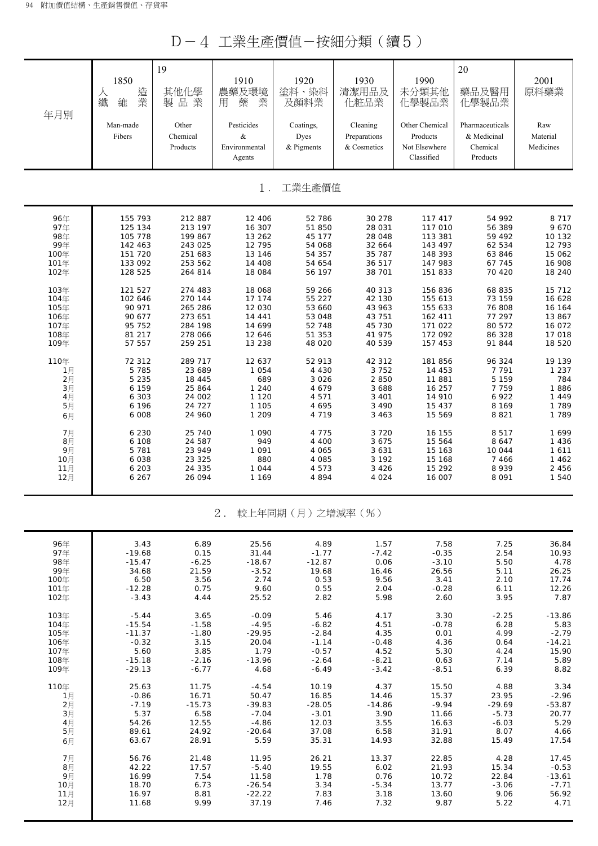D-4 工業生產價值-按細分類(續5)

| 年月別  | 1850<br>造<br>人<br>業<br>纖<br>維<br>Man-made<br>Fibers | 19<br>其他化學<br>製品業<br>Other<br>Chemical<br>Products | 1910<br>農藥及環境<br>業<br>藥<br>用<br>Pesticides<br>$\&$<br>Environmental<br>Agents | 1920<br>塗料、染料<br>及顏料業<br>Coatings,<br>Dyes<br>& Pigments | 1930<br>清潔用品及<br>化粧品業<br>Cleaning<br>Preparations<br>& Cosmetics | 1990<br>未分類其他<br>化學製品業<br>Other Chemical<br>Products<br>Not Elsewhere<br>Classified | 20<br>藥品及醫用<br>化學製品業<br>Pharmaceuticals<br>& Medicinal<br>Chemical<br>Products | 2001<br>原料藥業<br>Raw<br>Material<br>Medicines |
|------|-----------------------------------------------------|----------------------------------------------------|-------------------------------------------------------------------------------|----------------------------------------------------------|------------------------------------------------------------------|-------------------------------------------------------------------------------------|--------------------------------------------------------------------------------|----------------------------------------------|
|      |                                                     |                                                    | $1$ .                                                                         | 工業生產價值                                                   |                                                                  |                                                                                     |                                                                                |                                              |
| 96年  | 155 793                                             | 212 887                                            | 12 406                                                                        | 52 786                                                   | 30 278                                                           | 117 417                                                                             | 54 992                                                                         | 8 7 1 7                                      |
| 97年  | 125 134                                             | 213 197                                            | 16 307                                                                        | 51 850                                                   | 28 031                                                           | 117 010                                                                             | 56 389                                                                         | 9 670                                        |
| 98年  | 105 778                                             | 199 867                                            | 13 26 2                                                                       | 45 177                                                   | 28 048                                                           | 113 381                                                                             | 59 492                                                                         | 10 132                                       |
| 99年  | 142 463                                             | 243 025                                            | 12 795                                                                        | 54 068                                                   | 32 664                                                           | 143 497                                                                             | 62 534                                                                         | 12 793                                       |
| 100年 | 151 720                                             | 251 683                                            | 13 146                                                                        | 54 357                                                   | 35 787                                                           | 148 393                                                                             | 63 846                                                                         | 15 062                                       |
| 101年 | 133 092                                             | 253 562                                            | 14 408                                                                        | 54 654                                                   | 36 517                                                           | 147 983                                                                             | 67 745                                                                         | 16 908                                       |
| 102年 | 128 525                                             | 264 814                                            | 18 084                                                                        | 56 197                                                   | 38 701                                                           | 151 833                                                                             | 70 420                                                                         | 18 240                                       |
| 103年 | 121 527                                             | 274 483                                            | 18 068                                                                        | 59 266                                                   | 40 313                                                           | 156 836                                                                             | 68 835                                                                         | 15 712                                       |
| 104年 | 102 646                                             | 270 144                                            | 17 174                                                                        | 55 227                                                   | 42 130                                                           | 155 613                                                                             | 73 159                                                                         | 16 628                                       |
| 105年 | 90 971                                              | 265 286                                            | 12 030                                                                        | 53 660                                                   | 43 963                                                           | 155 633                                                                             | 76 808                                                                         | 16 164                                       |
| 106年 | 90 677                                              | 273 651                                            | 14 441                                                                        | 53 048                                                   | 43 751                                                           | 162 411                                                                             | 77 297                                                                         | 13 867                                       |
| 107年 | 95 752                                              | 284 198                                            | 14 699                                                                        | 52 748                                                   | 45 730                                                           | 171 022                                                                             | 80 572                                                                         | 16 072                                       |
| 108年 | 81 217                                              | 278 066                                            | 12 646                                                                        | 51 353                                                   | 41 975                                                           | 172 092                                                                             | 86 328                                                                         | 17 018                                       |
| 109年 | 57 557                                              | 259 251                                            | 13 238                                                                        | 48 0 20                                                  | 40 539                                                           | 157 453                                                                             | 91 844                                                                         | 18 520                                       |
| 110年 | 72 312                                              | 289 717                                            | 12 637                                                                        | 52 913                                                   | 42 312                                                           | 181 856                                                                             | 96 324                                                                         | 19 139                                       |
| 1月   | 5 7 8 5                                             | 23 689                                             | 1 0 5 4                                                                       | 4 4 3 0                                                  | 3752                                                             | 14 453                                                                              | 7 7 9 1                                                                        | 1 2 3 7                                      |
| 2月   | 5 2 3 5                                             | 18 4 4 5                                           | 689                                                                           | 3 0 2 6                                                  | 2 8 5 0                                                          | 11 881                                                                              | 5 1 5 9                                                                        | 784                                          |
| 3月   | 6 159                                               | 25 864                                             | 1 2 4 0                                                                       | 4 6 7 9                                                  | 3 6 8 8                                                          | 16 257                                                                              | 7 7 5 9                                                                        | 1886                                         |
| 4月   | 6 3 0 3                                             | 24 002                                             | 1 1 2 0                                                                       | 4 5 7 1                                                  | 3 4 0 1                                                          | 14 910                                                                              | 6 9 2 2                                                                        | 1 4 4 9                                      |
| 5月   | 6 1 9 6                                             | 24 7 27                                            | 1 1 0 5                                                                       | 4 6 9 5                                                  | 3 4 9 0                                                          | 15 437                                                                              | 8 1 6 9                                                                        | 1 7 8 9                                      |
| 6月   | 6 0 0 8                                             | 24 960                                             | 1 209                                                                         | 4 7 1 9                                                  | 3 4 6 3                                                          | 15 569                                                                              | 8 8 2 1                                                                        | 1 7 8 9                                      |
| 7月   | 6 2 3 0                                             | 25 740                                             | 1 0 9 0                                                                       | 4 7 7 5                                                  | 3720                                                             | 16 155                                                                              | 8 5 1 7                                                                        | 1699                                         |
| 8月   | 6 108                                               | 24 587                                             | 949                                                                           | 4 4 0 0                                                  | 3 6 7 5                                                          | 15 564                                                                              | 8 6 4 7                                                                        | 1 4 3 6                                      |
| 9月   | 5 7 8 1                                             | 23 949                                             | 1 0 9 1                                                                       | 4 0 6 5                                                  | 3 6 3 1                                                          | 15 163                                                                              | 10 044                                                                         | 1611                                         |
| 10月  | 6 0 38                                              | 23 3 25                                            | 880                                                                           | 4 0 8 5                                                  | 3 1 9 2                                                          | 15 168                                                                              | 7 4 6 6                                                                        | 1 4 6 2                                      |
| 11月  | 6 203                                               | 24 335                                             | 1 0 4 4                                                                       | 4 5 7 3                                                  | 3 4 2 6                                                          | 15 29 2                                                                             | 8939                                                                           | 2 4 5 6                                      |
| 12月  | 6 2 6 7                                             | 26 094                                             | 1 1 6 9                                                                       | 4894                                                     | 4 0 2 4                                                          | 16 007                                                                              | 8 0 9 1                                                                        | 1 540                                        |
|      |                                                     |                                                    | $2$ .                                                                         | 較上年同期(月)之增減率(%)                                          |                                                                  |                                                                                     |                                                                                |                                              |
| 96年  | 3.43                                                | 6.89                                               | 25.56                                                                         | 4.89                                                     | 1.57                                                             | 7.58                                                                                | 7.25                                                                           | 36.84                                        |
| 97年  | $-19.68$                                            | 0.15                                               | 31.44                                                                         | $-1.77$                                                  | $-7.42$                                                          | $-0.35$                                                                             | 2.54                                                                           | 10.93                                        |
| 98年  | $-15.47$                                            | $-6.25$                                            | $-18.67$                                                                      | $-12.87$                                                 | 0.06                                                             | $-3.10$                                                                             | 5.50                                                                           | 4.78                                         |
| 99年  | 34.68                                               | 21.59                                              | $-3.52$                                                                       | 19.68                                                    | 16.46                                                            | 26.56                                                                               | 5.11                                                                           | 26.25                                        |
| 100年 | 6.50                                                | 3.56                                               | 2.74                                                                          | 0.53                                                     | 9.56                                                             | 3.41                                                                                | 2.10                                                                           | 17.74                                        |
| 101年 | $-12.28$                                            | 0.75                                               | 9.60                                                                          | 0.55                                                     | 2.04                                                             | $-0.28$                                                                             | 6.11                                                                           | 12.26                                        |
| 102年 | $-3.43$                                             | 4.44                                               | 25.52                                                                         | 2.82                                                     | 5.98                                                             | 2.60                                                                                | 3.95                                                                           | 7.87                                         |
| 103年 | $-5.44$                                             | 3.65                                               | $-0.09$                                                                       | 5.46                                                     | 4.17                                                             | 3.30                                                                                | $-2.25$                                                                        | $-13.86$                                     |
| 104年 | $-15.54$                                            | $-1.58$                                            | $-4.95$                                                                       | $-6.82$                                                  | 4.51                                                             | $-0.78$                                                                             | 6.28                                                                           | 5.83                                         |
| 105年 | $-11.37$                                            | $-1.80$                                            | $-29.95$                                                                      | $-2.84$                                                  | 4.35                                                             | 0.01                                                                                | 4.99                                                                           | $-2.79$                                      |
| 106年 | $-0.32$                                             | 3.15                                               | 20.04                                                                         | $-1.14$                                                  | $-0.48$                                                          | 4.36                                                                                | 0.64                                                                           | $-14.21$                                     |
| 107年 | 5.60                                                | 3.85                                               | 1.79                                                                          | $-0.57$                                                  | 4.52                                                             | 5.30                                                                                | 4.24                                                                           | 15.90                                        |
| 108年 | $-15.18$                                            | $-2.16$                                            | $-13.96$                                                                      | $-2.64$                                                  | $-8.21$                                                          | 0.63                                                                                | 7.14                                                                           | 5.89                                         |
| 109年 | $-29.13$                                            | $-6.77$                                            | 4.68                                                                          | $-6.49$                                                  | $-3.42$                                                          | $-8.51$                                                                             | 6.39                                                                           | 8.82                                         |
| 110年 | 25.63                                               | 11.75                                              | $-4.54$                                                                       | 10.19                                                    | 4.37                                                             | 15.50                                                                               | 4.88                                                                           | 3.34                                         |
| 1月   | $-0.86$                                             | 16.71                                              | 50.47                                                                         | 16.85                                                    | 14.46                                                            | 15.37                                                                               | 23.95                                                                          | $-2.96$                                      |
| 2月   | $-7.19$                                             | $-15.73$                                           | $-39.83$                                                                      | $-28.05$                                                 | -14.86                                                           | $-9.94$                                                                             | $-29.69$                                                                       | $-53.87$                                     |
| 3月   | 5.37                                                | 6.58                                               | $-7.04$                                                                       | $-3.01$                                                  | 3.90                                                             | 11.66                                                                               | $-5.73$                                                                        | 20.77                                        |
| 4月   | 54.26                                               | 12.55                                              | $-4.86$                                                                       | 12.03                                                    | 3.55                                                             | 16.63                                                                               | $-6.03$                                                                        | 5.29                                         |
| 5月   | 89.61                                               | 24.92                                              | $-20.64$                                                                      | 37.08                                                    | 6.58                                                             | 31.91                                                                               | 8.07                                                                           | 4.66                                         |
| 6月   | 63.67                                               | 28.91                                              | 5.59                                                                          | 35.31                                                    | 14.93                                                            | 32.88                                                                               | 15.49                                                                          | 17.54                                        |
| 7月   | 56.76                                               | 21.48                                              | 11.95                                                                         | 26.21                                                    | 13.37                                                            | 22.85                                                                               | 4.28                                                                           | 17.45                                        |
| 8月   | 42.22                                               | 17.57                                              | $-5.40$                                                                       | 19.55                                                    | 6.02                                                             | 21.93                                                                               | 15.34                                                                          | $-0.53$                                      |

9月 | 16.99 7.54 11.58 1.78 0.76 10.72 22.84 -13.61 10月 | 18.70 6.73 -26.54 3.34 -5.34 13.77 -3.06 -7.71 11月 16.97 8.81 -22.22 7.83 3.18 13.60 9.06 56.92 12月 11.68 9.99 37.19 7.46 7.32 9.87 5.22 4.71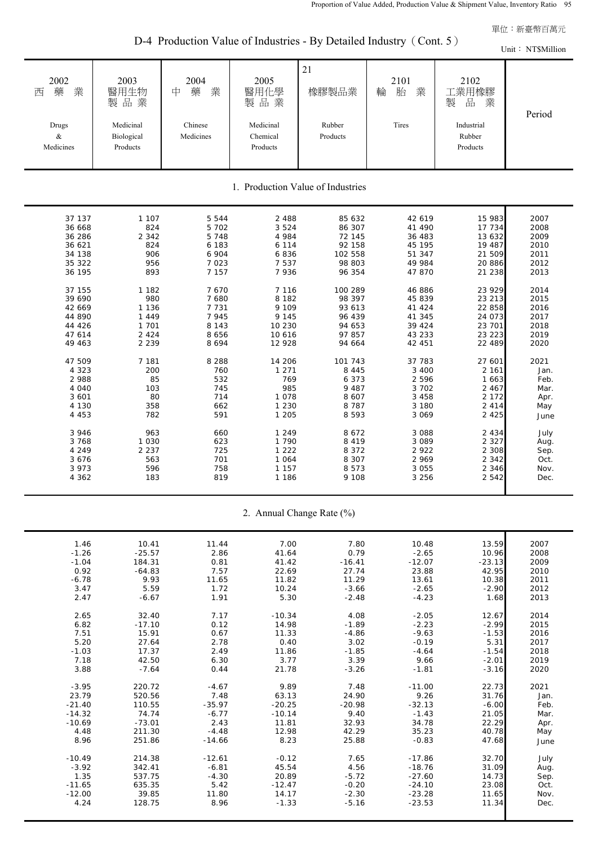D-4 Production Value of Industries - By Detailed Industry (Cont. 5)

 21 2002 2003 2004 2005 2101 2102 西 藥 業 | 醫用生物 | 中 藥 業 | 醫用化學 | 橡膠製品業 | 輪 胎 業 | 工業用橡膠 製 品 業 まん まん 製 品 業 まん 製 品 業 まん 製 品 業 Drugs Medicinal Chinese Medicinal Rubber Tires Industrial & Biological Medicines Chemical Products Rubber Medicines **Products** Products Products Products Products Products 37 137 1 107 5 544 2 488 85 632 42 619 15 983 2007 36 668 824 5 702 3 524 86 307 41 490 17 734 2008 36 286 2 342 5 748 4 984 72 145 36 483 13 632 2009 36 621 824 6 183 6 114 92 158 45 195 19 487 2010 34 138 906 6 904 6 836 102 558 51 347 21 509 2011 35 322 956 7 023 7 537 98 803 49 984 20 886 2012 36 195 893 7 157 7 936 96 354 47 870 21 238 2013 37 155 1 182 7 670 7 116 100 289 46 886 23 929 2014 39 690 980 7 680 8 182 98 397 45 839 23 213 2015 42 669 1 136 7 731 9 109 93 613 41 424 22 858 2016 44 890 1 449 7 945 9 145 96 439 41 345 24 073 2017 44 426 1 701 8 143 10 230 94 653 39 424 23 701 2018 47 614 2 424 8 656 10 616 97 857 43 233 23 223 2019 49 463 2 239 8 694 12 928 94 664 42 451 22 489 2020 47 509 7 181 8 288 14 206 101 743 37 783 27 601 2021 4 323 200 760 1 271 8 445 3 400 2 161 Jan. 2 988 85 532 769 6 373 2 596 1 663 Feb. 4 040 103 745 985 9 487 3 702 2 467 Mar. 3 601 80 714 1 078 8 607 3 458 2 172 Apr. 4 130 358 662 1 230 8 787 3 180 2 414 May 4 453 782 591 1 205 8 593 3 069 2 4 25 June Period 1. Production Value of Industries Unit: NT\$Million

|  |  | 2. Annual Change Rate (%) |  |  |  |
|--|--|---------------------------|--|--|--|
|--|--|---------------------------|--|--|--|

 3 946 963 660 1 249 8 672 3 088 2 434 July 3 768 1 030 623 1 790 8 419 3 089 2 327 Aug. 4 249 2 237 2 725 1 222 8 372 2 922 2 308 Sep. 3 676 563 701 1 064 8 307 2 969 2 342 Oct. 3 973 596 758 1 157 8 573 3 055 2 346 Nov. 4 362 183 819 1 186 9 108 3 256 2 542 Dec.

| 1.46     | 10.41    | 11.44    | 7.00     | 7.80     | 10.48    | 13.59    | 2007 |
|----------|----------|----------|----------|----------|----------|----------|------|
| $-1.26$  | $-25.57$ | 2.86     | 41.64    | 0.79     | $-2.65$  | 10.96    | 2008 |
| $-1.04$  | 184.31   | 0.81     | 41.42    | $-16.41$ | $-12.07$ | $-23.13$ | 2009 |
| 0.92     | $-64.83$ | 7.57     | 22.69    | 27.74    | 23.88    | 42.95    | 2010 |
| $-6.78$  | 9.93     | 11.65    | 11.82    | 11.29    | 13.61    | 10.38    | 2011 |
| 3.47     | 5.59     | 1.72     | 10.24    | $-3.66$  | $-2.65$  | $-2.90$  | 2012 |
| 2.47     | $-6.67$  | 1.91     | 5.30     | $-2.48$  | $-4.23$  | 1.68     | 2013 |
|          |          |          |          |          |          |          |      |
| 2.65     | 32.40    | 7.17     | $-10.34$ | 4.08     | $-2.05$  | 12.67    | 2014 |
| 6.82     | $-17.10$ | 0.12     | 14.98    | $-1.89$  | $-2.23$  | $-2.99$  | 2015 |
| 7.51     | 15.91    | 0.67     | 11.33    | $-4.86$  | $-9.63$  | $-1.53$  | 2016 |
| 5.20     | 27.64    | 2.78     | 0.40     | 3.02     | $-0.19$  | 5.31     | 2017 |
| $-1.03$  | 17.37    | 2.49     | 11.86    | $-1.85$  | $-4.64$  | $-1.54$  | 2018 |
| 7.18     | 42.50    | 6.30     | 3.77     | 3.39     | 9.66     | $-2.01$  | 2019 |
| 3.88     | $-7.64$  | 0.44     | 21.78    | $-3.26$  | $-1.81$  | $-3.16$  | 2020 |
|          |          |          |          |          |          |          |      |
| $-3.95$  | 220.72   | $-4.67$  | 9.89     | 7.48     | $-11.00$ | 22.73    | 2021 |
| 23.79    | 520.56   | 7.48     | 63.13    | 24.90    | 9.26     | 31.76    | Jan. |
| $-21.40$ | 110.55   | $-35.97$ | $-20.25$ | $-20.98$ | $-32.13$ | $-6.00$  | Feb. |
| $-14.32$ | 74.74    | $-6.77$  | $-10.14$ | 9.40     | $-1.43$  | 21.05    | Mar. |
| $-10.69$ | $-73.01$ | 2.43     | 11.81    | 32.93    | 34.78    | 22.29    | Apr. |
| 4.48     | 211.30   | $-4.48$  | 12.98    | 42.29    | 35.23    | 40.78    | May  |
| 8.96     | 251.86   | $-14.66$ | 8.23     | 25.88    | $-0.83$  | 47.68    | June |
|          |          |          |          |          |          |          |      |
| $-10.49$ | 214.38   | $-12.61$ | $-0.12$  | 7.65     | $-17.86$ | 32.70    | July |
| $-3.92$  | 342.41   | $-6.81$  | 45.54    | 4.56     | $-18.76$ | 31.09    | Aug. |
| 1.35     | 537.75   | $-4.30$  | 20.89    | $-5.72$  | $-27.60$ | 14.73    | Sep. |
| $-11.65$ | 635.35   | 5.42     | $-12.47$ | $-0.20$  | $-24.10$ | 23.08    | Oct. |
| $-12.00$ | 39.85    | 11.80    | 14.17    | $-2.30$  | $-23.28$ | 11.65    | Nov. |
| 4.24     | 128.75   | 8.96     | $-1.33$  | $-5.16$  | $-23.53$ | 11.34    | Dec. |
|          |          |          |          |          |          |          |      |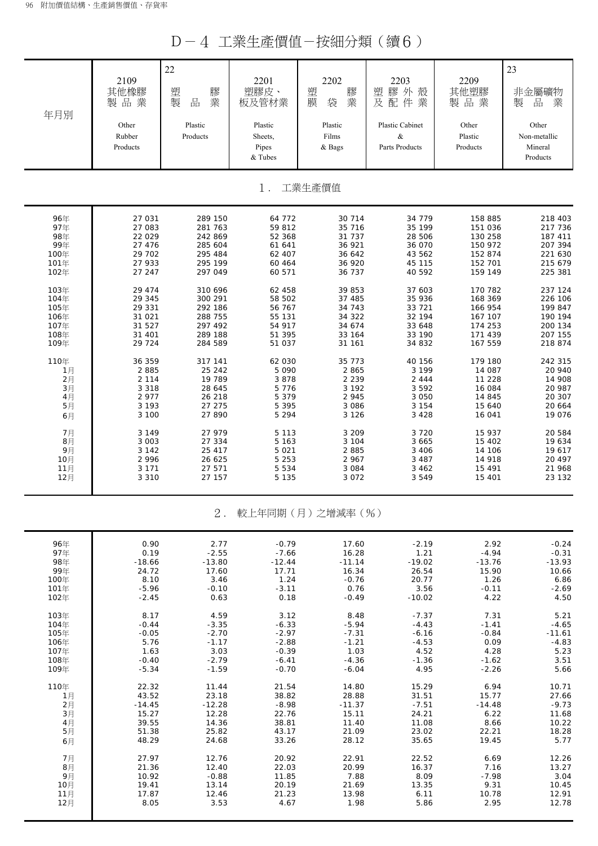D-4 工業生產價值-按細分類(續6)

| 年月別   | 2109<br>其他橡膠<br>製品業<br>Other<br>Rubber<br>Products | 22<br>塑<br>膠<br>製<br>業<br>品<br>Plastic<br>Products | 2201<br>塑膠皮、<br>板及管材業<br>Plastic<br>Sheets,<br>Pipes<br>& Tubes | 2202<br>塑<br>膠<br>業<br>膜<br>袋<br>Plastic<br>Films<br>& Bags | 2203<br>外殼<br>塑<br>膠<br>及配件業<br>Plastic Cabinet<br>$\&$<br>Parts Products | 2209<br>其他塑膠<br>製品業<br>Other<br>Plastic<br>Products | 23<br>非金屬礦物<br>品<br>製<br>業<br>Other<br>Non-metallic<br>Mineral<br>Products |
|-------|----------------------------------------------------|----------------------------------------------------|-----------------------------------------------------------------|-------------------------------------------------------------|---------------------------------------------------------------------------|-----------------------------------------------------|----------------------------------------------------------------------------|
|       |                                                    |                                                    | $1$ .                                                           | 工業生產價值                                                      |                                                                           |                                                     |                                                                            |
| 96年   | 27 031                                             | 289 150                                            | 64 772                                                          | 30 714                                                      | 34 779                                                                    | 158 885                                             | 218 403                                                                    |
| 97年   | 27 083                                             | 281 763                                            | 59 812                                                          | 35 716                                                      | 35 199                                                                    | 151 036                                             | 217 736                                                                    |
| 98年   | 22 0 29                                            | 242 869                                            | 52 368                                                          | 31 737                                                      | 28 506                                                                    | 130 258                                             | 187 411                                                                    |
| 99年   | 27 476                                             | 285 604                                            | 61 641                                                          | 36 921                                                      | 36 070                                                                    | 150 972                                             | 207 394                                                                    |
| 100年  | 29 702                                             | 295 484                                            | 62 407                                                          | 36 642                                                      | 43 562                                                                    | 152 874                                             | 221 630                                                                    |
| 101年  | 27 933                                             | 295 199                                            | 60 4 64                                                         | 36 920                                                      | 45 115                                                                    | 152 701                                             | 215 679                                                                    |
| 102年  | 27 247                                             | 297 049                                            | 60 571                                                          | 36 737                                                      | 40 592                                                                    | 159 149                                             | 225 381                                                                    |
| 103年  | 29 474                                             | 310 696                                            | 62 458                                                          | 39 853                                                      | 37 603                                                                    | 170 782                                             | 237 124                                                                    |
| 104年  | 29 345                                             | 300 291                                            | 58 502                                                          | 37 485                                                      | 35 936                                                                    | 168 369                                             | 226 106                                                                    |
| 105年  | 29 331                                             | 292 186                                            | 56 767                                                          | 34 743                                                      | 33 7 21                                                                   | 166 954                                             | 199 847                                                                    |
| 106年  | 31 021                                             | 288 755                                            | 55 131                                                          | 34 322                                                      | 32 194                                                                    | 167 107                                             | 190 194                                                                    |
| 107年  | 31 527                                             | 297 492                                            | 54 917                                                          | 34 674                                                      | 33 648                                                                    | 174 253                                             | 200 134                                                                    |
| 108年  | 31 401                                             | 289 188                                            | 51 395                                                          | 33 164                                                      | 33 190                                                                    | 171 439                                             | 207 155                                                                    |
| 109年  | 29 7 24                                            | 284 589                                            | 51 037                                                          | 31 161                                                      | 34 832                                                                    | 167 559                                             | 218 874                                                                    |
| 110年  | 36 359                                             | 317 141                                            | 62 030                                                          | 35 773                                                      | 40 156                                                                    | 179 180                                             | 242 315                                                                    |
| 1月    | 2885                                               | 25 24 2                                            | 5 0 9 0                                                         | 2865                                                        | 3 1 9 9                                                                   | 14 087                                              | 20 940                                                                     |
| $2$ 月 | 2 1 1 4                                            | 19 789                                             | 3 8 7 8                                                         | 2 2 3 9                                                     | 2 4 4 4                                                                   | 11 2 28                                             | 14 908                                                                     |
| 3月    | 3 3 1 8                                            | 28 645                                             | 5 7 7 6                                                         | 3 1 9 2                                                     | 3 5 9 2                                                                   | 16 084                                              | 20 987                                                                     |
| 4月    | 2 9 7 7                                            | 26 218                                             | 5 3 7 9                                                         | 2 9 4 5                                                     | 3 0 5 0                                                                   | 14 845                                              | 20 307                                                                     |
| 5月    | 3 1 9 3                                            | 27 275                                             | 5 3 9 5                                                         | 3 0 8 6                                                     | 3 1 5 4                                                                   | 15 640                                              | 20 664                                                                     |
| 6月    | 3 100                                              | 27 890                                             | 5 2 9 4                                                         | 3 1 2 6                                                     | 3 4 2 8                                                                   | 16 041                                              | 19 076                                                                     |
| 7月    | 3 1 4 9                                            | 27 979                                             | 5 1 1 3                                                         | 3 2 0 9                                                     | 3 7 2 0                                                                   | 15 937                                              | 20 584                                                                     |
| 8月    | 3 0 0 3                                            | 27 334                                             | 5 1 6 3                                                         | 3 1 0 4                                                     | 3 6 6 5                                                                   | 15 402                                              | 19 634                                                                     |
| 9月    | 3 1 4 2                                            | 25 417                                             | 5 0 2 1                                                         | 2 8 8 5                                                     | 3 4 0 6                                                                   | 14 106                                              | 19 617                                                                     |
| 10月   | 2 9 9 6                                            | 26 625                                             | 5 2 5 3                                                         | 2 9 6 7                                                     | 3 4 8 7                                                                   | 14 918                                              | 20 497                                                                     |
| 11月   | 3 1 7 1                                            | 27 571                                             | 5 5 3 4                                                         | 3 0 8 4                                                     | 3 4 6 2                                                                   | 15 4 9 1                                            | 21 968                                                                     |
| 12月   | 3 3 1 0                                            | 27 157                                             | 5 1 3 5                                                         | 3 0 7 2                                                     | 3 5 4 9                                                                   | 15 401                                              | 23 132                                                                     |
|       |                                                    | 2.                                                 |                                                                 | 較上年同期(月)之增減率(%)                                             |                                                                           |                                                     |                                                                            |
| 96年   | 0.90                                               | 2.77                                               | $-0.79$                                                         | 17.60                                                       | $-2.19$                                                                   | 2.92                                                | $-0.24$                                                                    |
| 97年   | 0.19                                               | $-2.55$                                            | $-7.66$                                                         | 16.28                                                       | 1.21                                                                      | $-4.94$                                             | $-0.31$                                                                    |
| 98年   | $-18.66$                                           | $-13.80$                                           | $-12.44$                                                        | $-11.14$                                                    | $-19.02$                                                                  | $-13.76$                                            | $-13.93$                                                                   |
| 99年   | 24.72                                              | 17.60                                              | 17.71                                                           | 16.34                                                       | 26.54                                                                     | 15.90                                               | 10.66                                                                      |
| 100年  | 8.10                                               | 3.46                                               | 1.24                                                            | $-0.76$                                                     | 20.77                                                                     | 1.26                                                | 6.86                                                                       |
| 101年  | $-5.96$                                            | $-0.10$                                            | $-3.11$                                                         | 0.76                                                        | 3.56                                                                      | $-0.11$                                             | $-2.69$                                                                    |
| 102年  | $-2.45$                                            | 0.63                                               | 0.18                                                            | $-0.49$                                                     | $-10.02$                                                                  | 4.22                                                | 4.50                                                                       |
| 103年  | 8.17                                               | 4.59                                               | 3.12                                                            | 8.48                                                        | $-7.37$                                                                   | 7.31                                                | 5.21                                                                       |
| 104年  | $-0.44$                                            | $-3.35$                                            | $-6.33$                                                         | $-5.94$                                                     | $-4.43$                                                                   | $-1.41$                                             | $-4.65$                                                                    |
| 105年  | $-0.05$                                            | $-2.70$                                            | $-2.97$                                                         | $-7.31$                                                     | $-6.16$                                                                   | $-0.84$                                             | $-11.61$                                                                   |
| 106年  | 5.76                                               | $-1.17$                                            | $-2.88$                                                         | $-1.21$                                                     | $-4.53$                                                                   | 0.09                                                | $-4.83$                                                                    |
| 107年  | 1.63                                               | 3.03                                               | $-0.39$                                                         | 1.03                                                        | 4.52                                                                      | 4.28                                                | 5.23                                                                       |
| 108年  | $-0.40$                                            | $-2.79$                                            | $-6.41$                                                         | $-4.36$                                                     | $-1.36$                                                                   | $-1.62$                                             | 3.51                                                                       |
| 109年  | $-5.34$                                            | $-1.59$                                            | $-0.70$                                                         | $-6.04$                                                     | 4.95                                                                      | $-2.26$                                             | 5.66                                                                       |
| 110年  | 22.32                                              | 11.44                                              | 21.54                                                           | 14.80                                                       | 15.29                                                                     | 6.94                                                | 10.71                                                                      |
| 1月    | 43.52                                              | 23.18                                              | 38.82                                                           | 28.88                                                       | 31.51                                                                     | 15.77                                               | 27.66                                                                      |
| 2月    | $-14.45$                                           | $-12.28$                                           | $-8.98$                                                         | $-11.37$                                                    | $-7.51$                                                                   | $-14.48$                                            | $-9.73$                                                                    |
| 3月    | 15.27                                              | 12.28                                              | 22.76                                                           | 15.11                                                       | 24.21                                                                     | 6.22                                                | 11.68                                                                      |
| 4月    | 39.55                                              | 14.36                                              | 38.81                                                           | 11.40                                                       | 11.08                                                                     | 8.66                                                | 10.22                                                                      |
| 5月    | 51.38                                              | 25.82                                              | 43.17                                                           | 21.09                                                       | 23.02                                                                     | 22.21                                               | 18.28                                                                      |
| 6月    | 48.29                                              | 24.68                                              | 33.26                                                           | 28.12                                                       | 35.65                                                                     | 19.45                                               | 5.77                                                                       |
| 7月    | 27.97                                              | 12.76                                              | 20.92                                                           | 22.91                                                       | 22.52                                                                     | 6.69                                                | 12.26                                                                      |
| 8月    | 21.36                                              | 12.40                                              | 22.03                                                           | 20.99                                                       | 16.37                                                                     | 7.16                                                | 13.27                                                                      |
| 9月    | 10.92                                              | $-0.88$                                            | 11.85                                                           | 7.88                                                        | 8.09                                                                      | $-7.98$                                             | 3.04                                                                       |
| 10月   | 19.41                                              | 13.14                                              | 20.19                                                           | 21.69                                                       | 13.35                                                                     | 9.31                                                | 10.45                                                                      |
| 11月   | 17.87                                              | 12.46                                              | 21.23                                                           | 13.98                                                       | 6.11                                                                      | 10.78                                               | 12.91                                                                      |
| 12月   | 8.05                                               | 3.53                                               | 4.67                                                            | 1.98                                                        | 5.86                                                                      | 2.95                                                | 12.78                                                                      |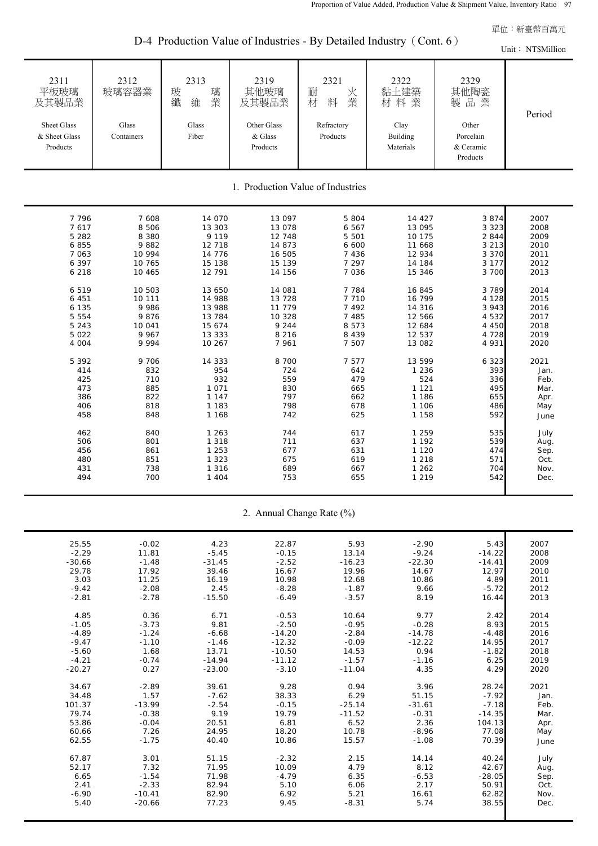Unit: NT\$Million

2311 | 2312 | 2313 | 2319 | 2321 | 2322 | 2329 平板玻璃 ┃玻璃容器業 ┃ 玻 璃 ┃ 其他玻璃 ┃ 耐 火 ┃ 黏土建築 ┃ 其他陶瓷 及其製品業 ┃ ┃ 纖 維 業 ┃ 及其製品業 ┃ 材 料 業 ┃ 材 料 業 ┃ 製 品 業 Sheet Glass Glass Glass Glass Other Glass Refractory Clay Other & Sheet Glass Containers Fiber & Glass Products Building Porcelain Products Naterials & Ceramic Products 7 796 7 608 14 070 13 097 5 804 14 427 3 874 2007 7 617 8 506 13 303 13 078 6 567 13 095 3 323 2008 5 282 8 380 9 119 12 748 5 501 10 175 2 844 2009 6 855 9 882 12 718 14 873 6 600 11 668 3 213 2010 7 063 10 994 14 776 16 505 7 436 12 934 3 370 2011 6 397 10 765 15 138 15 139 7 297 14 184 3 177 2012 6 218 10 465 12 791 14 156 7 036 15 346 3 700 2013 6 519 10 503 13 650 14 081 7 784 16 845 3 789 2014 6 451 10 111 14 988 13 728 7 710 16 799 4 128 2015 6 135 9 986 13 988 11 779 7 492 14 316 3 943 2016 5 554 9 876 13 784 10 328 7 485 12 566 4 532 2017 5 243 10 041 15 674 9 244 8 573 12 684 4 450 2018 5 022 9 967 13 333 8 216 8 439 12 537 4 728 2019 4 004 9 994 10 267 7 961 7 507 13 082 4 931 2020 5 392 9 706 14 333 8 700 7 577 13 599 6 323 2021 414 832 954 724 642 1 236 393 Jan. 425 710 932 559 479 524 336 Feb. 473 885 1 071 830 665 1 121 495 Mar. 386 822 1 147 797 662 1 186 655 Apr. 406 818 1 183 798 678 1 106 486 May 458 848 1 168 742 625 1 158 592 June 462 840 1 263 744 617 1 259 535 July 506 801 1 318 711 637 1 192 539 Aug. 456 861 1 253 677 631 1 120 474 Sep. 480 851 1 323 675 619 1 218 571 Oct. 431 738 1 316 689 667 1 262 704 Nov. 494 700 1 404 753 655 1 219 542 Dec. Period 1. Production Value of Industries

| D-4 Production Value of Industries - By Detailed Industry (Cont. 6) |  |
|---------------------------------------------------------------------|--|
|---------------------------------------------------------------------|--|

2. Annual Change Rate (%)

| 25.55    | $-0.02$  | 4.23     | 22.87    | 5.93     | $-2.90$  | 5.43     | 2007 |
|----------|----------|----------|----------|----------|----------|----------|------|
| $-2.29$  | 11.81    | $-5.45$  | $-0.15$  | 13.14    | $-9.24$  | $-14.22$ | 2008 |
| $-30.66$ | $-1.48$  | $-31.45$ | $-2.52$  | $-16.23$ | $-22.30$ | $-14.41$ | 2009 |
| 29.78    | 17.92    | 39.46    | 16.67    | 19.96    | 14.67    | 12.97    | 2010 |
| 3.03     | 11.25    | 16.19    | 10.98    | 12.68    | 10.86    | 4.89     | 2011 |
| $-9.42$  | $-2.08$  | 2.45     | $-8.28$  | $-1.87$  | 9.66     | $-5.72$  | 2012 |
| $-2.81$  | $-2.78$  | $-15.50$ | $-6.49$  | $-3.57$  | 8.19     | 16.44    | 2013 |
|          |          |          |          |          |          |          |      |
| 4.85     | 0.36     | 6.71     | $-0.53$  | 10.64    | 9.77     | 2.42     | 2014 |
| $-1.05$  | $-3.73$  | 9.81     | $-2.50$  | $-0.95$  | $-0.28$  | 8.93     | 2015 |
| $-4.89$  | $-1.24$  | $-6.68$  | $-14.20$ | $-2.84$  | $-14.78$ | $-4.48$  | 2016 |
| $-9.47$  | $-1.10$  | $-1.46$  | $-12.32$ | $-0.09$  | $-12.22$ | 14.95    | 2017 |
| $-5.60$  | 1.68     | 13.71    | $-10.50$ | 14.53    | 0.94     | $-1.82$  | 2018 |
| $-4.21$  | $-0.74$  | $-14.94$ | $-11.12$ | $-1.57$  | $-1.16$  | 6.25     | 2019 |
| $-20.27$ | 0.27     | $-23.00$ | $-3.10$  | $-11.04$ | 4.35     | 4.29     | 2020 |
|          |          |          |          |          |          |          |      |
| 34.67    | $-2.89$  | 39.61    | 9.28     | 0.94     | 3.96     | 28.24    | 2021 |
| 34.48    | 1.57     | $-7.62$  | 38.33    | 6.29     | 51.15    | $-7.92$  | Jan. |
| 101.37   | $-13.99$ | $-2.54$  | $-0.15$  | $-25.14$ | $-31.61$ | $-7.18$  | Feb. |
| 79.74    | $-0.38$  | 9.19     | 19.79    | $-11.52$ | $-0.31$  | $-14.35$ | Mar. |
| 53.86    | $-0.04$  | 20.51    | 6.81     | 6.52     | 2.36     | 104.13   | Apr. |
| 60.66    | 7.26     | 24.95    | 18.20    | 10.78    | $-8.96$  | 77.08    | May  |
| 62.55    | $-1.75$  | 40.40    | 10.86    | 15.57    | $-1.08$  | 70.39    | June |
|          |          |          |          |          |          |          |      |
| 67.87    | 3.01     | 51.15    | $-2.32$  | 2.15     | 14.14    | 40.24    | July |
| 52.17    | 7.32     | 71.95    | 10.09    | 4.79     | 8.12     | 42.67    | Aug. |
| 6.65     | $-1.54$  | 71.98    | $-4.79$  | 6.35     | $-6.53$  | $-28.05$ | Sep. |
| 2.41     | $-2.33$  | 82.94    | 5.10     | 6.06     | 2.17     | 50.91    | Oct. |
| $-6.90$  | $-10.41$ | 82.90    | 6.92     | 5.21     | 16.61    | 62.82    | Nov. |
| 5.40     | $-20.66$ | 77.23    | 9.45     | $-8.31$  | 5.74     | 38.55    | Dec. |
|          |          |          |          |          |          |          |      |
|          |          |          |          |          |          |          |      |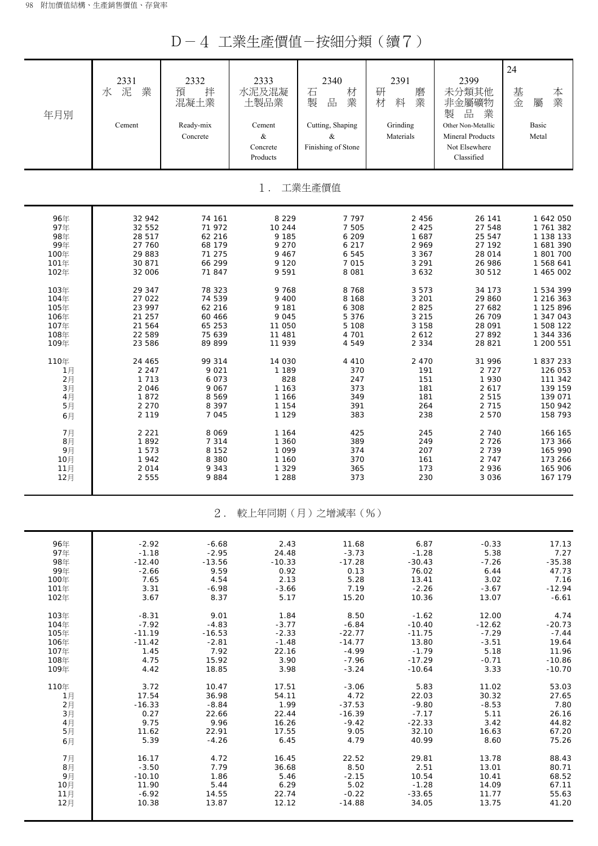D-4 工業生產價值-按細分類(續7)

| 年月別  | 2331<br>泥<br>業<br>水<br>Cement | 2332<br>拌<br>預<br>混凝土業<br>Ready-mix<br>Concrete | 2333<br>水泥及混凝<br>土製品業<br>Cement<br>$\&$<br>Concrete<br>Products | 2340<br>材<br>石<br>業<br>製<br>品<br>Cutting, Shaping<br>&<br>Finishing of Stone | 2391<br>研<br>磨<br>業<br>材<br>料<br>Grinding<br>Materials | 2399<br>未分類其他<br>非金屬礦物<br>品<br>業<br>製<br>Other Non-Metallic<br>Mineral Products<br>Not Elsewhere<br>Classified | 24<br>基<br>本業<br>金<br>屬<br>Basic<br>Metal |
|------|-------------------------------|-------------------------------------------------|-----------------------------------------------------------------|------------------------------------------------------------------------------|--------------------------------------------------------|----------------------------------------------------------------------------------------------------------------|-------------------------------------------|
|      |                               |                                                 | $1$ .                                                           | 工業生產價值                                                                       |                                                        |                                                                                                                |                                           |
| 96年  | 32 942                        | 74 161                                          | 8 2 2 9                                                         | 7 7 9 7                                                                      | 2 4 5 6                                                | 26 141                                                                                                         | 1 642 050                                 |
| 97年  | 32 552                        | 71 972                                          | 10 244                                                          | 7 5 0 5                                                                      | 2 4 2 5                                                | 27 548                                                                                                         | 1 761 382                                 |
| 98年  | 28 517                        | 62 216                                          | 9 1 8 5                                                         | 6 209                                                                        | 1 687                                                  | 25 547                                                                                                         | 1 138 133                                 |
| 99年  | 27 760                        | 68 179                                          | 9 2 7 0                                                         | 6 2 1 7                                                                      | 2 9 6 9                                                | 27 192                                                                                                         | 1 681 390                                 |
| 100年 | 29 883                        | 71 275                                          | 9 4 6 7                                                         | 6 5 4 5                                                                      | 3 3 6 7                                                | 28 014                                                                                                         | 1 801 700                                 |
| 101年 | 30 871                        | 66 299                                          | 9 1 2 0                                                         | 7 0 1 5                                                                      | 3 2 9 1                                                | 26 986                                                                                                         | 1 568 641                                 |
| 102年 | 32 006                        | 71 847                                          | 9 5 9 1                                                         | 8 0 8 1                                                                      | 3 6 3 2                                                | 30 512                                                                                                         | 1 465 002                                 |
| 103年 | 29 347                        | 78 323                                          | 9768                                                            | 8768                                                                         | 3 5 7 3                                                | 34 173                                                                                                         | 1 534 399                                 |
| 104年 | 27 022                        | 74 539                                          | 9 400                                                           | 8 1 6 8                                                                      | 3 2 0 1                                                | 29 860                                                                                                         | 1 216 363                                 |
| 105年 | 23 997                        | 62 216                                          | 9 1 8 1                                                         | 6 3 0 8                                                                      | 2 8 2 5                                                | 27 682                                                                                                         | 1 125 896                                 |
| 106年 | 21 257                        | 60 466                                          | 9 0 4 5                                                         | 5 3 7 6                                                                      | 3 2 1 5                                                | 26 709                                                                                                         | 1 347 043                                 |
| 107年 | 21 564                        | 65 253                                          | 11 050                                                          | 5 1 0 8                                                                      | 3 1 5 8                                                | 28 091                                                                                                         | 1 508 122                                 |
| 108年 | 22 589                        | 75 639                                          | 11 481                                                          | 4 701                                                                        | 2 6 1 2                                                | 27 892                                                                                                         | 1 344 336                                 |
| 109年 | 23 586                        | 89 899                                          | 11 939                                                          | 4 5 4 9                                                                      | 2 3 3 4                                                | 28 8 21                                                                                                        | 1 200 551                                 |
| 110年 | 24 465                        | 99 314                                          | 14 030                                                          | 4 4 1 0                                                                      | 2 4 7 0                                                | 31 996                                                                                                         | 1837233                                   |
| 1月   | 2 2 4 7                       | 9 0 21                                          | 1 1 8 9                                                         | 370                                                                          | 191                                                    | 2 7 2 7                                                                                                        | 126 053                                   |
| 2月   | 1 7 1 3                       | 6 0 7 3                                         | 828                                                             | 247                                                                          | 151                                                    | 1930                                                                                                           | 111 342                                   |
| 3月   | 2 0 4 6                       | 9 0 6 7                                         | 1 1 6 3                                                         | 373                                                                          | 181                                                    | 2617                                                                                                           | 139 159                                   |
| 4月   | 1872                          | 8 5 6 9                                         | 1 166                                                           | 349                                                                          | 181                                                    | 2 5 1 5                                                                                                        | 139 071                                   |
| 5月   | 2 2 7 0                       | 8 3 9 7                                         | 1 1 5 4                                                         | 391                                                                          | 264                                                    | 2 7 1 5                                                                                                        | 150 942                                   |
| 6月   | 2 1 1 9                       | 7 0 4 5                                         | 1 1 2 9                                                         | 383                                                                          | 238                                                    | 2 5 7 0                                                                                                        | 158 793                                   |
| 7月   | 2 2 2 1                       | 8 0 6 9                                         | 1 164                                                           | 425                                                                          | 245                                                    | 2 740                                                                                                          | 166 165                                   |
| 8月   | 1892                          | 7 3 1 4                                         | 1 360                                                           | 389                                                                          | 249                                                    | 2 7 2 6                                                                                                        | 173 366                                   |
| 9月   | 1 5 7 3                       | 8 1 5 2                                         | 1 0 9 9                                                         | 374                                                                          | 207                                                    | 2 7 3 9                                                                                                        | 165 990                                   |
| 10月  | 1942                          | 8 3 8 0                                         | 1 160                                                           | 370                                                                          | 161                                                    | 2 7 4 7                                                                                                        | 173 266                                   |
| 11月  | 2 0 1 4                       | 9 3 4 3                                         | 1 3 2 9                                                         | 365                                                                          | 173                                                    | 2936                                                                                                           | 165 906                                   |
| 12月  | 2 5 5 5                       | 9884                                            | 1 2 8 8                                                         | 373                                                                          | 230                                                    | 3 0 3 6                                                                                                        | 167 179                                   |
|      |                               | $2$ .                                           |                                                                 | 較上年同期(月)之增減率(%)                                                              |                                                        |                                                                                                                |                                           |
| 96年  | $-2.92$                       | $-6.68$                                         | 2.43                                                            | 11.68                                                                        | 6.87                                                   | $-0.33$                                                                                                        | 17.13                                     |
| 97年  | $-1.18$                       | $-2.95$                                         | 24.48                                                           | $-3.73$                                                                      | $-1.28$                                                | 5.38                                                                                                           | 7.27                                      |
| 98年  | $-12.40$                      | $-13.56$                                        | $-10.33$                                                        | $-17.28$                                                                     | $-30.43$                                               | $-7.26$                                                                                                        | $-35.38$                                  |
| 99年  | $-2.66$                       | 9.59                                            | 0.92                                                            | 0.13                                                                         | 76.02                                                  | 6.44                                                                                                           | 47.73                                     |
| 100年 | 7.65                          | 4.54                                            | 2.13                                                            | 5.28                                                                         | 13.41                                                  | 3.02                                                                                                           | 7.16                                      |
| 101年 | 3.31                          | $-6.98$                                         | $-3.66$                                                         | 7.19                                                                         | $-2.26$                                                | $-3.67$                                                                                                        | $-12.94$                                  |
| 102年 | 3.67                          | 8.37                                            | 5.17                                                            | 15.20                                                                        | 10.36                                                  | 13.07                                                                                                          | $-6.61$                                   |
| 103年 | $-8.31$                       | 9.01                                            | 1.84                                                            | 8.50                                                                         | $-1.62$                                                | 12.00                                                                                                          | 4.74                                      |
| 104年 | $-7.92$                       | $-4.83$                                         | $-3.77$                                                         | $-6.84$                                                                      | $-10.40$                                               | $-12.62$                                                                                                       | $-20.73$                                  |
| 105年 | $-11.19$                      | $-16.53$                                        | $-2.33$                                                         | $-22.77$                                                                     | $-11.75$                                               | $-7.29$                                                                                                        | $-7.44$                                   |
| 106年 | $-11.42$                      | $-2.81$                                         | $-1.48$                                                         | $-14.77$                                                                     | 13.80                                                  | $-3.51$                                                                                                        | 19.64                                     |
| 107年 | 1.45                          | 7.92                                            | 22.16                                                           | $-4.99$                                                                      | $-1.79$                                                | 5.18                                                                                                           | 11.96                                     |
| 108年 | 4.75                          | 15.92                                           | 3.90                                                            | $-7.96$                                                                      | $-17.29$                                               | $-0.71$                                                                                                        | $-10.86$                                  |
| 109年 | 4.42                          | 18.85                                           | 3.98                                                            | $-3.24$                                                                      | $-10.64$                                               | 3.33                                                                                                           | $-10.70$                                  |
| 110年 | 3.72                          | 10.47                                           | 17.51                                                           | $-3.06$                                                                      | 5.83                                                   | 11.02                                                                                                          | 53.03                                     |
| 1月   | 17.54                         | 36.98                                           | 54.11                                                           | 4.72                                                                         | 22.03                                                  | 30.32                                                                                                          | 27.65                                     |
| 2月   | $-16.33$                      | $-8.84$                                         | 1.99                                                            | $-37.53$                                                                     | $-9.80$                                                | $-8.53$                                                                                                        | 7.80                                      |
| 3月   | 0.27                          | 22.66                                           | 22.44                                                           | $-16.39$                                                                     | $-7.17$                                                | 5.11                                                                                                           | 26.16                                     |
| 4月   | 9.75                          | 9.96                                            | 16.26                                                           | $-9.42$                                                                      | $-22.33$                                               | 3.42                                                                                                           | 44.82                                     |
| 5月   | 11.62                         | 22.91                                           | 17.55                                                           | 9.05                                                                         | 32.10                                                  | 16.63                                                                                                          | 67.20                                     |
| 6月   | 5.39                          | $-4.26$                                         | 6.45                                                            | 4.79                                                                         | 40.99                                                  | 8.60                                                                                                           | 75.26                                     |
| 7月   | 16.17                         | 4.72                                            | 16.45                                                           | 22.52                                                                        | 29.81                                                  | 13.78                                                                                                          | 88.43                                     |
| 8月   | $-3.50$                       | 7.79                                            | 36.68                                                           | 8.50                                                                         | 2.51                                                   | 13.01                                                                                                          | 80.71                                     |
| 9月   | $-10.10$                      | 1.86                                            | 5.46                                                            | $-2.15$                                                                      | 10.54                                                  | 10.41                                                                                                          | 68.52                                     |
| 10月  | 11.90                         | 5.44                                            | 6.29                                                            | 5.02                                                                         | $-1.28$                                                | 14.09                                                                                                          | 67.11                                     |
| 11月  | $-6.92$                       | 14.55                                           | 22.74                                                           | $-0.22$                                                                      | $-33.65$                                               | 11.77                                                                                                          | 55.63                                     |
| 12月  | 10.38                         | 13.87                                           | 12.12                                                           | $-14.88$                                                                     | 34.05                                                  | 13.75                                                                                                          | 41.20                                     |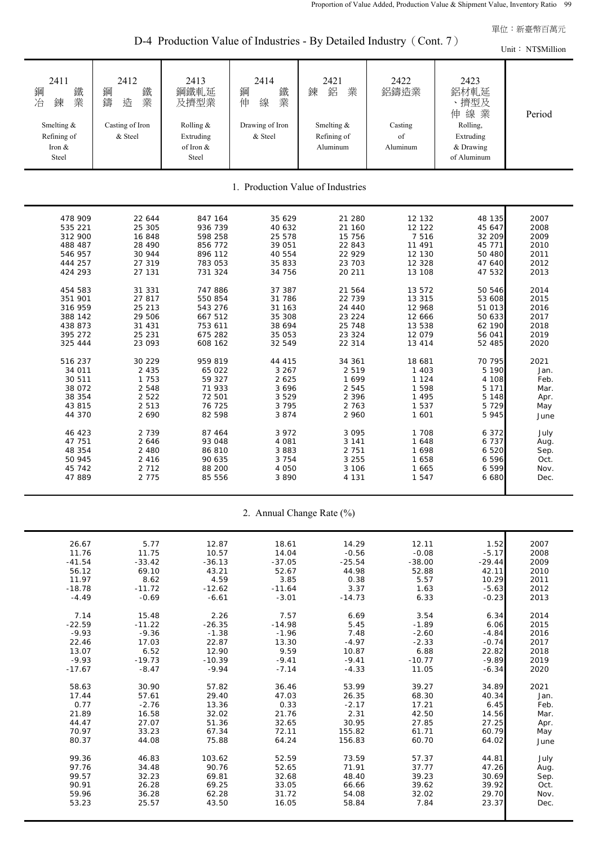D-4 Production Value of Industries - By Detailed Industry (Cont. 7)

| D-4 Production Value of Industries - By Detailed Industry (Cont. $\ell$ )<br>Unit: NT\$Million                                                                                                                      |                                                                                                                                                                                                           |                                                                                                                                                                                                                     |                                                                                                                                                                                                     |                                                                                                                                                                                                         |                                                                                                                                                                                                               |                                                                                                                                                                                                         |                                                                                                                                                             |  |  |  |
|---------------------------------------------------------------------------------------------------------------------------------------------------------------------------------------------------------------------|-----------------------------------------------------------------------------------------------------------------------------------------------------------------------------------------------------------|---------------------------------------------------------------------------------------------------------------------------------------------------------------------------------------------------------------------|-----------------------------------------------------------------------------------------------------------------------------------------------------------------------------------------------------|---------------------------------------------------------------------------------------------------------------------------------------------------------------------------------------------------------|---------------------------------------------------------------------------------------------------------------------------------------------------------------------------------------------------------------|---------------------------------------------------------------------------------------------------------------------------------------------------------------------------------------------------------|-------------------------------------------------------------------------------------------------------------------------------------------------------------|--|--|--|
| 2411<br>鐵業<br>鋼冶<br>鍊<br>Smelting &<br>Refining of<br>Iron &<br>Steel                                                                                                                                               | 2412<br>鐵<br>鋼<br>篇<br>業<br>造<br>Casting of Iron<br>& Steel                                                                                                                                               | 2413<br>鋼鐵軋延<br>及擠型業<br>Rolling &<br>Extruding<br>of Iron &<br>Steel                                                                                                                                                | 2414<br>鐵業<br>鋼<br>伸<br>線<br>Drawing of Iron<br>& Steel                                                                                                                                             | 2421<br>鋁<br>業<br>鍊<br>Smelting &<br>Refining of<br>Aluminum                                                                                                                                            | 2422<br>鋁鑄造業<br>Casting<br>of<br>Aluminum                                                                                                                                                                     | 2423<br>鋁材軋延<br>、擠型及<br>伸線業<br>Rolling,<br>Extruding<br>& Drawing<br>of Aluminum                                                                                                                        | Period                                                                                                                                                      |  |  |  |
|                                                                                                                                                                                                                     |                                                                                                                                                                                                           |                                                                                                                                                                                                                     |                                                                                                                                                                                                     | 1. Production Value of Industries                                                                                                                                                                       |                                                                                                                                                                                                               |                                                                                                                                                                                                         |                                                                                                                                                             |  |  |  |
| 478 909<br>535 221<br>312 900<br>488 487<br>546 957<br>444 257<br>424 293<br>454 583<br>351 901<br>316 959<br>388 142<br>438 873<br>395 272<br>325 444<br>516 237<br>34 011<br>30 511<br>38 072<br>38 354<br>43 815 | 22 644<br>25 305<br>16 848<br>28 490<br>30 944<br>27 319<br>27 131<br>31 331<br>27 817<br>25 213<br>29 506<br>31 431<br>25 231<br>23 093<br>30 229<br>2 4 3 5<br>1 7 5 3<br>2 5 4 8<br>2 5 2 2<br>2 5 1 3 | 847 164<br>936 739<br>598 258<br>856 772<br>896 112<br>783 053<br>731 324<br>747 886<br>550 854<br>543 276<br>667 512<br>753 611<br>675 282<br>608 162<br>959 819<br>65 022<br>59 327<br>71 933<br>72 501<br>76 725 | 35 629<br>40 632<br>25 578<br>39 051<br>40 554<br>35 833<br>34 756<br>37 387<br>31 786<br>31 163<br>35 308<br>38 694<br>35 053<br>32 549<br>44 415<br>3 2 6 7<br>2 6 2 5<br>3696<br>3529<br>3 7 9 5 | 21 280<br>21 160<br>15 756<br>22 843<br>22 9 29<br>23 703<br>20 211<br>21 564<br>22 739<br>24 440<br>23 224<br>25 748<br>23 324<br>22 314<br>34 361<br>2519<br>1 6 9 9<br>2 5 4 5<br>2 3 9 6<br>2 7 6 3 | 12 132<br>12 122<br>7 5 1 6<br>11 491<br>12 130<br>12 3 28<br>13 108<br>13 572<br>13 3 15<br>12 968<br>12 666<br>13 538<br>12 079<br>13 4 14<br>18 681<br>1 4 0 3<br>1 1 2 4<br>1 5 9 8<br>1 4 9 5<br>1 5 3 7 | 48 135<br>45 647<br>32 209<br>45 771<br>50 480<br>47 640<br>47 532<br>50 546<br>53 608<br>51 013<br>50 633<br>62 190<br>56 041<br>52 485<br>70 795<br>5 1 9 0<br>4 108<br>5 1 7 1<br>5 1 4 8<br>5 7 2 9 | 2007<br>2008<br>2009<br>2010<br>2011<br>2012<br>2013<br>2014<br>2015<br>2016<br>2017<br>2018<br>2019<br>2020<br>2021<br>Jan.<br>Feb.<br>Mar.<br>Apr.<br>May |  |  |  |
| 44 370<br>46 423<br>47 751<br>48 354<br>50 945<br>45 742<br>47 889                                                                                                                                                  | 2 6 9 0<br>2 7 3 9<br>2 6 4 6<br>2 4 8 0<br>2 4 1 6<br>2 7 1 2<br>2 7 7 5                                                                                                                                 | 82 598<br>87 464<br>93 048<br>86 810<br>90 635<br>88 200<br>85 556                                                                                                                                                  | 3 8 7 4<br>3 9 7 2<br>4 0 8 1<br>3 8 8 3<br>3 7 5 4<br>4 0 5 0<br>3890                                                                                                                              | 2 9 6 0<br>3 0 9 5<br>3 1 4 1<br>2 751<br>3 2 5 5<br>3 1 0 6<br>4 1 3 1                                                                                                                                 | 1 601<br>1 708<br>1 648<br>1 6 9 8<br>1 658<br>1 6 6 5<br>1 547                                                                                                                                               | 5 9 4 5<br>6 3 7 2<br>6 7 3 7<br>6 5 2 0<br>6596<br>6599<br>6 6 8 0                                                                                                                                     | June<br>July<br>Aug.<br>Sep.<br>Oct.<br>Nov.<br>Dec.                                                                                                        |  |  |  |

2. Annual Change Rate (%)

| 26.67          | 5.77     | 12.87          | 18.61          | 14.29          | 12.11    | 1.52           | 2007 |
|----------------|----------|----------------|----------------|----------------|----------|----------------|------|
| 11.76          | 11.75    | 10.57          | 14.04          | $-0.56$        | $-0.08$  | $-5.17$        | 2008 |
| $-41.54$       | $-33.42$ | $-36.13$       | $-37.05$       | $-25.54$       | $-38.00$ | $-29.44$       | 2009 |
| 56.12          | 69.10    | 43.21          | 52.67          | 44.98          | 52.88    | 42.11          | 2010 |
| 11.97          | 8.62     | 4.59           | 3.85           | 0.38           | 5.57     | 10.29          | 2011 |
| $-18.78$       | $-11.72$ | $-12.62$       | $-11.64$       | 3.37           | 1.63     | $-5.63$        | 2012 |
| $-4.49$        | $-0.69$  | $-6.61$        | $-3.01$        | $-14.73$       | 6.33     | $-0.23$        | 2013 |
|                |          |                |                |                |          |                |      |
| 7.14           | 15.48    | 2.26           | 7.57           | 6.69           | 3.54     | 6.34           | 2014 |
| $-22.59$       | $-11.22$ | $-26.35$       | $-14.98$       | 5.45           | $-1.89$  | 6.06           | 2015 |
| $-9.93$        | $-9.36$  | $-1.38$        | $-1.96$        | 7.48           | $-2.60$  | $-4.84$        | 2016 |
| 22.46          | 17.03    | 22.87          | 13.30          | $-4.97$        | $-2.33$  | $-0.74$        | 2017 |
| 13.07          | 6.52     | 12.90          | 9.59           | 10.87          | 6.88     | 22.82          | 2018 |
| $-9.93$        | $-19.73$ | $-10.39$       | $-9.41$        | $-9.41$        | $-10.77$ | $-9.89$        | 2019 |
| $-17.67$       | $-8.47$  | $-9.94$        | $-7.14$        | $-4.33$        | 11.05    | $-6.34$        | 2020 |
|                |          |                |                |                |          |                |      |
| 58.63          | 30.90    | 57.82          | 36.46          | 53.99          | 39.27    | 34.89          | 2021 |
| 17.44          | 57.61    | 29.40          | 47.03          | 26.35          | 68.30    | 40.34          | Jan. |
| 0.77           | $-2.76$  | 13.36          | 0.33           | $-2.17$        | 17.21    | 6.45           | Feb. |
| 21.89          | 16.58    | 32.02          | 21.76          | 2.31           | 42.50    | 14.56          | Mar. |
| 44.47          | 27.07    | 51.36          | 32.65          | 30.95          | 27.85    | 27.25          | Apr. |
| 70.97          | 33.23    | 67.34          | 72.11          | 155.82         | 61.71    | 60.79          | May  |
| 80.37          | 44.08    | 75.88          | 64.24          | 156.83         | 60.70    | 64.02          | June |
| 99.36          | 46.83    | 103.62         | 52.59          | 73.59          | 57.37    | 44.81          | July |
| 97.76          | 34.48    | 90.76          | 52.65          | 71.91          | 37.77    | 47.26          |      |
| 99.57          | 32.23    | 69.81          | 32.68          | 48.40          | 39.23    | 30.69          | Aug. |
|                | 26.28    |                |                |                | 39.62    |                | Sep. |
| 90.91<br>59.96 | 36.28    | 69.25<br>62.28 | 33.05<br>31.72 | 66.66<br>54.08 | 32.02    | 39.92<br>29.70 | Oct. |
|                |          |                |                |                |          |                | Nov. |
| 53.23          | 25.57    | 43.50          | 16.05          | 58.84          | 7.84     | 23.37          | Dec. |
|                |          |                |                |                |          |                |      |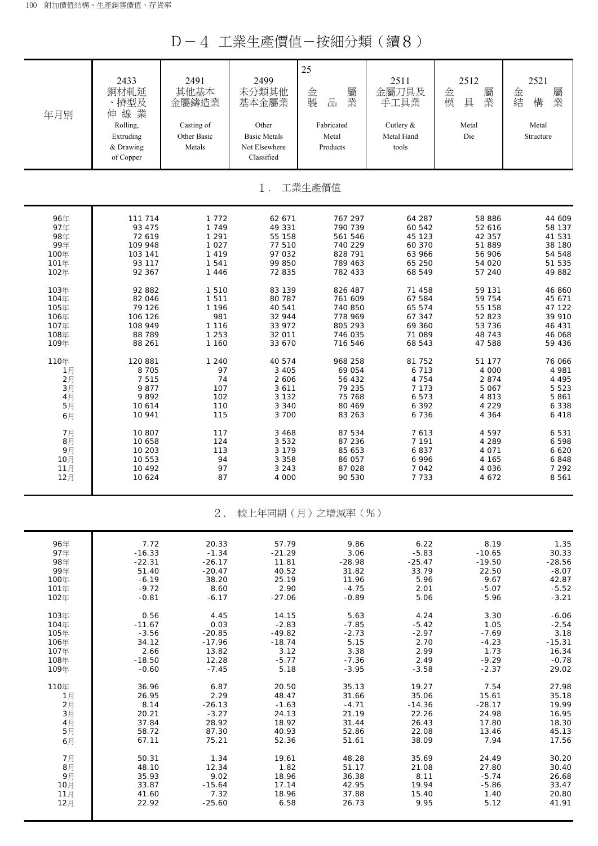D-4 工業生產價值-按細分類(續8)

| 年月別  | 2433<br>銅材軋延<br>、擠型及<br>伸線業<br>Rolling,<br>Extruding<br>& Drawing<br>of Copper | 2491<br>其他基本<br>金屬鑄造業<br>Casting of<br>Other Basic<br>Metals | 2499<br>未分類其他<br>基本金屬業<br>Other<br><b>Basic Metals</b><br>Not Elsewhere<br>Classified | 25<br>屬<br>金<br>製<br>業<br>品<br>Fabricated<br>Metal<br>Products | 2511<br>金屬刀具及<br>手工具業<br>Cutlery $&$<br>Metal Hand<br>tools | 2512<br>屬<br>金<br>業<br>模<br>具<br>Metal<br>Die | 2521<br>金<br>屬<br>結<br>業<br>構<br>Metal<br>Structure |
|------|--------------------------------------------------------------------------------|--------------------------------------------------------------|---------------------------------------------------------------------------------------|----------------------------------------------------------------|-------------------------------------------------------------|-----------------------------------------------|-----------------------------------------------------|
|      |                                                                                |                                                              | $1$ .                                                                                 | 工業生產價值                                                         |                                                             |                                               |                                                     |
| 96年  | 111 714                                                                        | 1 7 7 2                                                      | 62 671                                                                                | 767 297                                                        | 64 287                                                      | 58 886                                        | 44 609                                              |
| 97年  | 93 475                                                                         | 1 7 4 9                                                      | 49 331                                                                                | 790 739                                                        | 60 542                                                      | 52 616                                        | 58 137                                              |
| 98年  | 72 619                                                                         | 1 2 9 1                                                      | 55 158                                                                                | 561 546                                                        | 45 123                                                      | 42 357                                        | 41 531                                              |
| 99年  | 109 948                                                                        | 1 0 2 7                                                      | 77 510                                                                                | 740 229                                                        | 60 370                                                      | 51 889                                        | 38 180                                              |
| 100年 | 103 141                                                                        | 1 4 1 9                                                      | 97 032                                                                                | 828 791                                                        | 63 966                                                      | 56 906                                        | 54 548                                              |
| 101年 | 93 117                                                                         | 1 5 4 1                                                      | 99 850                                                                                | 789 463                                                        | 65 250                                                      | 54 020                                        | 51 535                                              |
| 102年 | 92 367                                                                         | 1 4 4 6                                                      | 72 835                                                                                | 782 433                                                        | 68 549                                                      | 57 240                                        | 49 882                                              |
| 103年 | 92 882                                                                         | 1 5 1 0                                                      | 83 139                                                                                | 826 487                                                        | 71 458                                                      | 59 131                                        | 46 860                                              |
| 104年 | 82 046                                                                         | 1 5 1 1                                                      | 80 787                                                                                | 761 609                                                        | 67 584                                                      | 59 754                                        | 45 671                                              |
| 105年 | 79 126                                                                         | 1 1 9 6                                                      | 40 541                                                                                | 740 850                                                        | 65 574                                                      | 55 158                                        | 47 122                                              |
| 106年 | 106 126                                                                        | 981                                                          | 32 944                                                                                | 778 969                                                        | 67 347                                                      | 52 823                                        | 39 910                                              |
| 107年 | 108 949                                                                        | 1 1 1 6                                                      | 33 972                                                                                | 805 293                                                        | 69 360                                                      | 53 736                                        | 46 431                                              |
| 108年 | 88 789                                                                         | 1 2 5 3                                                      | 32 011                                                                                | 746 035                                                        | 71 089                                                      | 48 743                                        | 46 068                                              |
| 109年 | 88 261                                                                         | 1 160                                                        | 33 670                                                                                | 716 546                                                        | 68 543                                                      | 47 588                                        | 59 436                                              |
| 110年 | 120 881                                                                        | 1 2 4 0                                                      | 40 574                                                                                | 968 258                                                        | 81 752                                                      | 51 177                                        | 76 066                                              |
| 1月   | 8 7 0 5                                                                        | 97                                                           | 3 4 0 5                                                                               | 69 054                                                         | 6 7 1 3                                                     | 4 000                                         | 4 981                                               |
| 2月   | 7 5 1 5                                                                        | 74                                                           | 2 6 0 6                                                                               | 56 432                                                         | 4 7 5 4                                                     | 2874                                          | 4 4 9 5                                             |
| 3月   | 9877                                                                           | 107                                                          | 3611                                                                                  | 79 235                                                         | 7 1 7 3                                                     | 5 0 6 7                                       | 5 5 2 3                                             |
| 4月   | 9892                                                                           | 102                                                          | 3 1 3 2                                                                               | 75 768                                                         | 6 5 7 3                                                     | 4813                                          | 5861                                                |
| 5月   | 10 614                                                                         | 110                                                          | 3 3 4 0                                                                               | 80 469                                                         | 6 3 9 2                                                     | 4 2 2 9                                       | 6 3 3 8                                             |
| 6月   | 10 941                                                                         | 115                                                          | 3 700                                                                                 | 83 263                                                         | 6 7 3 6                                                     | 4 3 6 4                                       | 6 4 1 8                                             |
| 7月   | 10 807                                                                         | 117                                                          | 3 4 6 8                                                                               | 87 534                                                         | 7613                                                        | 4 5 9 7                                       | 6 5 3 1                                             |
| 8月   | 10 658                                                                         | 124                                                          | 3 5 3 2                                                                               | 87 236                                                         | 7 191                                                       | 4 2 8 9                                       | 6 5 9 8                                             |
| 9月   | 10 203                                                                         | 113                                                          | 3 1 7 9                                                                               | 85 653                                                         | 6837                                                        | 4 0 7 1                                       | 6 6 20                                              |
| 10月  | 10 553                                                                         | 94                                                           | 3 3 5 8                                                                               | 86 057                                                         | 6 9 9 6                                                     | 4 165                                         | 6848                                                |
| 11月  | 10 492                                                                         | 97                                                           | 3 2 4 3                                                                               | 87 028                                                         | 7 0 4 2                                                     | 4 0 3 6                                       | 7 2 9 2                                             |
| 12月  | 10 624                                                                         | 87                                                           | 4 000                                                                                 | 90 530                                                         | 7 7 3 3                                                     | 4 672                                         | 8 5 6 1                                             |
|      |                                                                                | $2$ .                                                        |                                                                                       | 較上年同期(月)之增減率(%)                                                |                                                             |                                               |                                                     |
| 96年  | 7.72                                                                           | 20.33                                                        | 57.79                                                                                 | 9.86                                                           | 6.22                                                        | 8.19                                          | 1.35                                                |
| 97年  | $-16.33$                                                                       | $-1.34$                                                      | $-21.29$                                                                              | 3.06                                                           | $-5.83$                                                     | $-10.65$                                      | 30.33                                               |
| 98年  | $-22.31$                                                                       | $-26.17$                                                     | 11.81                                                                                 | $-28.98$                                                       | $-25.47$                                                    | $-19.50$                                      | $-28.56$                                            |
| 99年  | 51.40                                                                          | $-20.47$                                                     | 40.52                                                                                 | 31.82                                                          | 33.79                                                       | 22.50                                         | $-8.07$                                             |
| 100年 | $-6.19$                                                                        | 38.20                                                        | 25.19                                                                                 | 11.96                                                          | 5.96                                                        | 9.67                                          | 42.87                                               |
| 101年 | $-9.72$                                                                        | 8.60                                                         | 2.90                                                                                  | $-4.75$                                                        | 2.01                                                        | $-5.07$                                       | $-5.52$                                             |
| 102年 | $-0.81$                                                                        | $-6.17$                                                      | $-27.06$                                                                              | $-0.89$                                                        | 5.06                                                        | 5.96                                          | $-3.21$                                             |
| 103年 | 0.56                                                                           | 4.45                                                         | 14.15                                                                                 | 5.63                                                           | 4.24                                                        | 3.30                                          | $-6.06$                                             |
| 104年 | $-11.67$                                                                       | 0.03                                                         | $-2.83$                                                                               | $-7.85$                                                        | $-5.42$                                                     | 1.05                                          | $-2.54$                                             |
| 105年 | $-3.56$                                                                        | $-20.85$                                                     | $-49.82$                                                                              | $-2.73$                                                        | $-2.97$                                                     | $-7.69$                                       | 3.18                                                |
| 106年 | 34.12                                                                          | $-17.96$                                                     | $-18.74$                                                                              | 5.15                                                           | 2.70                                                        | $-4.23$                                       | $-15.31$                                            |
| 107年 | 2.66                                                                           | 13.82                                                        | 3.12                                                                                  | 3.38                                                           | 2.99                                                        | 1.73                                          | 16.34                                               |
| 108年 | $-18.50$                                                                       | 12.28                                                        | $-5.77$                                                                               | $-7.36$                                                        | 2.49                                                        | $-9.29$                                       | $-0.78$                                             |
| 109年 | $-0.60$                                                                        | $-7.45$                                                      | 5.18                                                                                  | $-3.95$                                                        | $-3.58$                                                     | $-2.37$                                       | 29.02                                               |
| 110年 | 36.96                                                                          | 6.87                                                         | 20.50                                                                                 | 35.13                                                          | 19.27                                                       | 7.54                                          | 27.98                                               |
| 1月   | 26.95                                                                          | 2.29                                                         | 48.47                                                                                 | 31.66                                                          | 35.06                                                       | 15.61                                         | 35.18                                               |
| 2月   | 8.14                                                                           | $-26.13$                                                     | $-1.63$                                                                               | $-4.71$                                                        | $-14.36$                                                    | $-28.17$                                      | 19.99                                               |
| 3月   | 20.21                                                                          | $-3.27$                                                      | 24.13                                                                                 | 21.19                                                          | 22.26                                                       | 24.98                                         | 16.95                                               |
| 4月   | 37.84                                                                          | 28.92                                                        | 18.92                                                                                 | 31.44                                                          | 26.43                                                       | 17.80                                         | 18.30                                               |
| 5月   | 58.72                                                                          | 87.30                                                        | 40.93                                                                                 | 52.86                                                          | 22.08                                                       | 13.46                                         | 45.13                                               |
| 6月   | 67.11                                                                          | 75.21                                                        | 52.36                                                                                 | 51.61                                                          | 38.09                                                       | 7.94                                          | 17.56                                               |
| 7月   | 50.31                                                                          | 1.34                                                         | 19.61                                                                                 | 48.28                                                          | 35.69                                                       | 24.49                                         | 30.20                                               |
| 8月   | 48.10                                                                          | 12.34                                                        | 1.82                                                                                  | 51.17                                                          | 21.08                                                       | 27.80                                         | 30.40                                               |
| 9月   | 35.93                                                                          | 9.02                                                         | 18.96                                                                                 | 36.38                                                          | 8.11                                                        | $-5.74$                                       | 26.68                                               |
| 10月  | 33.87                                                                          | $-15.64$                                                     | 17.14                                                                                 | 42.95                                                          | 19.94                                                       | $-5.86$                                       | 33.47                                               |
| 11月  | 41.60                                                                          | 7.32                                                         | 18.96                                                                                 | 37.88                                                          | 15.40                                                       | 1.40                                          | 20.80                                               |
| 12月  | 22.92                                                                          | $-25.60$                                                     | 6.58                                                                                  | 26.73                                                          | 9.95                                                        | 5.12                                          | 41.91                                               |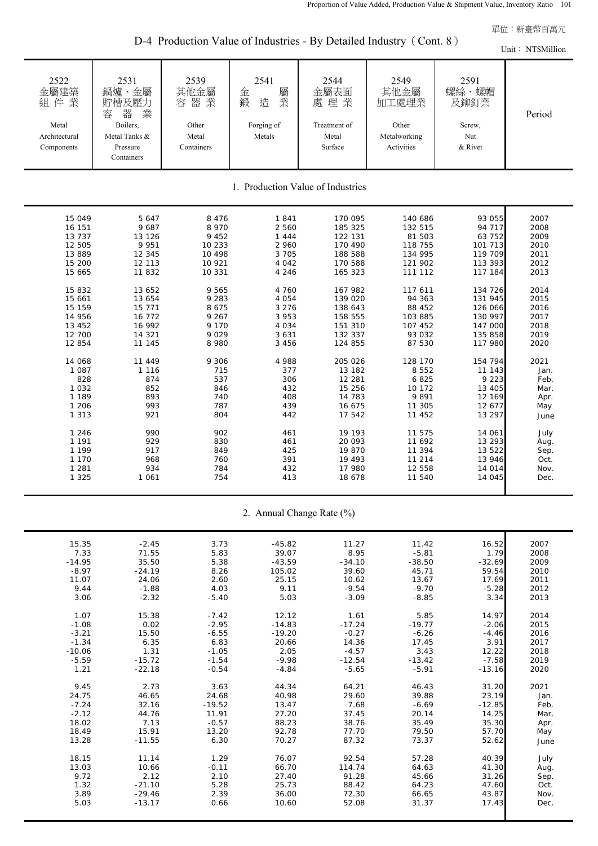D-4 Production Value of Industries - By Detailed Industry (Cont. 8)

|                                                                                                                                                       |                                                                                                                                                 |                                                                                                                                                            | $\tau$ Troudellon Value of muustries - Dy Detailed muustry (Com. 0)                                                                                        |                                                                                                                                                                   |                                                                                                                                                              |                                                                                                                                                                | Unit: NT\$Million                                                                                                    |
|-------------------------------------------------------------------------------------------------------------------------------------------------------|-------------------------------------------------------------------------------------------------------------------------------------------------|------------------------------------------------------------------------------------------------------------------------------------------------------------|------------------------------------------------------------------------------------------------------------------------------------------------------------|-------------------------------------------------------------------------------------------------------------------------------------------------------------------|--------------------------------------------------------------------------------------------------------------------------------------------------------------|----------------------------------------------------------------------------------------------------------------------------------------------------------------|----------------------------------------------------------------------------------------------------------------------|
| 2522<br>金屬建築<br>組件業<br>Metal<br>Architectural<br>Components                                                                                           | 2531<br>鍋爐、金屬<br>貯槽及壓力<br>器<br>業<br>容<br>Boilers,<br>Metal Tanks &<br>Pressure<br>Containers                                                    | 2539<br>其他金屬<br>容器業<br>Other<br>Metal<br>Containers                                                                                                        | 2541<br>屬<br>金<br>鍛<br>業<br>造<br>Forging of<br>Metals                                                                                                      | 2544<br>金屬表面<br>處理業<br>Treatment of<br>Metal<br>Surface                                                                                                           | 2549<br>其他金屬<br>加工處理業<br>Other<br>Metalworking<br>Activities                                                                                                 | 2591<br>螺絲、螺帽<br>及鉚釘業<br>Screw,<br>Nut<br>& Rivet                                                                                                              | Period                                                                                                               |
|                                                                                                                                                       |                                                                                                                                                 |                                                                                                                                                            | 1. Production Value of Industries                                                                                                                          |                                                                                                                                                                   |                                                                                                                                                              |                                                                                                                                                                |                                                                                                                      |
| 15 049<br>16 151<br>13 7 3 7<br>12 505<br>13 889<br>15 200<br>15 665<br>15 832<br>15 661<br>15 15 9<br>14 956<br>13 452<br>12 700<br>12 854<br>14 068 | 5 647<br>9687<br>13 126<br>9 9 5 1<br>12 345<br>12 113<br>11832<br>13 652<br>13 654<br>15 771<br>16 772<br>16 992<br>14 321<br>11 145<br>11 449 | 8 4 7 6<br>8 9 7 0<br>9 4 5 2<br>10 233<br>10 498<br>10 921<br>10 331<br>9 5 6 5<br>9 2 8 3<br>8 6 7 5<br>9 2 6 7<br>9 1 7 0<br>9029<br>8 9 8 0<br>9 3 0 6 | 1841<br>2 5 6 0<br>1 4 4 4<br>2 960<br>3 7 0 5<br>4 0 4 2<br>4 2 4 6<br>4 760<br>4 0 5 4<br>3 2 7 6<br>3 9 5 3<br>4 0 3 4<br>3 6 3 1<br>3 4 5 6<br>4 9 8 8 | 170 095<br>185 325<br>122 131<br>170 490<br>188 588<br>170 588<br>165 323<br>167 982<br>139 020<br>138 643<br>158 555<br>151 310<br>132 337<br>124 855<br>205 026 | 140 686<br>132 515<br>81 503<br>118 755<br>134 995<br>121 902<br>111 112<br>117 611<br>94 363<br>88 452<br>103 885<br>107 452<br>93 032<br>87 530<br>128 170 | 93 055<br>94 717<br>63 752<br>101 713<br>119 709<br>113 393<br>117 184<br>134 726<br>131 945<br>126 066<br>130 997<br>147 000<br>135 858<br>117 980<br>154 794 | 2007<br>2008<br>2009<br>2010<br>2011<br>2012<br>2013<br>2014<br>2015<br>2016<br>2017<br>2018<br>2019<br>2020<br>2021 |
| 1 0 8 7<br>828<br>1 0 3 2<br>1 1 8 9<br>1 2 0 6<br>1 3 1 3<br>1 2 4 6<br>1 1 9 1<br>1 1 9 9<br>1 1 7 0<br>1 2 8 1<br>1 3 2 5                          | 1 1 1 6<br>874<br>852<br>893<br>993<br>921<br>990<br>929<br>917<br>968<br>934<br>1 0 6 1                                                        | 715<br>537<br>846<br>740<br>787<br>804<br>902<br>830<br>849<br>760<br>784<br>754                                                                           | 377<br>306<br>432<br>408<br>439<br>442<br>461<br>461<br>425<br>391<br>432<br>413                                                                           | 13 182<br>12 281<br>15 25 6<br>14 783<br>16 675<br>17 542<br>19 193<br>20 093<br>19 870<br>19 493<br>17 980<br>18 678                                             | 8 5 5 2<br>6825<br>10 172<br>9891<br>11 305<br>11 452<br>11 575<br>11 692<br>11 394<br>11 214<br>12 558<br>11 540                                            | 11 143<br>9 2 2 3<br>13 4 05<br>12 169<br>12 677<br>13 297<br>14 061<br>13 29 3<br>13 522<br>13 946<br>14 014<br>14 045                                        | Jan.<br>Feb.<br>Mar.<br>Apr.<br>May<br>June<br>July<br>Aug.<br>Sep.<br>Oct.<br>Nov.<br>Dec.                          |

2. Annual Change Rate (%)

| 15.35    | $-2.45$  | 3.73     | $-45.82$ | 11.27    | 11.42    | 16.52    | 2007 |
|----------|----------|----------|----------|----------|----------|----------|------|
| 7.33     | 71.55    | 5.83     | 39.07    | 8.95     | $-5.81$  | 1.79     | 2008 |
| $-14.95$ | 35.50    | 5.38     | $-43.59$ | $-34.10$ | $-38.50$ | $-32.69$ | 2009 |
| $-8.97$  | $-24.19$ | 8.26     | 105.02   | 39.60    | 45.71    | 59.54    | 2010 |
| 11.07    | 24.06    | 2.60     | 25.15    | 10.62    | 13.67    | 17.69    | 2011 |
| 9.44     | $-1.88$  | 4.03     | 9.11     | $-9.54$  | $-9.70$  | $-5.28$  | 2012 |
| 3.06     | $-2.32$  | $-5.40$  | 5.03     | $-3.09$  | $-8.85$  | 3.34     | 2013 |
|          |          |          |          |          |          |          |      |
| 1.07     | 15.38    | $-7.42$  | 12.12    | 1.61     | 5.85     | 14.97    | 2014 |
| $-1.08$  | 0.02     | $-2.95$  | $-14.83$ | $-17.24$ | $-19.77$ | $-2.06$  | 2015 |
| $-3.21$  | 15.50    | $-6.55$  | $-19.20$ | $-0.27$  | $-6.26$  | $-4.46$  | 2016 |
| $-1.34$  | 6.35     | 6.83     | 20.66    | 14.36    | 17.45    | 3.91     | 2017 |
| $-10.06$ | 1.31     | $-1.05$  | 2.05     | $-4.57$  | 3.43     | 12.22    | 2018 |
| $-5.59$  | $-15.72$ | $-1.54$  | $-9.98$  | $-12.54$ | $-13.42$ | $-7.58$  | 2019 |
| 1.21     | $-22.18$ | $-0.54$  | $-4.84$  | $-5.65$  | $-5.91$  | $-13.16$ | 2020 |
|          |          |          |          |          |          |          |      |
| 9.45     | 2.73     | 3.63     | 44.34    | 64.21    | 46.43    | 31.20    | 2021 |
| 24.75    | 46.65    | 24.68    | 40.98    | 29.60    | 39.88    | 23.19    | Jan. |
| $-7.24$  | 32.16    | $-19.52$ | 13.47    | 7.68     | $-6.69$  | $-12.85$ | Feb. |
| $-2.12$  | 44.76    | 11.91    | 27.20    | 37.45    | 20.14    | 14.25    | Mar. |
| 18.02    | 7.13     | $-0.57$  | 88.23    | 38.76    | 35.49    | 35.30    | Apr. |
| 18.49    | 15.91    | 13.20    | 92.78    | 77.70    | 79.50    | 57.70    | May  |
| 13.28    | $-11.55$ | 6.30     | 70.27    | 87.32    | 73.37    | 52.62    | June |
|          |          |          |          |          |          |          |      |
| 18.15    | 11.14    | 1.29     | 76.07    | 92.54    | 57.28    | 40.39    | July |
| 13.03    | 10.66    | $-0.11$  | 66.70    | 114.74   | 64.63    | 41.30    | Aug. |
| 9.72     | 2.12     | 2.10     | 27.40    | 91.28    | 45.66    | 31.26    | Sep. |
| 1.32     | $-21.10$ | 5.28     | 25.73    | 88.42    | 64.23    | 47.60    | Oct. |
| 3.89     | $-29.46$ | 2.39     | 36.00    | 72.30    | 66.65    | 43.87    | Nov. |
| 5.03     | $-13.17$ | 0.66     | 10.60    | 52.08    | 31.37    | 17.43    | Dec. |
|          |          |          |          |          |          |          |      |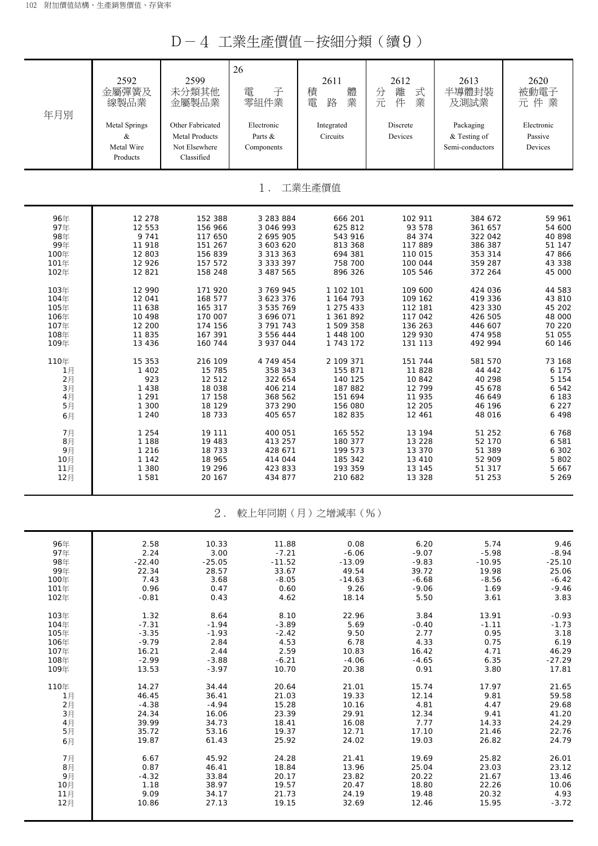D-4 工業生產價值-按細分類(續9)

| 年月別  | 2592<br>金屬彈簧及<br>線製品業<br>Metal Springs<br>&<br>Metal Wire<br>Products | 2599<br>未分類其他<br>金屬製品業<br>Other Fabricated<br>Metal Products<br>Not Elsewhere<br>Classified | 26<br>子<br>電<br>零組件業<br>Electronic<br>Parts &<br>Components | 2611<br>體<br>積<br>業<br>電<br>路<br>Integrated<br>Circuits | 2612<br>離<br>式<br>分<br>完<br>業<br>件<br>Discrete<br>Devices | 2613<br>半導體封裝<br>及測試業<br>Packaging<br>& Testing of<br>Semi-conductors | 2620<br>被動電子<br>元件業<br>Electronic<br>Passive<br>Devices |
|------|-----------------------------------------------------------------------|---------------------------------------------------------------------------------------------|-------------------------------------------------------------|---------------------------------------------------------|-----------------------------------------------------------|-----------------------------------------------------------------------|---------------------------------------------------------|
|      |                                                                       |                                                                                             | $1$ .                                                       | 工業生產價值                                                  |                                                           |                                                                       |                                                         |
| 96年  | 12 278                                                                | 152 388                                                                                     | 3 283 884                                                   | 666 201                                                 | 102 911                                                   | 384 672                                                               | 59 961                                                  |
| 97年  | 12 553                                                                | 156 966                                                                                     | 3 046 993                                                   | 625 812                                                 | 93 578                                                    | 361 657                                                               | 54 600                                                  |
| 98年  | 9 7 4 1                                                               | 117 650                                                                                     | 2 695 905                                                   | 543 916                                                 | 84 374                                                    | 322 042                                                               | 40 898                                                  |
| 99年  | 11 918                                                                | 151 267                                                                                     | 3 603 620                                                   | 813 368                                                 | 117 889                                                   | 386 387                                                               | 51 147                                                  |
| 100年 | 12 803                                                                | 156 839                                                                                     | 3 3 1 3 3 6 3                                               | 694 381                                                 | 110 015                                                   | 353 314                                                               | 47866                                                   |
| 101年 | 12 9 26                                                               | 157 572                                                                                     | 3 3 3 3 3 9 7                                               | 758 700                                                 | 100 044                                                   | 359 287                                                               | 43 338                                                  |
| 102年 | 12 821                                                                | 158 248                                                                                     | 3 487 565                                                   | 896 326                                                 | 105 546                                                   | 372 264                                                               | 45 000                                                  |
| 103年 | 12 990                                                                | 171 920                                                                                     | 3 769 945                                                   | 1 102 101                                               | 109 600                                                   | 424 036                                                               | 44 583                                                  |
| 104年 | 12 041                                                                | 168 577                                                                                     | 3 623 376                                                   | 1 164 793                                               | 109 162                                                   | 419 336                                                               | 43 810                                                  |
| 105年 | 11 638                                                                | 165 317                                                                                     | 3 535 769                                                   | 1 275 433                                               | 112 181                                                   | 423 330                                                               | 45 202                                                  |
| 106年 | 10 498                                                                | 170 007                                                                                     | 3 696 071                                                   | 1 361 892                                               | 117 042                                                   | 426 505                                                               | 48 000                                                  |
| 107年 | 12 200                                                                | 174 156                                                                                     | 3 791 743                                                   | 1 509 358                                               | 136 263                                                   | 446 607                                                               | 70 220                                                  |
| 108年 | 11 835                                                                | 167 391                                                                                     | 3 556 444                                                   | 1 448 100                                               | 129 930                                                   | 474 958                                                               | 51 055                                                  |
| 109年 | 13 4 36                                                               | 160 744                                                                                     | 3 937 044                                                   | 1 743 172                                               | 131 113                                                   | 492 994                                                               | 60 146                                                  |
| 110年 | 15 353                                                                | 216 109                                                                                     | 4 749 454                                                   | 2 109 371                                               | 151 744                                                   | 581 570                                                               | 73 168                                                  |
| 1月   | 1 4 0 2                                                               | 15 785                                                                                      | 358 343                                                     | 155 871                                                 | 11 828                                                    | 44 442                                                                | 6 175                                                   |
| 2月   | 923                                                                   | 12 512                                                                                      | 322 654                                                     | 140 125                                                 | 10 842                                                    | 40 298                                                                | 5 1 5 4                                                 |
| 3月   | 1 4 3 8                                                               | 18 038                                                                                      | 406 214                                                     | 187 882                                                 | 12 799                                                    | 45 678                                                                | 6 5 4 2                                                 |
| 4月   | 1 2 9 1                                                               | 17 158                                                                                      | 368 562                                                     | 151 694                                                 | 11 935                                                    | 46 649                                                                | 6 183                                                   |
| 5月   | 1 300                                                                 | 18 129                                                                                      | 373 290                                                     | 156 080                                                 | 12 205                                                    | 46 196                                                                | 6 2 2 7                                                 |
| 6月   | 1 2 4 0                                                               | 18 733                                                                                      | 405 657                                                     | 182 835                                                 | 12 461                                                    | 48 016                                                                | 6 4 9 8                                                 |
| 7月   | 1 2 5 4                                                               | 19 111                                                                                      | 400 051                                                     | 165 552                                                 | 13 194                                                    | 51 252                                                                | 6768                                                    |
| 8月   | 1 1 8 8                                                               | 19 483                                                                                      | 413 257                                                     | 180 377                                                 | 13 228                                                    | 52 170                                                                | 6 5 8 1                                                 |
| 9月   | 1 2 1 6                                                               | 18 733                                                                                      | 428 671                                                     | 199 573                                                 | 13 370                                                    | 51 389                                                                | 6 3 0 2                                                 |
| 10月  | 1 1 4 2                                                               | 18 965                                                                                      | 414 044                                                     | 185 342                                                 | 13 410                                                    | 52 909                                                                | 5 802                                                   |
| 11月  | 1 3 8 0                                                               | 19 29 6                                                                                     | 423 833                                                     | 193 359                                                 | 13 145                                                    | 51 317                                                                | 5 6 6 7                                                 |
| 12月  | 1 5 8 1                                                               | 20 167                                                                                      | 434 877                                                     | 210 682                                                 | 13 328                                                    | 51 253                                                                | 5 2 6 9                                                 |
|      |                                                                       | $2$ .                                                                                       |                                                             | 較上年同期 (月) 之增減率 (%)                                      |                                                           |                                                                       |                                                         |
| 96年  | 2.58                                                                  | 10.33                                                                                       | 11.88                                                       | 0.08                                                    | 6.20                                                      | 5.74                                                                  | 9.46                                                    |
| 97年  | 2.24                                                                  | 3.00                                                                                        | $-7.21$                                                     | $-6.06$                                                 | $-9.07$                                                   | $-5.98$                                                               | $-8.94$                                                 |
| 98年  | $-22.40$                                                              | $-25.05$                                                                                    | $-11.52$                                                    | $-13.09$                                                | $-9.83$                                                   | $-10.95$                                                              | $-25.10$                                                |
| 99年  | 22.34                                                                 | 28.57                                                                                       | 33.67                                                       | 49.54                                                   | 39.72                                                     | 19.98                                                                 | 25.06                                                   |
| 100年 | 7.43                                                                  | 3.68                                                                                        | $-8.05$                                                     | $-14.63$                                                | $-6.68$                                                   | $-8.56$                                                               | $-6.42$                                                 |
| 101年 | 0.96                                                                  | 0.47                                                                                        | 0.60                                                        | 9.26                                                    | $-9.06$                                                   | 1.69                                                                  | $-9.46$                                                 |
| 102年 | $-0.81$                                                               | 0.43                                                                                        | 4.62                                                        | 18.14                                                   | 5.50                                                      | 3.61                                                                  | 3.83                                                    |
| 103年 | 1.32                                                                  | 8.64                                                                                        | 8.10                                                        | 22.96                                                   | 3.84                                                      | 13.91                                                                 | $-0.93$                                                 |
| 104年 | $-7.31$                                                               | $-1.94$                                                                                     | $-3.89$                                                     | 5.69                                                    | $-0.40$                                                   | $-1.11$                                                               | $-1.73$                                                 |
| 105年 | $-3.35$                                                               | $-1.93$                                                                                     | $-2.42$                                                     | 9.50                                                    | 2.77                                                      | 0.95                                                                  | 3.18                                                    |
| 106年 | $-9.79$                                                               | 2.84                                                                                        | 4.53                                                        | 6.78                                                    | 4.33                                                      | 0.75                                                                  | 6.19                                                    |
| 107年 | 16.21                                                                 | 2.44                                                                                        | 2.59                                                        | 10.83                                                   | 16.42                                                     | 4.71                                                                  | 46.29                                                   |
| 108年 | $-2.99$                                                               | $-3.88$                                                                                     | $-6.21$                                                     | $-4.06$                                                 | $-4.65$                                                   | 6.35                                                                  | $-27.29$                                                |
| 109年 | 13.53                                                                 | $-3.97$                                                                                     | 10.70                                                       | 20.38                                                   | 0.91                                                      | 3.80                                                                  | 17.81                                                   |
| 110年 | 14.27                                                                 | 34.44                                                                                       | 20.64                                                       | 21.01                                                   | 15.74                                                     | 17.97                                                                 | 21.65                                                   |
| 1月   | 46.45                                                                 | 36.41                                                                                       | 21.03                                                       | 19.33                                                   | 12.14                                                     | 9.81                                                                  | 59.58                                                   |
| 2月   | $-4.38$                                                               | $-4.94$                                                                                     | 15.28                                                       | 10.16                                                   | 4.81                                                      | 4.47                                                                  | 29.68                                                   |
| 3月   | 24.34                                                                 | 16.06                                                                                       | 23.39                                                       | 29.91                                                   | 12.34                                                     | 9.41                                                                  | 41.20                                                   |
| 4月   | 39.99                                                                 | 34.73                                                                                       | 18.41                                                       | 16.08                                                   | 7.77                                                      | 14.33                                                                 | 24.29                                                   |
| 5月   | 35.72                                                                 | 53.16                                                                                       | 19.37                                                       | 12.71                                                   | 17.10                                                     | 21.46                                                                 | 22.76                                                   |
| 6月   | 19.87                                                                 | 61.43                                                                                       | 25.92                                                       | 24.02                                                   | 19.03                                                     | 26.82                                                                 | 24.79                                                   |
| 7月   | 6.67                                                                  | 45.92                                                                                       | 24.28                                                       | 21.41                                                   | 19.69                                                     | 25.82                                                                 | 26.01                                                   |
| 8月   | 0.87                                                                  | 46.41                                                                                       | 18.84                                                       | 13.96                                                   | 25.04                                                     | 23.03                                                                 | 23.12                                                   |
| 9月   | $-4.32$                                                               | 33.84                                                                                       | 20.17                                                       | 23.82                                                   | 20.22                                                     | 21.67                                                                 | 13.46                                                   |
| 10月  | 1.18                                                                  | 38.97                                                                                       | 19.57                                                       | 20.47                                                   | 18.80                                                     | 22.26                                                                 | 10.06                                                   |
| 11月  | 9.09                                                                  | 34.17                                                                                       | 21.73                                                       | 24.19                                                   | 19.48                                                     | 20.32                                                                 | 4.93                                                    |
| 12月  | 10.86                                                                 | 27.13                                                                                       | 19.15                                                       | 32.69                                                   | 12.46                                                     | 15.95                                                                 | $-3.72$                                                 |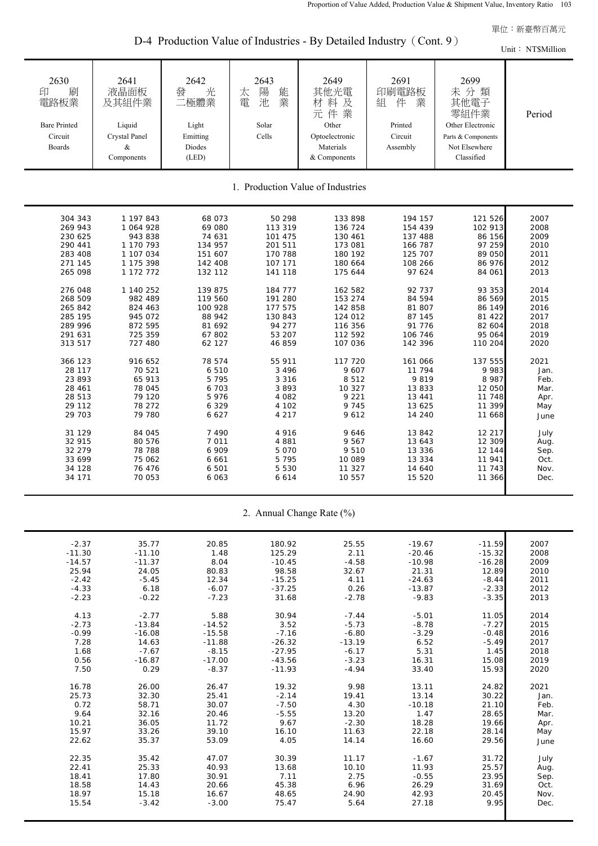D-4 Production Value of Industries - By Detailed Industry (Cont. 9)

|                                                                           |                                                                     |                                                                |                                                  |                                                                                    | $\tau$ Troudellon value of mudstries - Dy Detailed mudstry (Come ) $\tau$ |                                                                                                      | Unit: NT\$Million |
|---------------------------------------------------------------------------|---------------------------------------------------------------------|----------------------------------------------------------------|--------------------------------------------------|------------------------------------------------------------------------------------|---------------------------------------------------------------------------|------------------------------------------------------------------------------------------------------|-------------------|
| 2630<br>刷<br>印<br>電路板業<br><b>Bare Printed</b><br>Circuit<br><b>Boards</b> | 2641<br>液晶面板<br>及其組件業<br>Liquid<br>Crystal Panel<br>&<br>Components | 2642<br>光<br>發<br>二極體業<br>Light<br>Emitting<br>Diodes<br>(LED) | 2643<br>陽<br>能業<br>太<br>電<br>池<br>Solar<br>Cells | 2649<br>其他光電<br>材料及<br>元件業<br>Other<br>Optoelectronic<br>Materials<br>& Components | 2691<br>印刷電路板<br>業<br>組<br>件<br>Printed<br>Circuit<br>Assembly            | 2699<br>未分類<br>其他電子<br>零組件業<br>Other Electronic<br>Parts & Components<br>Not Elsewhere<br>Classified | Period            |
|                                                                           |                                                                     |                                                                | 1. Production Value of Industries                |                                                                                    |                                                                           |                                                                                                      |                   |
| 304 343                                                                   | 1 197 843                                                           | 68 073                                                         | 50 298                                           | 133 898                                                                            | 194 157                                                                   | 121 526                                                                                              | 2007              |
| 269 943                                                                   | 1 064 928                                                           | 69 080                                                         | 113 319                                          | 136 724                                                                            | 154 439                                                                   | 102 913                                                                                              | 2008              |
| 230 625                                                                   | 943 838                                                             | 74 631                                                         | 101 475                                          | 130 461                                                                            | 137 488                                                                   | 86 156                                                                                               | 2009              |
| 290 441                                                                   | 1 170 793                                                           | 134 957                                                        | 201 511                                          | 173 081                                                                            | 166 787                                                                   | 97 259                                                                                               | 2010              |
| 283 408                                                                   | 1 107 034                                                           | 151 607                                                        | 170 788                                          | 180 192                                                                            | 125 707                                                                   | 89 050                                                                                               | 2011              |
| 271 145                                                                   | 1 175 398                                                           | 142 408                                                        | 107 171                                          | 180 664                                                                            | 108 266                                                                   | 86 976                                                                                               | 2012              |
| 265 098                                                                   | 1 172 772                                                           | 132 112                                                        | 141 118                                          | 175 644                                                                            | 97 624                                                                    | 84 061                                                                                               | 2013              |
| 276 048                                                                   | 1 140 252                                                           | 139 875                                                        | 184 777                                          | 162 582                                                                            | 92 737                                                                    | 93 353                                                                                               | 2014              |
| 268 509                                                                   | 982 489                                                             | 119 560                                                        | 191 280                                          | 153 274                                                                            | 84 594                                                                    | 86 569                                                                                               | 2015              |
| 265 842                                                                   | 824 463                                                             | 100 928                                                        | 177 575                                          | 142 858                                                                            | 81 807                                                                    | 86 149                                                                                               | 2016              |
| 285 195                                                                   | 945 072                                                             | 88 942                                                         | 130 843                                          | 124 012                                                                            | 87 145                                                                    | 81 422                                                                                               | 2017              |
| 289 996                                                                   | 872 595                                                             | 81 692                                                         | 94 277                                           | 116 356                                                                            | 91 776                                                                    | 82 604                                                                                               | 2018              |
| 291 631                                                                   | 725 359                                                             | 67 802                                                         | 53 207                                           | 112 592                                                                            | 106 746                                                                   | 95 064                                                                                               | 2019              |
| 313 517                                                                   | 727 480                                                             | 62 127                                                         | 46 859                                           | 107 036                                                                            | 142 396                                                                   | 110 204                                                                                              | 2020              |
| 366 123                                                                   | 916 652                                                             | 78 574                                                         | 55 911                                           | 117 720                                                                            | 161 066                                                                   | 137 555                                                                                              | 2021              |
| 28 117                                                                    | 70 521                                                              | 6 5 1 0                                                        | 3 4 9 6                                          | 9 607                                                                              | 11 794                                                                    | 9983                                                                                                 | Jan.              |
| 23 893                                                                    | 65 913                                                              | 5 7 9 5                                                        | 3 3 1 6                                          | 8512                                                                               | 9819                                                                      | 8 9 8 7                                                                                              | Feb.              |
| 28 4 61                                                                   | 78 045                                                              | 6 703                                                          | 3893                                             | 10 327                                                                             | 13 833                                                                    | 12 050                                                                                               | Mar.              |
| 28 513                                                                    | 79 120                                                              | 5 9 7 6                                                        | 4 0 8 2                                          | 9 2 2 1                                                                            | 13 441                                                                    | 11 748                                                                                               | Apr.              |
| 29 112                                                                    | 78 272                                                              | 6 3 2 9                                                        | 4 102                                            | 9 7 4 5                                                                            | 13 625                                                                    | 11 399                                                                                               | May               |
| 29 703                                                                    | 79 780                                                              | 6 6 2 7                                                        | 4 2 1 7                                          | 9612                                                                               | 14 240                                                                    | 11 668                                                                                               | June              |
| 31 129                                                                    | 84 045                                                              | 7 4 9 0                                                        | 4 9 1 6                                          | 9646                                                                               | 13 842                                                                    | 12 217                                                                                               | July              |
| 32 915                                                                    | 80 576                                                              | 7 0 1 1                                                        | 4 8 8 1                                          | 9 5 6 7                                                                            | 13 643                                                                    | 12 309                                                                                               | Aug.              |
| 32 279                                                                    | 78 788                                                              | 6 909                                                          | 5 0 7 0                                          | 9 5 1 0                                                                            | 13 3 3 6                                                                  | 12 144                                                                                               | Sep.              |
| 33 699                                                                    | 75 062                                                              | 6 6 6 1                                                        | 5 7 9 5                                          | 10 089                                                                             | 13 334                                                                    | 11 941                                                                                               | Oct.              |
| 34 128                                                                    | 76 476                                                              | 6 501                                                          | 5 5 3 0                                          | 11 327                                                                             | 14 640                                                                    | 11 743                                                                                               | Nov.              |
| 34 171                                                                    | 70 053                                                              | 6 0 6 3                                                        | 6 6 1 4                                          | 10 557                                                                             | 15 520                                                                    | 11 366                                                                                               | Dec.              |
|                                                                           |                                                                     |                                                                | 2. Annual Change Rate (%)                        |                                                                                    |                                                                           |                                                                                                      |                   |
| $-2.37$                                                                   | 35.77                                                               | 20.85                                                          | 180.92                                           | 25.55                                                                              | $-19.67$                                                                  | $-11.59$                                                                                             | 2007              |
| $-11.30$                                                                  | $-11.10$                                                            | 1.48                                                           | 125.29                                           | 2.11                                                                               | $-20.46$                                                                  | $-15.32$                                                                                             | 2008              |
| $-14.57$                                                                  | $-11.37$                                                            | 8.04                                                           | $-10.45$                                         | $-4.58$                                                                            | $-10.98$                                                                  | $-16.28$                                                                                             | 2009              |
| 25.94                                                                     | 24.05                                                               | 80.83                                                          | 98.58                                            | 32.67                                                                              | 21.31                                                                     | 12.89                                                                                                | 2010              |
| $-2.42$                                                                   | $-5.45$                                                             | 12.34                                                          | $-15.25$                                         | 4.11                                                                               | $-24.63$                                                                  | $-8.44$                                                                                              | 2011              |
| $-4.33$                                                                   | 6.18                                                                | $-6.07$                                                        | $-37.25$                                         | 0.26                                                                               | $-13.87$                                                                  | $-2.33$                                                                                              | 2012              |
| $-2.23$                                                                   | $-0.22$                                                             | $-7.23$                                                        | 31.68                                            | $-2.78$                                                                            | $-9.83$                                                                   | $-3.35$                                                                                              | 2013              |
| 4.13                                                                      | $-2.77$                                                             | 5.88                                                           | 30.94                                            | $-7.44$                                                                            | $-5.01$                                                                   | 11.05                                                                                                | 2014              |
| $-2.73$                                                                   | $-13.84$                                                            | $-14.52$                                                       | 3.52                                             | $-5.73$                                                                            | $-8.78$                                                                   | $-7.27$                                                                                              | 2015              |
| $-0.99$                                                                   | $-16.08$                                                            | $-15.58$                                                       | $-7.16$                                          | $-6.80$                                                                            | $-3.29$                                                                   | $-0.48$                                                                                              | 2016              |
| 7.28                                                                      | 14.63                                                               | $-11.88$                                                       | $-26.32$                                         | $-13.19$                                                                           | 6.52                                                                      | $-5.49$                                                                                              | 2017              |
| 1.68                                                                      | $-7.67$                                                             | $-8.15$                                                        | $-27.95$                                         | $-6.17$                                                                            | 5.31                                                                      | 1.45                                                                                                 | 2018              |
| 0.56                                                                      | $-16.87$                                                            | $-17.00$                                                       | $-43.56$                                         | $-3.23$                                                                            | 16.31                                                                     | 15.08                                                                                                | 2019              |
| 7.50                                                                      | 0.29                                                                | $-8.37$                                                        | $-11.93$                                         | $-4.94$                                                                            | 33.40                                                                     | 15.93                                                                                                | 2020              |
| 16.78                                                                     | 26.00                                                               | 26.47                                                          | 19.32                                            | 9.98                                                                               | 13.11                                                                     | 24.82                                                                                                | 2021              |
| 25.73                                                                     | 32.30                                                               | 25.41                                                          | $-2.14$                                          | 19.41                                                                              | 13.14                                                                     | 30.22                                                                                                | Jan.              |
| 0.72                                                                      | 58.71                                                               | 30.07                                                          | $-7.50$                                          | 4.30                                                                               | $-10.18$                                                                  | 21.10                                                                                                | Feb.              |
| 9.64                                                                      | 32.16                                                               | 20.46                                                          | $-5.55$                                          | 13.20                                                                              | 1.47                                                                      | 28.65                                                                                                | Mar.              |
| 10.21                                                                     | 36.05                                                               | 11.72                                                          | 9.67                                             | $-2.30$                                                                            | 18.28                                                                     | 19.66                                                                                                | Apr.              |
| 15.97                                                                     | 33.26                                                               | 39.10                                                          | 16.10                                            | 11.63                                                                              | 22.18                                                                     | 28.14                                                                                                | May               |
| 22.62                                                                     | 35.37                                                               | 53.09                                                          | 4.05                                             | 14.14                                                                              | 16.60                                                                     | 29.56                                                                                                | June              |
| 22.35                                                                     | 35.42                                                               | 47.07                                                          | 30.39                                            | 11.17                                                                              | $-1.67$                                                                   | 31.72                                                                                                | July              |
| 22.41                                                                     | 25.33                                                               | 40.93                                                          | 13.68                                            | 10.10                                                                              | 11.93                                                                     | 25.57                                                                                                | Aug.              |
| 18.41                                                                     | 17.80                                                               | 30.91                                                          | 7.11                                             | 2.75                                                                               | $-0.55$                                                                   | 23.95                                                                                                | Sep.              |
| 18.58                                                                     | 14.43                                                               | 20.66                                                          | 45.38                                            | 6.96                                                                               | 26.29                                                                     | 31.69                                                                                                | Oct.              |

18.97 15.18 16.67 48.65 24.90 42.93 20.45 Nov. 15.54 -3.42 -3.00 75.47 5.64 27.18 9.95 Dec.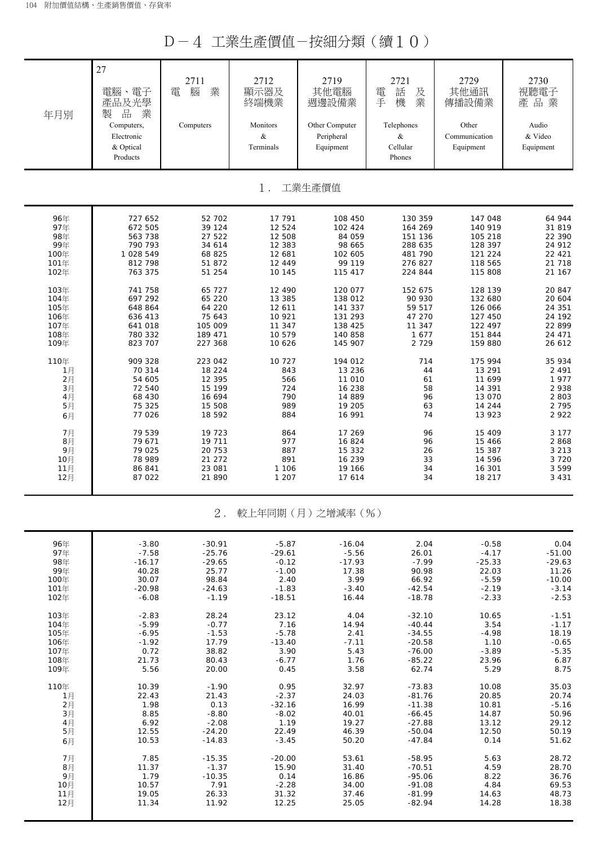D-4 工業生產價值-按細分類(續10)

| 年月別  | 27<br>電腦、電子<br>產品及光學<br>品<br>業<br>製<br>Computers,<br>Electronic<br>& Optical<br>Products | 2711<br>腦<br>業<br>電<br>Computers | 2712<br>顯示器及<br>終端機業<br>Monitors<br>$\&$<br>Terminals | 2719<br>其他電腦<br>週邊設備業<br>Other Computer<br>Peripheral<br>Equipment | 2721<br>話<br>電<br>及<br>業<br>機<br>手<br>Telephones<br>$\&$<br>Cellular<br>Phones | 2729<br>其他通訊<br>傳播設備業<br>Other<br>Communication<br>Equipment | 2730<br>視聽電子<br>產品業<br>Audio<br>& Video<br>Equipment |
|------|------------------------------------------------------------------------------------------|----------------------------------|-------------------------------------------------------|--------------------------------------------------------------------|--------------------------------------------------------------------------------|--------------------------------------------------------------|------------------------------------------------------|
|      |                                                                                          |                                  | $1$ .                                                 | 工業生產價值                                                             |                                                                                |                                                              |                                                      |
| 96年  | 727 652                                                                                  | 52 702                           | 17 791                                                | 108 450                                                            | 130 359                                                                        | 147 048                                                      | 64 944                                               |
| 97年  | 672 505                                                                                  | 39 1 24                          | 12 5 24                                               | 102 424                                                            | 164 269                                                                        | 140 919                                                      | 31 819                                               |
| 98年  | 563 738                                                                                  | 27 522                           | 12 508                                                | 84 059                                                             | 151 136                                                                        | 105 218                                                      | 22 390                                               |
| 99年  | 790 793                                                                                  | 34 614                           | 12 3 8 3                                              | 98 665                                                             | 288 635                                                                        | 128 397                                                      | 24 912                                               |
| 100年 | 1 028 549                                                                                | 68 825                           | 12 681                                                | 102 605                                                            | 481 790                                                                        | 121 224                                                      | 22 4 21                                              |
| 101年 | 812 798                                                                                  | 51 872                           | 12 449                                                | 99 119                                                             | 276 827                                                                        | 118 565                                                      | 21 718                                               |
| 102年 | 763 375                                                                                  | 51 254                           | 10 145                                                | 115 417                                                            | 224 844                                                                        | 115 808                                                      | 21 167                                               |
| 103年 | 741 758                                                                                  | 65 727                           | 12 490                                                | 120 077                                                            | 152 675                                                                        | 128 139                                                      | 20 847                                               |
| 104年 | 697 292                                                                                  | 65 220                           | 13 3 8 5                                              | 138 012                                                            | 90 930                                                                         | 132 680                                                      | 20 604                                               |
| 105年 | 648 864                                                                                  | 64 220                           | 12 611                                                | 141 337                                                            | 59 517                                                                         | 126 066                                                      | 24 351                                               |
| 106年 | 636 413                                                                                  | 75 643                           | 10 921                                                | 131 293                                                            | 47 270                                                                         | 127 450                                                      | 24 192                                               |
| 107年 | 641 018                                                                                  | 105 009                          | 11 347                                                | 138 425                                                            | 11 347                                                                         | 122 497                                                      | 22 899                                               |
| 108年 | 780 332                                                                                  | 189 471                          | 10 579                                                | 140 858                                                            | 1677                                                                           | 151 844                                                      | 24 471                                               |
| 109年 | 823 707                                                                                  | 227 368                          | 10 6 26                                               | 145 907                                                            | 2 7 2 9                                                                        | 159 880                                                      | 26 612                                               |
| 110年 | 909 328                                                                                  | 223 042                          | 10 727                                                | 194 012                                                            | 714                                                                            | 175 994                                                      | 35 934                                               |
| 1月   | 70 314                                                                                   | 18 2 24                          | 843                                                   | 13 2 36                                                            | 44                                                                             | 13 291                                                       | 2 4 9 1                                              |
| 2月   | 54 605                                                                                   | 12 3 9 5                         | 566                                                   | 11 010                                                             | 61                                                                             | 11 699                                                       | 1977                                                 |
| 3月   | 72 540                                                                                   | 15 199                           | 724                                                   | 16 238                                                             | 58                                                                             | 14 391                                                       | 2938                                                 |
| 4月   | 68 430                                                                                   | 16 694                           | 790                                                   | 14 889                                                             | 96                                                                             | 13 070                                                       | 2 803                                                |
| 5月   | 75 325                                                                                   | 15 508                           | 989                                                   | 19 205                                                             | 63                                                                             | 14 244                                                       | 2 7 9 5                                              |
| 6月   | 77 026                                                                                   | 18 592                           | 884                                                   | 16 991                                                             | 74                                                                             | 13 923                                                       | 2922                                                 |
| 7月   | 79 539                                                                                   | 19 723                           | 864                                                   | 17 269                                                             | 96                                                                             | 15 409                                                       | 3 1 7 7                                              |
| 8月   | 79 671                                                                                   | 19 711                           | 977                                                   | 16 824                                                             | 96                                                                             | 15 4 6 6                                                     | 2868                                                 |
| 9月   | 79 025                                                                                   | 20 753                           | 887                                                   | 15 332                                                             | 26                                                                             | 15 387                                                       | 3 2 1 3                                              |
| 10月  | 78 989                                                                                   | 21 27 2                          | 891                                                   | 16 239                                                             | 33                                                                             | 14 5 9 6                                                     | 3720                                                 |
| 11月  | 86 841                                                                                   | 23 081                           | 1 1 0 6                                               | 19 166                                                             | 34                                                                             | 16 301                                                       | 3 5 9 9                                              |
| 12月  | 87 022                                                                                   | 21 890                           | 1 207                                                 | 17 614                                                             | 34                                                                             | 18 217                                                       | 3 4 3 1                                              |
|      |                                                                                          | $2$ .                            |                                                       | 較上年同期(月)之增減率(%)                                                    |                                                                                |                                                              |                                                      |
| 96年  | $-3.80$                                                                                  | $-30.91$                         | $-5.87$                                               | $-16.04$                                                           | 2.04                                                                           | $-0.58$                                                      | 0.04                                                 |
| 97年  | $-7.58$                                                                                  | $-25.76$                         | $-29.61$                                              | $-5.56$                                                            | 26.01                                                                          | $-4.17$                                                      | $-51.00$                                             |
| 98年  | $-16.17$                                                                                 | $-29.65$                         | $-0.12$                                               | $-17.93$                                                           | $-7.99$                                                                        | $-25.33$                                                     | $-29.63$                                             |
| 99年  | 40.28                                                                                    | 25.77                            | $-1.00$                                               | 17.38                                                              | 90.98                                                                          | 22.03                                                        | 11.26                                                |
| 100年 | 30.07                                                                                    | 98.84                            | 2.40                                                  | 3.99                                                               | 66.92                                                                          | $-5.59$                                                      | $-10.00$                                             |
| 101年 | $-20.98$                                                                                 | $-24.63$                         | $-1.83$                                               | $-3.40$                                                            | $-42.54$                                                                       | $-2.19$                                                      | $-3.14$                                              |
| 102年 | $-6.08$                                                                                  | $-1.19$                          | $-18.51$                                              | 16.44                                                              | $-18.78$                                                                       | $-2.33$                                                      | $-2.53$                                              |
| 103年 | $-2.83$                                                                                  | 28.24                            | 23.12                                                 | 4.04                                                               | $-32.10$                                                                       | 10.65                                                        | $-1.51$                                              |
| 104年 | $-5.99$                                                                                  | $-0.77$                          | 7.16                                                  | 14.94                                                              | $-40.44$                                                                       | 3.54                                                         | $-1.17$                                              |
| 105年 | $-6.95$                                                                                  | $-1.53$                          | $-5.78$                                               | 2.41                                                               | $-34.55$                                                                       | $-4.98$                                                      | 18.19                                                |
| 106年 | $-1.92$                                                                                  | 17.79                            | $-13.40$                                              | $-7.11$                                                            | $-20.58$                                                                       | 1.10                                                         | $-0.65$                                              |
| 107年 | 0.72                                                                                     | 38.82                            | 3.90                                                  | 5.43                                                               | $-76.00$                                                                       | $-3.89$                                                      | $-5.35$                                              |
| 108年 | 21.73                                                                                    | 80.43                            | $-6.77$                                               | 1.76                                                               | $-85.22$                                                                       | 23.96                                                        | 6.87                                                 |
| 109年 | 5.56                                                                                     | 20.00                            | 0.45                                                  | 3.58                                                               | 62.74                                                                          | 5.29                                                         | 8.75                                                 |
| 110年 | 10.39                                                                                    | $-1.90$                          | 0.95                                                  | 32.97                                                              | $-73.83$                                                                       | 10.08                                                        | 35.03                                                |
| 1月   | 22.43                                                                                    | 21.43                            | $-2.37$                                               | 24.03                                                              | $-81.76$                                                                       | 20.85                                                        | 20.74                                                |
| 2月   | 1.98                                                                                     | 0.13                             | $-32.16$                                              | 16.99                                                              | $-11.38$                                                                       | 10.81                                                        | $-5.16$                                              |
| 3月   | 8.85                                                                                     | $-8.80$                          | $-8.02$                                               | 40.01                                                              | $-66.45$                                                                       | 14.87                                                        | 50.96                                                |
| 4月   | 6.92                                                                                     | $-2.08$                          | 1.19                                                  | 19.27                                                              | $-27.88$                                                                       | 13.12                                                        | 29.12                                                |
| 5月   | 12.55                                                                                    | $-24.20$                         | 22.49                                                 | 46.39                                                              | $-50.04$                                                                       | 12.50                                                        | 50.19                                                |
| 6月   | 10.53                                                                                    | $-14.83$                         | $-3.45$                                               | 50.20                                                              | $-47.84$                                                                       | 0.14                                                         | 51.62                                                |
| 7月   | 7.85                                                                                     | $-15.35$                         | $-20.00$                                              | 53.61                                                              | $-58.95$                                                                       | 5.63                                                         | 28.72                                                |
| 8月   | 11.37                                                                                    | $-1.37$                          | 15.90                                                 | 31.40                                                              | $-70.51$                                                                       | 4.59                                                         | 28.70                                                |
| 9月   | 1.79                                                                                     | $-10.35$                         | 0.14                                                  | 16.86                                                              | $-95.06$                                                                       | 8.22                                                         | 36.76                                                |
| 10月  | 10.57                                                                                    | 7.91                             | $-2.28$                                               | 34.00                                                              | $-91.08$                                                                       | 4.84                                                         | 69.53                                                |
| 11月  | 19.05                                                                                    | 26.33                            | 31.32                                                 | 37.46                                                              | $-81.99$                                                                       | 14.63                                                        | 48.73                                                |
| 12月  | 11.34                                                                                    | 11.92                            | 12.25                                                 | 25.05                                                              | $-82.94$                                                                       | 14.28                                                        | 18.38                                                |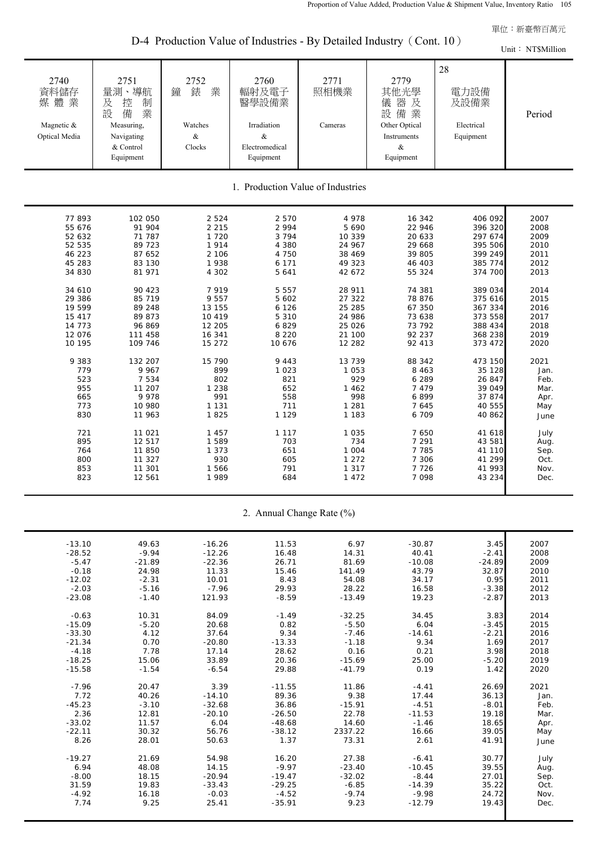D-4 Production Value of Industries - By Detailed Industry (Cont. 10)

|                                                                                                                                                                                                                                        |                                                                                                                                                                                                                                                                                   |                                                                                                                                                                                                                                                          |                                                                                                                                                                                                                                                                                          | D-4 Production value of moustries - By Detailed moustry (Cont. $102$ )                                                                                                                                                                                                        |                                                                                                                                                                                                                                                                        |                                                                                                                                                                                                                                                                                           | Unit: NT\$Million                                                                                                                                                                                                   |
|----------------------------------------------------------------------------------------------------------------------------------------------------------------------------------------------------------------------------------------|-----------------------------------------------------------------------------------------------------------------------------------------------------------------------------------------------------------------------------------------------------------------------------------|----------------------------------------------------------------------------------------------------------------------------------------------------------------------------------------------------------------------------------------------------------|------------------------------------------------------------------------------------------------------------------------------------------------------------------------------------------------------------------------------------------------------------------------------------------|-------------------------------------------------------------------------------------------------------------------------------------------------------------------------------------------------------------------------------------------------------------------------------|------------------------------------------------------------------------------------------------------------------------------------------------------------------------------------------------------------------------------------------------------------------------|-------------------------------------------------------------------------------------------------------------------------------------------------------------------------------------------------------------------------------------------------------------------------------------------|---------------------------------------------------------------------------------------------------------------------------------------------------------------------------------------------------------------------|
| 2740<br>資料儲存<br>媒體業<br>Magnetic &<br>Optical Media                                                                                                                                                                                     | 2751<br>量測、導航<br>及<br>控<br>制<br>備<br>設<br>業<br>Measuring,<br>Navigating<br>& Control<br>Equipment                                                                                                                                                                                 | 2752<br>錶<br>業<br>鐘<br>Watches<br>$\&$<br>Clocks                                                                                                                                                                                                         | 2760<br>輻射及電子<br>醫學設備業<br>Irradiation<br>$\&$<br>Electromedical<br>Equipment                                                                                                                                                                                                             | 2771<br>照相機業<br>Cameras                                                                                                                                                                                                                                                       | 2779<br>其他光學<br>儀器及<br>設備業<br>Other Optical<br>Instruments<br>$\&$<br>Equipment                                                                                                                                                                                        | 28<br>電力設備<br>及設備業<br>Electrical<br>Equipment                                                                                                                                                                                                                                             | Period                                                                                                                                                                                                              |
|                                                                                                                                                                                                                                        |                                                                                                                                                                                                                                                                                   |                                                                                                                                                                                                                                                          |                                                                                                                                                                                                                                                                                          | 1. Production Value of Industries                                                                                                                                                                                                                                             |                                                                                                                                                                                                                                                                        |                                                                                                                                                                                                                                                                                           |                                                                                                                                                                                                                     |
| 77893<br>55 676<br>52 632<br>52 535<br>46 223<br>45 283<br>34 830<br>34 610<br>29 386<br>19 599<br>15 417<br>14 773<br>12 076<br>10 195<br>9 3 8 3<br>779<br>523<br>955<br>665<br>773<br>830<br>721<br>895<br>764<br>800<br>853<br>823 | 102 050<br>91 904<br>71 787<br>89 723<br>87 652<br>83 130<br>81 971<br>90 423<br>85 719<br>89 248<br>89 873<br>96 869<br>111 458<br>109 746<br>132 207<br>9 9 6 7<br>7 5 3 4<br>11 207<br>9 9 7 8<br>10 980<br>11 963<br>11 021<br>12 517<br>11 850<br>11 327<br>11 301<br>12 561 | 2 5 2 4<br>2 2 1 5<br>1 7 2 0<br>1914<br>2 106<br>1938<br>4 3 0 2<br>7919<br>9 5 5 7<br>13 155<br>10 419<br>12 205<br>16 341<br>15 27 2<br>15 790<br>899<br>802<br>1 2 3 8<br>991<br>1 1 3 1<br>1825<br>1 457<br>1 589<br>1 373<br>930<br>1 566<br>1 989 | 2 5 7 0<br>2 9 9 4<br>3 7 9 4<br>4 3 8 0<br>4 7 5 0<br>6 1 7 1<br>5 641<br>5 5 5 7<br>5 6 0 2<br>6 1 2 6<br>5 3 1 0<br>6829<br>8 2 2 0<br>10 676<br>9 4 4 3<br>1 0 2 3<br>821<br>652<br>558<br>711<br>1 1 2 9<br>1 1 1 7<br>703<br>651<br>605<br>791<br>684<br>2. Annual Change Rate (%) | 4 9 7 8<br>5 6 9 0<br>10 339<br>24 967<br>38 469<br>49 323<br>42 672<br>28 911<br>27 322<br>25 285<br>24 986<br>25 0 26<br>21 100<br>12 282<br>13 739<br>1 0 5 3<br>929<br>1 4 6 2<br>998<br>1 2 8 1<br>1 1 8 3<br>1 0 3 5<br>734<br>1 0 0 4<br>1 2 7 2<br>1 3 1 7<br>1 4 7 2 | 16 342<br>22 946<br>20 633<br>29 668<br>39 805<br>46 403<br>55 324<br>74 381<br>78 876<br>67 350<br>73 638<br>73 792<br>92 237<br>92 413<br>88 342<br>8 4 6 3<br>6 2 8 9<br>7479<br>6899<br>7645<br>6 709<br>7 650<br>7 2 9 1<br>7 7 8 5<br>7 3 0 6<br>7726<br>7 0 9 8 | 406 092<br>396 320<br>297 674<br>395 506<br>399 249<br>385 774<br>374 700<br>389 034<br>375 616<br>367 334<br>373 558<br>388 434<br>368 238<br>373 472<br>473 150<br>35 128<br>26 847<br>39 049<br>37 874<br>40 555<br>40 862<br>41 618<br>43 581<br>41 110<br>41 299<br>41 993<br>43 234 | 2007<br>2008<br>2009<br>2010<br>2011<br>2012<br>2013<br>2014<br>2015<br>2016<br>2017<br>2018<br>2019<br>2020<br>2021<br>Jan.<br>Feb.<br>Mar.<br>Apr.<br>May<br>June<br>July<br>Aug.<br>Sep.<br>Oct.<br>Nov.<br>Dec. |
| $-13.10$<br>$-28.52$                                                                                                                                                                                                                   | 49.63<br>$-9.94$                                                                                                                                                                                                                                                                  | $-16.26$<br>$-12.26$                                                                                                                                                                                                                                     | 11.53<br>16.48                                                                                                                                                                                                                                                                           | 6.97<br>14.31                                                                                                                                                                                                                                                                 | $-30.87$<br>40.41                                                                                                                                                                                                                                                      | 3.45<br>$-2.41$                                                                                                                                                                                                                                                                           | 2007<br>2008                                                                                                                                                                                                        |

| -20.92   | -7.74    | -12.20   | 10.40    | 14. JI   | 40.4T    | -2.411   | zuuu |
|----------|----------|----------|----------|----------|----------|----------|------|
| $-5.47$  | $-21.89$ | $-22.36$ | 26.71    | 81.69    | $-10.08$ | $-24.89$ | 2009 |
| $-0.18$  | 24.98    | 11.33    | 15.46    | 141.49   | 43.79    | 32.87    | 2010 |
| $-12.02$ | $-2.31$  | 10.01    | 8.43     | 54.08    | 34.17    | 0.95     | 2011 |
| $-2.03$  | $-5.16$  | $-7.96$  | 29.93    | 28.22    | 16.58    | $-3.38$  | 2012 |
| $-23.08$ | $-1.40$  | 121.93   | $-8.59$  | $-13.49$ | 19.23    | $-2.87$  | 2013 |
| $-0.63$  | 10.31    | 84.09    | $-1.49$  | $-32.25$ | 34.45    | 3.83     | 2014 |
| $-15.09$ | $-5.20$  | 20.68    | 0.82     | $-5.50$  | 6.04     | $-3.45$  | 2015 |
| $-33.30$ | 4.12     | 37.64    | 9.34     | $-7.46$  | $-14.61$ | $-2.21$  | 2016 |
| $-21.34$ | 0.70     | $-20.80$ | $-13.33$ | $-1.18$  | 9.34     | 1.69     | 2017 |
| $-4.18$  | 7.78     | 17.14    | 28.62    | 0.16     | 0.21     | 3.98     | 2018 |
| $-18.25$ | 15.06    | 33.89    | 20.36    | $-15.69$ | 25.00    | $-5.20$  | 2019 |
| $-15.58$ | $-1.54$  | $-6.54$  | 29.88    | $-41.79$ | 0.19     | 1.42     | 2020 |
| $-7.96$  | 20.47    | 3.39     | $-11.55$ | 11.86    | $-4.41$  | 26.69    | 2021 |
| 7.72     | 40.26    | $-14.10$ | 89.36    | 9.38     | 17.44    | 36.13    | Jan. |
| $-45.23$ | $-3.10$  | $-32.68$ | 36.86    | $-15.91$ | $-4.51$  | $-8.01$  | Feb. |
| 2.36     | 12.81    | $-20.10$ | $-26.50$ | 22.78    | $-11.53$ | 19.18    | Mar. |
| $-33.02$ | 11.57    | 6.04     | $-48.68$ | 14.60    | $-1.46$  | 18.65    | Apr. |
| $-22.11$ | 30.32    | 56.76    | $-38.12$ | 2337.22  | 16.66    | 39.05    | May  |
| 8.26     | 28.01    | 50.63    | 1.37     | 73.31    | 2.61     | 41.91    | June |
| $-19.27$ | 21.69    | 54.98    | 16.20    | 27.38    | $-6.41$  | 30.77    | July |
| 6.94     | 48.08    | 14.15    | $-9.97$  | $-23.40$ | $-10.45$ | 39.55    | Aug. |
| $-8.00$  | 18.15    | $-20.94$ | $-19.47$ | $-32.02$ | $-8.44$  | 27.01    | Sep. |
| 31.59    | 19.83    | $-33.43$ | $-29.25$ | $-6.85$  | $-14.39$ | 35.22    | Oct. |
| $-4.92$  | 16.18    | $-0.03$  | $-4.52$  | $-9.74$  | $-9.98$  | 24.72    | Nov. |
| 7.74     | 9.25     | 25.41    | $-35.91$ | 9.23     | $-12.79$ | 19.43    | Dec. |
|          |          |          |          |          |          |          |      |
|          |          |          |          |          |          |          |      |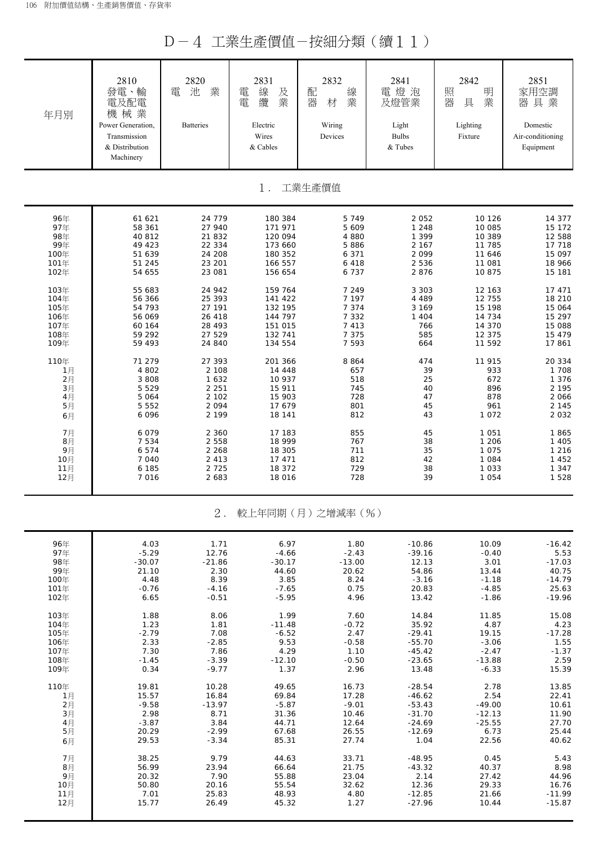D-4 工業生產價值-按細分類(續11)

| 年月別   | 2810<br>發電、輸<br>電及配電<br>機械業<br>Power Generation,<br>Transmission<br>& Distribution<br>Machinery | 2820<br>業<br>電<br>池<br><b>Batteries</b> | 2831<br>及業<br>電<br>線<br>電<br>纜<br>Electric<br>Wires<br>& Cables | 2832<br>配<br>線<br>器<br>業<br>材<br>Wiring<br>Devices | 2841<br>電燈泡<br>及燈管業<br>Light<br><b>Bulbs</b><br>& Tubes | 2842<br>明<br>照<br>器<br>業<br>具<br>Lighting<br>Fixture | 2851<br>家用空調<br>器具業<br>Domestic<br>Air-conditioning<br>Equipment |
|-------|-------------------------------------------------------------------------------------------------|-----------------------------------------|-----------------------------------------------------------------|----------------------------------------------------|---------------------------------------------------------|------------------------------------------------------|------------------------------------------------------------------|
|       |                                                                                                 |                                         | $1$ .                                                           | 工業生產價值                                             |                                                         |                                                      |                                                                  |
| 96年   | 61 621                                                                                          | 24 779                                  | 180 384                                                         | 5749                                               | 2 0 5 2                                                 | 10 1 26                                              | 14 377                                                           |
| 97年   | 58 361                                                                                          | 27 940                                  | 171 971                                                         | 5 609                                              | 1 2 4 8                                                 | 10 085                                               | 15 172                                                           |
| 98年   | 40 812                                                                                          | 21 832                                  | 120 094                                                         | 4 8 8 0                                            | 1 3 9 9                                                 | 10 389                                               | 12 588                                                           |
| 99年   | 49 423                                                                                          | 22 334                                  | 173 660                                                         | 5886                                               | 2 1 6 7                                                 | 11 785                                               | 17 718                                                           |
| 100年  | 51 639                                                                                          | 24 208                                  | 180 352                                                         | 6 3 7 1                                            | 2 0 9 9                                                 | 11 646                                               | 15 097                                                           |
| 101年  | 51 245                                                                                          | 23 201                                  | 166 557                                                         | 6418                                               | 2 5 3 6                                                 | 11 081                                               | 18 966                                                           |
| 102年  | 54 655                                                                                          | 23 081                                  | 156 654                                                         | 6 7 3 7                                            | 2 8 7 6                                                 | 10875                                                | 15 181                                                           |
| 103年  | 55 683                                                                                          | 24 942                                  | 159 764                                                         | 7 2 4 9                                            | 3 3 0 3                                                 | 12 163                                               | 17 471                                                           |
| 104年  | 56 366                                                                                          | 25 393                                  | 141 422                                                         | 7 197                                              | 4 4 8 9                                                 | 12 755                                               | 18 210                                                           |
| 105年  | 54 793                                                                                          | 27 191                                  | 132 195                                                         | 7 3 7 4                                            | 3 1 6 9                                                 | 15 198                                               | 15 064                                                           |
| 106年  | 56 069                                                                                          | 26 418                                  | 144 797                                                         | 7 3 3 2                                            | 1 4 0 4                                                 | 14 734                                               | 15 297                                                           |
| 107年  | 60 164                                                                                          | 28 493                                  | 151 015                                                         | 7 4 1 3                                            | 766                                                     | 14 370                                               | 15 088                                                           |
| 108年  | 59 29 2                                                                                         | 27 529                                  | 132 741                                                         | 7 3 7 5                                            | 585                                                     | 12 375                                               | 15 479                                                           |
| 109年  | 59 493                                                                                          | 24 840                                  | 134 554                                                         | 7 5 9 3                                            | 664                                                     | 11 592                                               | 17861                                                            |
| 110年  | 71 279                                                                                          | 27 393                                  | 201 366                                                         | 8 8 6 4                                            | 474                                                     | 11 915                                               | 20 334                                                           |
| 1月    | 4 802                                                                                           | 2 1 0 8                                 | 14 4 4 8                                                        | 657                                                | 39                                                      | 933                                                  | 1 708                                                            |
| 2月    | 3 8 0 8                                                                                         | 1 6 3 2                                 | 10 937                                                          | 518                                                | 25                                                      | 672                                                  | 1 3 7 6                                                          |
| $3$ 月 | 5 5 2 9                                                                                         | 2 2 5 1                                 | 15 911                                                          | 745                                                | 40                                                      | 896                                                  | 2 1 9 5                                                          |
| 4月    | 5 0 6 4                                                                                         | 2 1 0 2                                 | 15 903                                                          | 728                                                | 47                                                      | 878                                                  | 2 0 6 6                                                          |
| 5月    | 5 5 5 2                                                                                         | 2 0 9 4                                 | 17 679                                                          | 801                                                | 45                                                      | 961                                                  | 2 145                                                            |
| 6月    | 6096                                                                                            | 2 1 9 9                                 | 18 141                                                          | 812                                                | 43                                                      | 1 0 7 2                                              | 2 0 3 2                                                          |
| 7月    | 6079                                                                                            | 2 3 6 0                                 | 17 183                                                          | 855                                                | 45                                                      | 1 0 5 1                                              | 1865                                                             |
| 8月    | 7 5 3 4                                                                                         | 2 5 5 8                                 | 18 999                                                          | 767                                                | 38                                                      | 1 2 0 6                                              | 1 4 0 5                                                          |
| 9月    | 6574                                                                                            | 2 2 6 8                                 | 18 305                                                          | 711                                                | 35                                                      | 1 0 7 5                                              | 1 2 1 6                                                          |
| 10月   | 7 040                                                                                           | 2 4 1 3                                 | 17 471                                                          | 812                                                | 42                                                      | 1 0 8 4                                              | 1 452                                                            |
| 11月   | 6 185                                                                                           | 2 7 2 5                                 | 18 372                                                          | 729                                                | 38                                                      | 1 0 3 3                                              | 1 347                                                            |
| 12月   | 7016                                                                                            | 2 683                                   | 18 016                                                          | 728                                                | 39                                                      | 1 0 5 4                                              | 1 5 2 8                                                          |
|       |                                                                                                 | $2$ .                                   |                                                                 | 較上年同期(月)之增減率(%)                                    |                                                         |                                                      |                                                                  |
| 96年   | 4.03                                                                                            | 1.71                                    | 6.97                                                            | 1.80                                               | $-10.86$                                                | 10.09                                                | $-16.42$                                                         |
| 97年   | $-5.29$                                                                                         | 12.76                                   | $-4.66$                                                         | $-2.43$                                            | $-39.16$                                                | $-0.40$                                              | 5.53                                                             |
| 98年   | $-30.07$                                                                                        | $-21.86$                                | $-30.17$                                                        | $-13.00$                                           | 12.13                                                   | 3.01                                                 | $-17.03$                                                         |
| 99年   | 21.10                                                                                           | 2.30                                    | 44.60                                                           | 20.62                                              | 54.86                                                   | 13.44                                                | 40.75                                                            |
| 100年  | 4.48                                                                                            | 8.39                                    | 3.85                                                            | 8.24                                               | $-3.16$                                                 | $-1.18$                                              | $-14.79$                                                         |
| 101年  | $-0.76$                                                                                         | $-4.16$                                 | $-7.65$                                                         | 0.75                                               | 20.83                                                   | $-4.85$                                              | 25.63                                                            |
| 102年  | 6.65                                                                                            | $-0.51$                                 | $-5.95$                                                         | 4.96                                               | 13.42                                                   | $-1.86$                                              | $-19.96$                                                         |
| 103年  | 1.88                                                                                            | 8.06                                    | 1.99                                                            | 7.60                                               | 14.84                                                   | 11.85                                                | 15.08                                                            |
| 104年  | 1.23                                                                                            | 1.81                                    | $-11.48$                                                        | $-0.72$                                            | 35.92                                                   | 4.87                                                 | 4.23                                                             |
| 105年  | $-2.79$                                                                                         | 7.08                                    | $-6.52$                                                         | 2.47                                               | $-29.41$                                                | 19.15                                                | $-17.28$                                                         |
| 106年  | 2.33                                                                                            | $-2.85$                                 | 9.53                                                            | $-0.58$                                            | $-55.70$                                                | $-3.06$                                              | 1.55                                                             |
| 107年  | 7.30                                                                                            | 7.86                                    | 4.29                                                            | 1.10                                               | $-45.42$                                                | $-2.47$                                              | $-1.37$                                                          |
| 108年  | $-1.45$                                                                                         | $-3.39$                                 | $-12.10$                                                        | $-0.50$                                            | $-23.65$                                                | $-13.88$                                             | 2.59                                                             |
| 109年  | 0.34                                                                                            | $-9.77$                                 | 1.37                                                            | 2.96                                               | 13.48                                                   | $-6.33$                                              | 15.39                                                            |
| 110年  | 19.81                                                                                           | 10.28                                   | 49.65                                                           | 16.73                                              | $-28.54$                                                | 2.78                                                 | 13.85                                                            |
| 1月    | 15.57                                                                                           | 16.84                                   | 69.84                                                           | 17.28                                              | $-46.62$                                                | 2.54                                                 | 22.41                                                            |
| 2月    | $-9.58$                                                                                         | $-13.97$                                | $-5.87$                                                         | $-9.01$                                            | $-53.43$                                                | $-49.00$                                             | 10.61                                                            |
| $3$ 月 | 2.98                                                                                            | 8.71                                    | 31.36                                                           | 10.46                                              | $-31.70$                                                | $-12.13$                                             | 11.90                                                            |
| 4月    | $-3.87$                                                                                         | 3.84                                    | 44.71                                                           | 12.64                                              | $-24.69$                                                | $-25.55$                                             | 27.70                                                            |
| 5月    | 20.29                                                                                           | $-2.99$                                 | 67.68                                                           | 26.55                                              | $-12.69$                                                | 6.73                                                 | 25.44                                                            |
| 6月    | 29.53                                                                                           | $-3.34$                                 | 85.31                                                           | 27.74                                              | 1.04                                                    | 22.56                                                | 40.62                                                            |
| 7月    | 38.25                                                                                           | 9.79                                    | 44.63                                                           | 33.71                                              | $-48.95$                                                | 0.45                                                 | 5.43                                                             |
| 8月    | 56.99                                                                                           | 23.94                                   | 66.64                                                           | 21.75                                              | $-43.32$                                                | 40.37                                                | 8.98                                                             |
| 9月    | 20.32                                                                                           | 7.90                                    | 55.88                                                           | 23.04                                              | 2.14                                                    | 27.42                                                | 44.96                                                            |
| 10月   | 50.80                                                                                           | 20.16                                   | 55.54                                                           | 32.62                                              | 12.36                                                   | 29.33                                                | 16.76                                                            |
| 11月   | 7.01                                                                                            | 25.83                                   | 48.93                                                           | 4.80                                               | $-12.85$                                                | 21.66                                                | $-11.99$                                                         |
| 12月   | 15.77                                                                                           | 26.49                                   | 45.32                                                           | 1.27                                               | $-27.96$                                                | 10.44                                                | $-15.87$                                                         |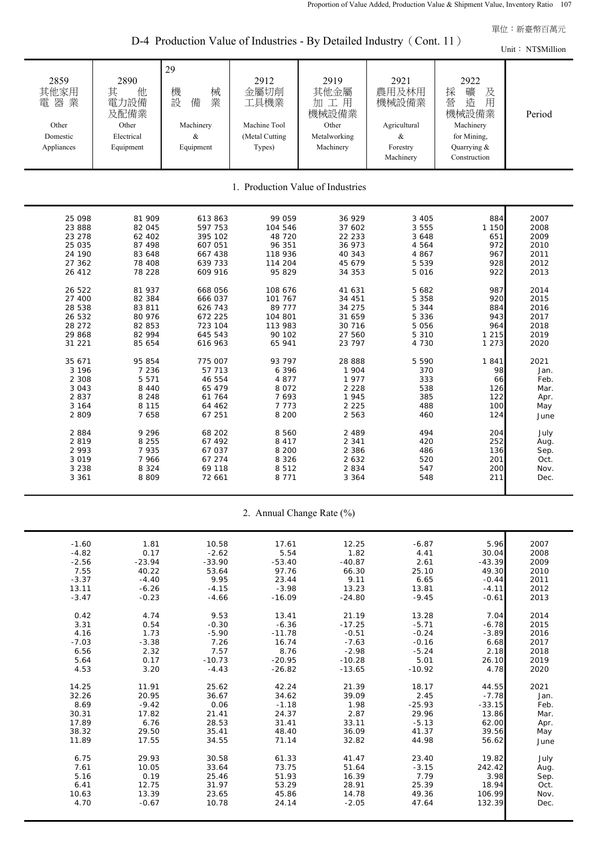Т

D-4 Production Value of Industries - By Detailed Industry (Cont. 11)

|                                                                                                                                                                                                                                                                               |                                                                                                                                                                                                                                                                                     | $D-4$ Production Value of Industries - By Detailed Industry (Cont. 11)                                                                                                                                                                                                                    |                                                                                                                                                                                                                                                                                   |                                                                                                                                                                                                                                                                               |                                                                                                                                                                                                                                                       |                                                                                                                                                                                                    | Unit: NT\$Million                                                                                                                                                                                                   |
|-------------------------------------------------------------------------------------------------------------------------------------------------------------------------------------------------------------------------------------------------------------------------------|-------------------------------------------------------------------------------------------------------------------------------------------------------------------------------------------------------------------------------------------------------------------------------------|-------------------------------------------------------------------------------------------------------------------------------------------------------------------------------------------------------------------------------------------------------------------------------------------|-----------------------------------------------------------------------------------------------------------------------------------------------------------------------------------------------------------------------------------------------------------------------------------|-------------------------------------------------------------------------------------------------------------------------------------------------------------------------------------------------------------------------------------------------------------------------------|-------------------------------------------------------------------------------------------------------------------------------------------------------------------------------------------------------------------------------------------------------|----------------------------------------------------------------------------------------------------------------------------------------------------------------------------------------------------|---------------------------------------------------------------------------------------------------------------------------------------------------------------------------------------------------------------------|
| 2859<br>其他家用<br>電器業<br>Other<br>Domestic<br>Appliances                                                                                                                                                                                                                        | 2890<br>其<br>他<br>電力設備<br>及配備業<br>Other<br>Electrical<br>Equipment                                                                                                                                                                                                                  | 29<br>械<br>機設<br>業<br>備<br>Machinery<br>$\&$<br>Equipment                                                                                                                                                                                                                                 | 2912<br>金屬切削<br>工具機業<br>Machine Tool<br>(Metal Cutting<br>Types)                                                                                                                                                                                                                  | 2919<br>其他金屬<br>加工用<br>機械設備業<br>Other<br>Metalworking<br>Machinery                                                                                                                                                                                                            | 2921<br>農用及林用<br>機械設備業<br>Agricultural<br>$\&$<br>Forestry<br>Machinery                                                                                                                                                                               | 2922<br>礦<br>採<br>及<br>造<br>營<br>用<br>機械設備業<br>Machinery<br>for Mining,<br>Quarrying &<br>Construction                                                                                             | Period                                                                                                                                                                                                              |
|                                                                                                                                                                                                                                                                               |                                                                                                                                                                                                                                                                                     |                                                                                                                                                                                                                                                                                           | 1. Production Value of Industries                                                                                                                                                                                                                                                 |                                                                                                                                                                                                                                                                               |                                                                                                                                                                                                                                                       |                                                                                                                                                                                                    |                                                                                                                                                                                                                     |
| 25 098<br>23 888<br>23 278<br>25 035<br>24 190<br>27 362<br>26 412<br>26 522<br>27 400<br>28 538<br>26 532<br>28 272<br>29 868<br>31 221<br>35 671<br>3 1 9 6<br>2 3 0 8<br>3 0 4 3<br>2837<br>3 1 6 4<br>2 8 0 9<br>2884<br>2819<br>2 9 9 3<br>3 0 1 9<br>3 2 3 8<br>3 3 6 1 | 81 909<br>82 045<br>62 402<br>87 498<br>83 648<br>78 408<br>78 228<br>81 937<br>82 384<br>83 811<br>80 976<br>82 853<br>82 994<br>85 654<br>95 854<br>7 2 3 6<br>5 5 7 1<br>8 4 4 0<br>8 2 4 8<br>8 1 1 5<br>7 6 5 8<br>9 2 9 6<br>8 2 5 5<br>7935<br>7 9 6 6<br>8 3 2 4<br>8 8 0 9 | 613 863<br>597 753<br>395 102<br>607 051<br>667 438<br>639 733<br>609 916<br>668 056<br>666 037<br>626 743<br>672 225<br>723 104<br>645 543<br>616 963<br>775 007<br>57 713<br>46 554<br>65 479<br>61 764<br>64 462<br>67 251<br>68 202<br>67 492<br>67 037<br>67 274<br>69 118<br>72 661 | 99 059<br>104 546<br>48 720<br>96 351<br>118 936<br>114 204<br>95 829<br>108 676<br>101 767<br>89 777<br>104 801<br>113 983<br>90 102<br>65 941<br>93 797<br>6 3 9 6<br>4 8 7 7<br>8 0 7 2<br>7 6 9 3<br>7773<br>8 200<br>8 560<br>8 4 1 7<br>8 200<br>8 3 2 6<br>8512<br>8 7 7 1 | 36 929<br>37 602<br>22 233<br>36 973<br>40 343<br>45 679<br>34 353<br>41 631<br>34 451<br>34 275<br>31 659<br>30 716<br>27 560<br>23 797<br>28 8 8 8<br>1 904<br>1977<br>2 2 2 8<br>1945<br>2 2 2 5<br>2 5 6 3<br>2 4 8 9<br>2 3 4 1<br>2 3 8 6<br>2 6 3 2<br>2834<br>3 3 6 4 | 3 4 0 5<br>3 5 5 5<br>3 6 4 8<br>4 5 6 4<br>4 8 6 7<br>5 5 3 9<br>5 0 1 6<br>5 6 8 2<br>5 3 5 8<br>5 3 4 4<br>5 3 3 6<br>5 0 5 6<br>5 3 1 0<br>4 7 3 0<br>5 5 9 0<br>370<br>333<br>538<br>385<br>488<br>460<br>494<br>420<br>486<br>520<br>547<br>548 | 884<br>1 150<br>651<br>972<br>967<br>928<br>922<br>987<br>920<br>884<br>943<br>964<br>1 2 1 5<br>1 2 7 3<br>1841<br>98<br>66<br>126<br>122<br>100<br>124<br>204<br>252<br>136<br>201<br>200<br>211 | 2007<br>2008<br>2009<br>2010<br>2011<br>2012<br>2013<br>2014<br>2015<br>2016<br>2017<br>2018<br>2019<br>2020<br>2021<br>Jan.<br>Feb.<br>Mar.<br>Apr.<br>May<br>June<br>July<br>Aug.<br>Sep.<br>Oct.<br>Nov.<br>Dec. |
|                                                                                                                                                                                                                                                                               |                                                                                                                                                                                                                                                                                     |                                                                                                                                                                                                                                                                                           | 2. Annual Change Rate (%)                                                                                                                                                                                                                                                         |                                                                                                                                                                                                                                                                               |                                                                                                                                                                                                                                                       |                                                                                                                                                                                                    |                                                                                                                                                                                                                     |

| 1.81     | 10.58    | 17.61    | 12.25    | $-6.87$ |
|----------|----------|----------|----------|---------|
| 0.17     | $-2.62$  | 5.54     | 1.82     | 4.41    |
| $-23.94$ | $-33.90$ | $-53.40$ | $-40.87$ | 2.61    |
| 40.22    | 53.64    | 97.76    | 66.30    | 25.10   |
| $-4.40$  | 9.95     | 23.44    | 9.11     | 6.65    |
| $-6.26$  | $-4.15$  | $-3.98$  | 13.23    | 13.81   |
| $-0.23$  | $-4.66$  | $-16.09$ | $-24.80$ | $-9.45$ |
|          |          |          |          |         |
| 4.74     | 9.53     | 13.41    | 21.19    | 13.28   |
| 0.54     | $-0.30$  | $-6.36$  | $-17.25$ | $-5.71$ |
| 1.73     | $-5.90$  | $-11.78$ | $-0.51$  | $-0.24$ |
| $-3.38$  | 7.26     | 16.74    | $-7.63$  | $-0.16$ |
| 2.32     | 7.57     | 8.76     | $-2.98$  | $-5.24$ |

| $-1.60$ | 1.81     | 10.58    | 17.61    | 12.25    | $-6.87$  | 5.96     | 2007 |
|---------|----------|----------|----------|----------|----------|----------|------|
| $-4.82$ | 0.17     | $-2.62$  | 5.54     | 1.82     | 4.41     | 30.04    | 2008 |
| $-2.56$ | $-23.94$ | $-33.90$ | $-53.40$ | $-40.87$ | 2.61     | $-43.39$ | 2009 |
| 7.55    | 40.22    | 53.64    | 97.76    | 66.30    | 25.10    | 49.30    | 2010 |
| $-3.37$ | $-4.40$  | 9.95     | 23.44    | 9.11     | 6.65     | $-0.44$  | 2011 |
| 13.11   | $-6.26$  | $-4.15$  | $-3.98$  | 13.23    | 13.81    | $-4.11$  | 2012 |
| $-3.47$ | $-0.23$  | $-4.66$  | $-16.09$ | $-24.80$ | $-9.45$  | $-0.61$  | 2013 |
| 0.42    | 4.74     | 9.53     | 13.41    | 21.19    | 13.28    | 7.04     | 2014 |
| 3.31    | 0.54     | $-0.30$  | $-6.36$  | $-17.25$ | $-5.71$  | $-6.78$  | 2015 |
| 4.16    | 1.73     | $-5.90$  | $-11.78$ | $-0.51$  | $-0.24$  | $-3.89$  | 2016 |
| $-7.03$ | $-3.38$  | 7.26     | 16.74    | $-7.63$  | $-0.16$  | 6.68     | 2017 |
| 6.56    | 2.32     | 7.57     | 8.76     | $-2.98$  | $-5.24$  | 2.18     | 2018 |
| 5.64    | 0.17     | $-10.73$ | $-20.95$ | $-10.28$ | 5.01     | 26.10    | 2019 |
| 4.53    | 3.20     | $-4.43$  | $-26.82$ | $-13.65$ | $-10.92$ | 4.78     | 2020 |
| 14.25   | 11.91    | 25.62    | 42.24    | 21.39    | 18.17    | 44.55    | 2021 |
| 32.26   | 20.95    | 36.67    | 34.62    | 39.09    | 2.45     | $-7.78$  | Jan. |
| 8.69    | $-9.42$  | 0.06     | $-1.18$  | 1.98     | $-25.93$ | $-33.15$ | Feb. |
| 30.31   | 17.82    | 21.41    | 24.37    | 2.87     | 29.96    | 13.86    | Mar. |
| 17.89   | 6.76     | 28.53    | 31.41    | 33.11    | $-5.13$  | 62.00    | Apr. |
| 38.32   | 29.50    | 35.41    | 48.40    | 36.09    | 41.37    | 39.56    | May  |
| 11.89   | 17.55    | 34.55    | 71.14    | 32.82    | 44.98    | 56.62    | June |
|         |          |          |          |          |          |          |      |
| 6.75    | 29.93    | 30.58    | 61.33    | 41.47    | 23.40    | 19.82    | July |
| 7.61    | 10.05    | 33.64    | 73.75    | 51.64    | $-3.15$  | 242.42   | Aug. |
| 5.16    | 0.19     | 25.46    | 51.93    | 16.39    | 7.79     | 3.98     | Sep. |
| 6.41    | 12.75    | 31.97    | 53.29    | 28.91    | 25.39    | 18.94    | Oct. |
| 10.63   | 13.39    | 23.65    | 45.86    | 14.78    | 49.36    | 106.99   | Nov. |
| 4.70    | $-0.67$  | 10.78    | 24.14    | $-2.05$  | 47.64    | 132.39   | Dec. |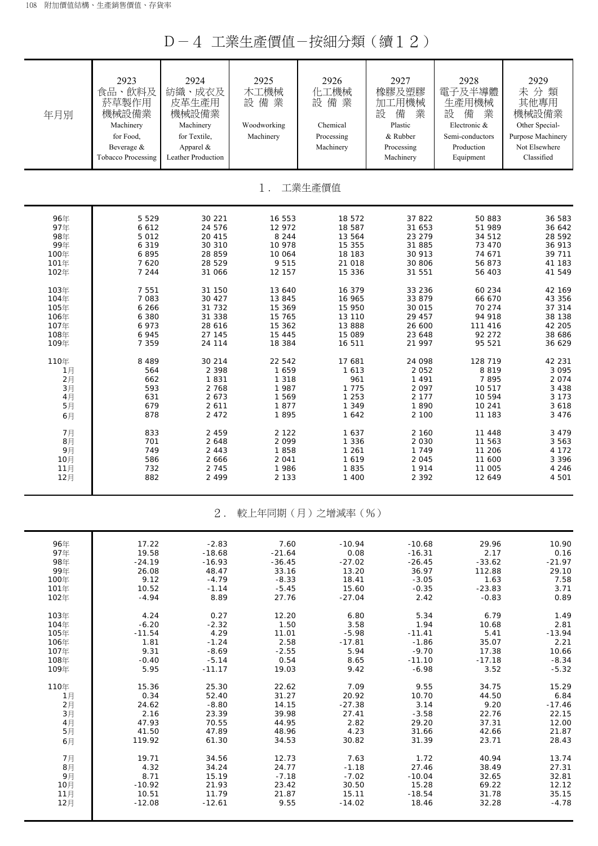D-4 工業生產價值-按細分類(續12)

| 年月別  | 2923<br>食品、飲料及<br>菸草製作用<br>機械設備業<br>Machinery<br>for Food,<br>Beverage &<br><b>Tobacco Processing</b> | 2924<br>紡織、成衣及<br>皮革生產用<br>機械設備業<br>Machinery<br>for Textile,<br>Apparel &<br>Leather Production | 2925<br>木工機械<br>設備業<br>Woodworking<br>Machinery | 2926<br>化工機械<br>設備業<br>Chemical<br>Processing<br>Machinery | 2927<br>橡膠及塑膠<br>加工用機械<br>設<br>備<br>業<br>Plastic<br>& Rubber<br>Processing<br>Machinery | 2928<br>電子及半導體<br>生產用機械<br>設<br>備<br>業<br>Electronic &<br>Semi-conductors<br>Production<br>Equipment | 2929<br>未分類<br>其他專用<br>機械設備業<br>Other Special-<br>Purpose Machinery<br>Not Elsewhere<br>Classified |
|------|-------------------------------------------------------------------------------------------------------|--------------------------------------------------------------------------------------------------|-------------------------------------------------|------------------------------------------------------------|-----------------------------------------------------------------------------------------|------------------------------------------------------------------------------------------------------|----------------------------------------------------------------------------------------------------|
|      |                                                                                                       |                                                                                                  | $1$ .                                           | 工業生產價值                                                     |                                                                                         |                                                                                                      |                                                                                                    |
| 96年  | 5 5 2 9                                                                                               | 30 221                                                                                           | 16 553                                          | 18 572                                                     | 37 822                                                                                  | 50 883                                                                                               | 36 583                                                                                             |
| 97年  | 6 6 1 2                                                                                               | 24 576                                                                                           | 12 972                                          | 18 587                                                     | 31 653                                                                                  | 51 989                                                                                               | 36 642                                                                                             |
| 98年  | 5 0 1 2                                                                                               | 20 415                                                                                           | 8 2 4 4                                         | 13 564                                                     | 23 279                                                                                  | 34 512                                                                                               | 28 592                                                                                             |
| 99年  | 6 3 1 9                                                                                               | 30 310                                                                                           | 10 978                                          | 15 355                                                     | 31 885                                                                                  | 73 470                                                                                               | 36 913                                                                                             |
| 100年 | 6895                                                                                                  | 28 859                                                                                           | 10 064                                          | 18 183                                                     | 30 913                                                                                  | 74 671                                                                                               | 39 711                                                                                             |
| 101年 | 7 6 2 0                                                                                               | 28 529                                                                                           | 9515                                            | 21 018                                                     | 30 806                                                                                  | 56 873                                                                                               | 41 183                                                                                             |
| 102年 | 7 244                                                                                                 | 31 066                                                                                           | 12 157                                          | 15 336                                                     | 31 551                                                                                  | 56 403                                                                                               | 41 549                                                                                             |
| 103年 | 7 5 5 1                                                                                               | 31 150                                                                                           | 13 640                                          | 16 379                                                     | 33 236                                                                                  | 60 234                                                                                               | 42 169                                                                                             |
| 104年 | 7 083                                                                                                 | 30 427                                                                                           | 13 845                                          | 16 965                                                     | 33 879                                                                                  | 66 670                                                                                               | 43 356                                                                                             |
| 105年 | 6 2 6 6                                                                                               | 31 732                                                                                           | 15 369                                          | 15 950                                                     | 30 015                                                                                  | 70 274                                                                                               | 37 314                                                                                             |
| 106年 | 6 3 8 0                                                                                               | 31 338                                                                                           | 15 765                                          | 13 110                                                     | 29 457                                                                                  | 94 918                                                                                               | 38 138                                                                                             |
| 107年 | 6 973                                                                                                 | 28 616                                                                                           | 15 362                                          | 13 888                                                     | 26 600                                                                                  | 111 416                                                                                              | 42 205                                                                                             |
| 108年 | 6945                                                                                                  | 27 145                                                                                           | 15 4 4 5                                        | 15 089                                                     | 23 648                                                                                  | 92 272                                                                                               | 38 686                                                                                             |
| 109年 | 7 3 5 9                                                                                               | 24 114                                                                                           | 18 3 8 4                                        | 16 511                                                     | 21 997                                                                                  | 95 521                                                                                               | 36 629                                                                                             |
| 110年 | 8 4 8 9                                                                                               | 30 214                                                                                           | 22 542                                          | 17 681                                                     | 24 098                                                                                  | 128 719                                                                                              | 42 231                                                                                             |
| 1月   | 564                                                                                                   | 2 3 9 8                                                                                          | 1 659                                           | 1613                                                       | 2 0 5 2                                                                                 | 8819                                                                                                 | 3 0 9 5                                                                                            |
| 2月   | 662                                                                                                   | 1831                                                                                             | 1 3 1 8                                         | 961                                                        | 1 4 9 1                                                                                 | 7895                                                                                                 | 2 0 7 4                                                                                            |
| 3月   | 593                                                                                                   | 2 768                                                                                            | 1 987                                           | 1 7 7 5                                                    | 2 0 9 7                                                                                 | 10 517                                                                                               | 3 4 3 8                                                                                            |
| 4月   | 631                                                                                                   | 2 6 7 3                                                                                          | 1 5 6 9                                         | 1 2 5 3                                                    | 2 177                                                                                   | 10 594                                                                                               | 3 1 7 3                                                                                            |
| 5月   | 679                                                                                                   | 2 6 1 1                                                                                          | 1877                                            | 1 3 4 9                                                    | 1890                                                                                    | 10 241                                                                                               | 3618                                                                                               |
| 6月   | 878                                                                                                   | 2 4 7 2                                                                                          | 1895                                            | 1 642                                                      | 2 100                                                                                   | 11 183                                                                                               | 3 4 7 6                                                                                            |
| 7月   | 833                                                                                                   | 2 4 5 9                                                                                          | 2 1 2 2                                         | 1637                                                       | 2 160                                                                                   | 11 448                                                                                               | 3 4 7 9                                                                                            |
| 8月   | 701                                                                                                   | 2 6 4 8                                                                                          | 2099                                            | 1 3 3 6                                                    | 2 0 3 0                                                                                 | 11 563                                                                                               | 3 5 6 3                                                                                            |
| 9月   | 749                                                                                                   | 2 4 4 3                                                                                          | 1858                                            | 1 2 6 1                                                    | 1 7 4 9                                                                                 | 11 206                                                                                               | 4 172                                                                                              |
| 10月  | 586                                                                                                   | 2 6 6 6                                                                                          | 2 0 4 1                                         | 1619                                                       | 2 0 4 5                                                                                 | 11 600                                                                                               | 3 3 9 6                                                                                            |
| 11月  | 732                                                                                                   | 2 7 4 5                                                                                          | 1986                                            | 1835                                                       | 1914                                                                                    | 11 005                                                                                               | 4 2 4 6                                                                                            |
| 12月  | 882                                                                                                   | 2 4 9 9                                                                                          | 2 1 3 3                                         | 1 400                                                      | 2 3 9 2                                                                                 | 12 649                                                                                               | 4 501                                                                                              |
|      |                                                                                                       | $2$ .                                                                                            |                                                 | 較上年同期(月)之增減率(%)                                            |                                                                                         |                                                                                                      |                                                                                                    |
| 96年  | 17.22                                                                                                 | $-2.83$                                                                                          | 7.60                                            | $-10.94$                                                   | $-10.68$                                                                                | 29.96                                                                                                | 10.90                                                                                              |
| 97年  | 19.58                                                                                                 | $-18.68$                                                                                         | $-21.64$                                        | 0.08                                                       | $-16.31$                                                                                | 2.17                                                                                                 | 0.16                                                                                               |
| 98年  | $-24.19$                                                                                              | $-16.93$                                                                                         | $-36.45$                                        | $-27.02$                                                   | $-26.45$                                                                                | $-33.62$                                                                                             | $-21.97$                                                                                           |
| 99年  | 26.08                                                                                                 | 48.47                                                                                            | 33.16                                           | 13.20                                                      | 36.97                                                                                   | 112.88                                                                                               | 29.10                                                                                              |
| 100年 | 9.12                                                                                                  | $-4.79$                                                                                          | $-8.33$                                         | 18.41                                                      | $-3.05$                                                                                 | 1.63                                                                                                 | 7.58                                                                                               |
| 101年 | 10.52                                                                                                 | $-1.14$                                                                                          | $-5.45$                                         | 15.60                                                      | $-0.35$                                                                                 | $-23.83$                                                                                             | 3.71                                                                                               |
| 102年 | $-4.94$                                                                                               | 8.89                                                                                             | 27.76                                           | $-27.04$                                                   | 2.42                                                                                    | $-0.83$                                                                                              | 0.89                                                                                               |
| 103年 | 4.24                                                                                                  | 0.27                                                                                             | 12.20                                           | 6.80                                                       | 5.34                                                                                    | 6.79                                                                                                 | 1.49                                                                                               |
| 104年 | $-6.20$                                                                                               | $-2.32$                                                                                          | 1.50                                            | 3.58                                                       | 1.94                                                                                    | 10.68                                                                                                | 2.81                                                                                               |
| 105年 | $-11.54$                                                                                              | 4.29                                                                                             | 11.01                                           | $-5.98$                                                    | $-11.41$                                                                                | 5.41                                                                                                 | $-13.94$                                                                                           |
| 106年 | 1.81                                                                                                  | $-1.24$                                                                                          | 2.58                                            | $-17.81$                                                   | $-1.86$                                                                                 | 35.07                                                                                                | 2.21                                                                                               |
| 107年 | 9.31                                                                                                  | $-8.69$                                                                                          | $-2.55$                                         | 5.94                                                       | $-9.70$                                                                                 | 17.38                                                                                                | 10.66                                                                                              |
| 108年 | $-0.40$                                                                                               | $-5.14$                                                                                          | 0.54                                            | 8.65                                                       | $-11.10$                                                                                | $-17.18$                                                                                             | $-8.34$                                                                                            |
| 109年 | 5.95                                                                                                  | $-11.17$                                                                                         | 19.03                                           | 9.42                                                       | $-6.98$                                                                                 | 3.52                                                                                                 | $-5.32$                                                                                            |
| 110年 | 15.36                                                                                                 | 25.30                                                                                            | 22.62                                           | 7.09                                                       | 9.55                                                                                    | 34.75                                                                                                | 15.29                                                                                              |
| 1月   | 0.34                                                                                                  | 52.40                                                                                            | 31.27                                           | 20.92                                                      | 10.70                                                                                   | 44.50                                                                                                | 6.84                                                                                               |
| 2月   | 24.62                                                                                                 | $-8.80$                                                                                          | 14.15                                           | $-27.38$                                                   | 3.14                                                                                    | 9.20                                                                                                 | $-17.46$                                                                                           |
| 3月   | 2.16                                                                                                  | 23.39                                                                                            | 39.98                                           | 27.41                                                      | $-3.58$                                                                                 | 22.76                                                                                                | 22.15                                                                                              |
| 4月   | 47.93                                                                                                 | 70.55                                                                                            | 44.95                                           | 2.82                                                       | 29.20                                                                                   | 37.31                                                                                                | 12.00                                                                                              |
| 5月   | 41.50                                                                                                 | 47.89                                                                                            | 48.96                                           | 4.23                                                       | 31.66                                                                                   | 42.66                                                                                                | 21.87                                                                                              |
| 6月   | 119.92                                                                                                | 61.30                                                                                            | 34.53                                           | 30.82                                                      | 31.39                                                                                   | 23.71                                                                                                | 28.43                                                                                              |
| 7月   | 19.71                                                                                                 | 34.56                                                                                            | 12.73                                           | 7.63                                                       | 1.72                                                                                    | 40.94                                                                                                | 13.74                                                                                              |
| 8月   | 4.32                                                                                                  | 34.24                                                                                            | 24.77                                           | $-1.18$                                                    | 27.46                                                                                   | 38.49                                                                                                | 27.31                                                                                              |
| 9月   | 8.71                                                                                                  | 15.19                                                                                            | $-7.18$                                         | $-7.02$                                                    | $-10.04$                                                                                | 32.65                                                                                                | 32.81                                                                                              |
| 10月  | $-10.92$                                                                                              | 21.93                                                                                            | 23.42                                           | 30.50                                                      | 15.28                                                                                   | 69.22                                                                                                | 12.12                                                                                              |
| 11月  | 10.51                                                                                                 | 11.79                                                                                            | 21.87                                           | 15.11                                                      | $-18.54$                                                                                | 31.78                                                                                                | 35.15                                                                                              |
| 12月  | $-12.08$                                                                                              | $-12.61$                                                                                         | 9.55                                            | $-14.02$                                                   | 18.46                                                                                   | 32.28                                                                                                | $-4.78$                                                                                            |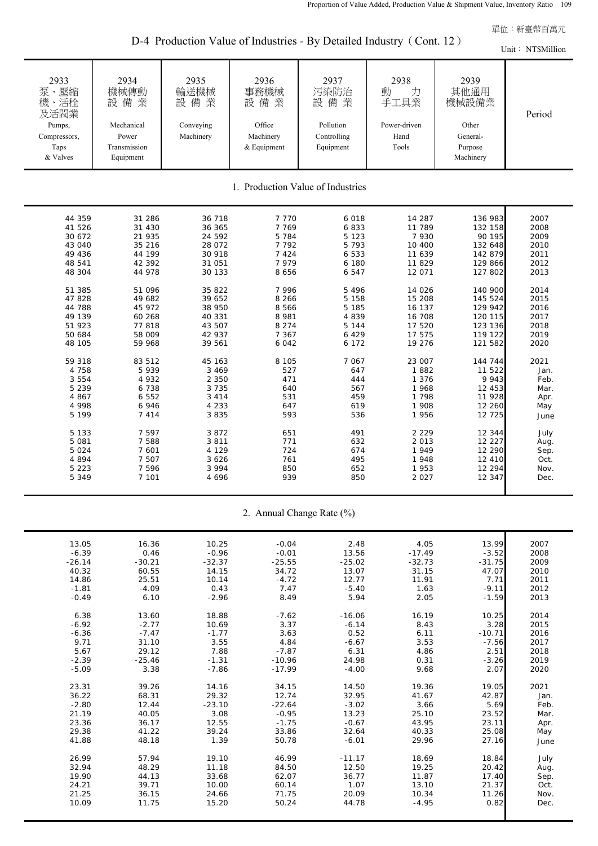D-4 Production Value of Industries - By Detailed Industry (Cont. 12)

|                                                                                                                                          |                                                                                                                                         |                                                                                                                                          | $\tau$ Troudellon value of muustries - Dy Delancu muustry                                                                                        |                                                                                                                                                |                                                                                                                                            |                                                                                                                                                       | Unit: NT\$Million                                                                                            |
|------------------------------------------------------------------------------------------------------------------------------------------|-----------------------------------------------------------------------------------------------------------------------------------------|------------------------------------------------------------------------------------------------------------------------------------------|--------------------------------------------------------------------------------------------------------------------------------------------------|------------------------------------------------------------------------------------------------------------------------------------------------|--------------------------------------------------------------------------------------------------------------------------------------------|-------------------------------------------------------------------------------------------------------------------------------------------------------|--------------------------------------------------------------------------------------------------------------|
| 2933<br>泵、壓縮<br>機、活栓<br>及活閥業<br>Pumps,<br>Compressors,<br>Taps<br>& Valves                                                               | 2934<br>機械傳動<br>設備業<br>Mechanical<br>Power<br>Transmission<br>Equipment                                                                 | 2935<br>輸送機械<br>設備業<br>Conveying<br>Machinery                                                                                            | 2936<br>事務機械<br>設備業<br>Office<br>Machinery<br>& Equipment                                                                                        | 2937<br>污染防治<br>設備業<br>Pollution<br>Controlling<br>Equipment                                                                                   | 2938<br>動<br>力<br>手工具業<br>Power-driven<br>Hand<br>Tools                                                                                    | 2939<br>其他通用<br>機械設備業<br>Other<br>General-<br>Purpose<br>Machinery                                                                                    | Period                                                                                                       |
|                                                                                                                                          |                                                                                                                                         |                                                                                                                                          |                                                                                                                                                  | 1. Production Value of Industries                                                                                                              |                                                                                                                                            |                                                                                                                                                       |                                                                                                              |
| 44 359<br>41 526<br>30 672<br>43 040<br>49 436<br>48 541<br>48 304<br>51 385<br>47 828<br>44 788<br>49 139<br>51 923<br>50 684<br>48 105 | 31 286<br>31 430<br>21 935<br>35 216<br>44 199<br>42 392<br>44 978<br>51 096<br>49 682<br>45 972<br>60 268<br>77818<br>58 009<br>59 968 | 36 718<br>36 365<br>24 592<br>28 072<br>30 918<br>31 051<br>30 133<br>35 822<br>39 652<br>38 950<br>40 331<br>43 507<br>42 937<br>39 561 | 7 7 7 0<br>7 7 6 9<br>5 7 8 4<br>7 7 9 2<br>7 4 2 4<br>7979<br>8 6 5 6<br>7996<br>8 2 6 6<br>8 5 6 6<br>8 9 8 1<br>8 2 7 4<br>7 3 6 7<br>6 0 4 2 | 6 0 18<br>6833<br>5 1 2 3<br>5 7 9 3<br>6 5 3 3<br>6 180<br>6 5 4 7<br>5 4 9 6<br>5 1 5 8<br>5 1 8 5<br>4 8 3 9<br>5 1 4 4<br>6 4 2 9<br>6 172 | 14 287<br>11 789<br>7 9 3 0<br>10 400<br>11 639<br>11 829<br>12 071<br>14 0 26<br>15 208<br>16 137<br>16 708<br>17 520<br>17 575<br>19 276 | 136 983<br>132 158<br>90 195<br>132 648<br>142 879<br>129 866<br>127 802<br>140 900<br>145 524<br>129 942<br>120 115<br>123 136<br>119 122<br>121 582 | 2007<br>2008<br>2009<br>2010<br>2011<br>2012<br>2013<br>2014<br>2015<br>2016<br>2017<br>2018<br>2019<br>2020 |
| 59 318<br>4 7 5 8<br>3 5 5 4<br>5 2 3 9<br>4 8 6 7<br>4 9 9 8<br>5 1 9 9<br>5 1 3 3<br>5 0 8 1<br>5 0 2 4<br>4894<br>5 2 2 3<br>5 3 4 9  | 83 512<br>5939<br>4 9 3 2<br>6738<br>6 5 5 2<br>6946<br>7 4 1 4<br>7 5 9 7<br>7 5 8 8<br>7 601<br>7 507<br>7 5 9 6<br>7 101             | 45 163<br>3 4 6 9<br>2 3 5 0<br>3 7 3 5<br>3 4 1 4<br>4 2 3 3<br>3 8 3 5<br>3872<br>3 8 1 1<br>4 1 2 9<br>3 6 2 6<br>3 9 9 4<br>4 6 9 6  | 8 1 0 5<br>527<br>471<br>640<br>531<br>647<br>593<br>651<br>771<br>724<br>761<br>850<br>939                                                      | 7 0 6 7<br>647<br>444<br>567<br>459<br>619<br>536<br>491<br>632<br>674<br>495<br>652<br>850                                                    | 23 007<br>1882<br>1 3 7 6<br>1968<br>1 7 9 8<br>1 908<br>1956<br>2 2 2 9<br>2 0 1 3<br>1949<br>1948<br>1953<br>2 0 2 7                     | 144 744<br>11 522<br>9943<br>12 453<br>11 928<br>12 260<br>12 7 25<br>12 344<br>12 227<br>12 290<br>12 410<br>12 294<br>12 347                        | 2021<br>Jan.<br>Feb.<br>Mar.<br>Apr.<br>May<br>June<br>July<br>Aug.<br>Sep.<br>Oct.<br>Nov.<br>Dec.          |

|  |  | 2. Annual Change Rate (%) |  |  |  |
|--|--|---------------------------|--|--|--|
|--|--|---------------------------|--|--|--|

| 13.05    | 16.36    | 10.25    | $-0.04$  | 2.48     | 4.05     | 13.99    | 2007 |
|----------|----------|----------|----------|----------|----------|----------|------|
| $-6.39$  | 0.46     | $-0.96$  | $-0.01$  | 13.56    | $-17.49$ | $-3.52$  | 2008 |
| $-26.14$ | $-30.21$ | $-32.37$ | $-25.55$ | $-25.02$ | $-32.73$ | $-31.75$ | 2009 |
| 40.32    | 60.55    | 14.15    | 34.72    | 13.07    | 31.15    | 47.07    | 2010 |
| 14.86    | 25.51    | 10.14    | $-4.72$  | 12.77    | 11.91    | 7.71     | 2011 |
| $-1.81$  | $-4.09$  | 0.43     | 7.47     | $-5.40$  | 1.63     | $-9.11$  | 2012 |
| $-0.49$  | 6.10     | $-2.96$  | 8.49     | 5.94     | 2.05     | $-1.59$  | 2013 |
| 6.38     | 13.60    | 18.88    | $-7.62$  | $-16.06$ | 16.19    | 10.25    | 2014 |
| $-6.92$  | $-2.77$  | 10.69    | 3.37     | $-6.14$  | 8.43     | 3.28     | 2015 |
| $-6.36$  | $-7.47$  | $-1.77$  | 3.63     | 0.52     | 6.11     | $-10.71$ | 2016 |
| 9.71     | 31.10    | 3.55     | 4.84     | $-6.67$  | 3.53     | $-7.56$  | 2017 |
| 5.67     | 29.12    | 7.88     | $-7.87$  | 6.31     | 4.86     | 2.51     | 2018 |
| $-2.39$  | $-25.46$ | $-1.31$  | $-10.96$ | 24.98    | 0.31     | $-3.26$  | 2019 |
|          |          |          |          |          |          |          |      |
| $-5.09$  | 3.38     | $-7.86$  | $-17.99$ | $-4.00$  | 9.68     | 2.07     | 2020 |
| 23.31    | 39.26    | 14.16    | 34.15    | 14.50    | 19.36    | 19.05    | 2021 |
| 36.22    | 68.31    | 29.32    | 12.74    | 32.95    | 41.67    | 42.87    | Jan. |
| $-2.80$  | 12.44    | $-23.10$ | $-22.64$ | $-3.02$  | 3.66     | 5.69     | Feb. |
| 21.19    | 40.05    | 3.08     | $-0.95$  | 13.23    | 25.10    | 23.52    | Mar. |
| 23.36    | 36.17    | 12.55    | $-1.75$  | $-0.67$  | 43.95    | 23.11    | Apr. |
| 29.38    | 41.22    | 39.24    | 33.86    | 32.64    | 40.33    | 25.08    | May  |
| 41.88    | 48.18    | 1.39     | 50.78    | $-6.01$  | 29.96    | 27.16    | June |
|          |          |          |          |          |          |          |      |
| 26.99    | 57.94    | 19.10    | 46.99    | $-11.17$ | 18.69    | 18.84    | July |
| 32.94    | 48.29    | 11.18    | 84.50    | 12.50    | 19.25    | 20.42    | Aug. |
| 19.90    | 44.13    | 33.68    | 62.07    | 36.77    | 11.87    | 17.40    | Sep. |
| 24.21    | 39.71    | 10.00    | 60.14    | 1.07     | 13.10    | 21.37    | Oct. |
| 21.25    | 36.15    | 24.66    | 71.75    | 20.09    | 10.34    | 11.26    | Nov. |
| 10.09    | 11.75    | 15.20    | 50.24    | 44.78    | $-4.95$  | 0.82     | Dec. |
|          |          |          |          |          |          |          |      |
|          |          |          |          |          |          |          |      |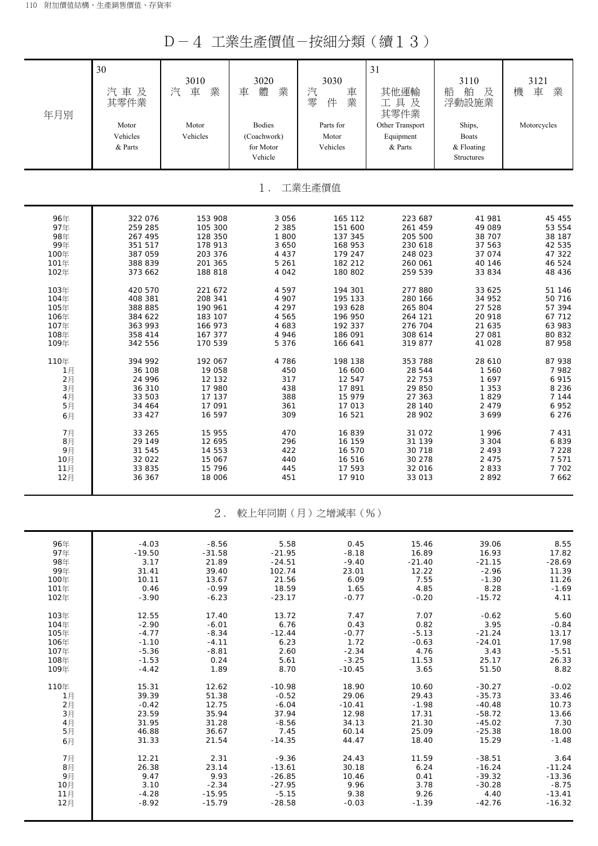D-4 工業生產價值-按細分類(續13)

| 年月別                         | 30<br>汽車及<br>其零件業<br>Motor<br>Vehicles<br>& Parts | 3010<br>汽<br>車<br>業<br>Motor<br>Vehicles | 3020<br>體<br>業<br>車<br><b>Bodies</b><br>(Coachwork)<br>for Motor<br>Vehicle | 3030<br>汽<br>車<br>零<br>業<br>件<br>Parts for<br>Motor<br>Vehicles | 31<br>其他運輸<br>工具及<br>其零件業<br>Other Transport<br>Equipment<br>& Parts | 3110<br>船<br>舶<br>及<br>浮動設施業<br>Ships,<br><b>Boats</b><br>& Floating<br>Structures | 3121<br>車<br>機<br>業<br>Motorcycles |  |
|-----------------------------|---------------------------------------------------|------------------------------------------|-----------------------------------------------------------------------------|-----------------------------------------------------------------|----------------------------------------------------------------------|------------------------------------------------------------------------------------|------------------------------------|--|
|                             |                                                   |                                          | $1$ .                                                                       | 工業生產價值                                                          |                                                                      |                                                                                    |                                    |  |
| 96年                         | 322 076                                           | 153 908                                  | 3 0 5 6                                                                     | 165 112                                                         | 223 687                                                              | 41 981                                                                             | 45 455                             |  |
| 97年                         | 259 285                                           | 105 300                                  | 2 3 8 5                                                                     | 151 600                                                         | 261 459                                                              | 49 089                                                                             | 53 554                             |  |
| 98年                         | 267 495                                           | 128 350                                  | 1800                                                                        | 137 345                                                         | 205 500                                                              | 38 707                                                                             | 38 187                             |  |
| 99年                         | 351 517                                           | 178 913                                  | 3 6 5 0                                                                     | 168 953                                                         | 230 618                                                              | 37 563                                                                             | 42 535                             |  |
| 100年                        | 387 059                                           | 203 376                                  | 4 4 3 7                                                                     | 179 247                                                         | 248 023                                                              | 37 074                                                                             | 47 322                             |  |
| 101年                        | 388 839                                           | 201 365                                  | 5 2 6 1                                                                     | 182 212                                                         | 260 061                                                              | 40 146                                                                             | 46 524                             |  |
| 102年                        | 373 662                                           | 188 818                                  | 4 0 4 2                                                                     | 180 802                                                         | 259 539                                                              | 33 834                                                                             | 48 436                             |  |
| 103年                        | 420 570                                           | 221 672                                  | 4597                                                                        | 194 301                                                         | 277 880                                                              | 33 625                                                                             | 51 146                             |  |
| 104年                        | 408 381                                           | 208 341                                  | 4 907                                                                       | 195 133                                                         | 280 166                                                              | 34 952                                                                             | 50 716                             |  |
| 105年                        | 388 885                                           | 190 961                                  | 4 2 9 7                                                                     | 193 628                                                         | 265 804                                                              | 27 528                                                                             | 57 394                             |  |
| 106年                        | 384 622                                           | 183 107                                  | 4 5 6 5                                                                     | 196 950                                                         | 264 121                                                              | 20 918                                                                             | 67 712                             |  |
| 107年                        | 363 993                                           | 166 973                                  | 4 683                                                                       | 192 337                                                         | 276 704                                                              | 21 635                                                                             | 63 983                             |  |
| 108年                        | 358 414                                           | 167 377                                  | 4 9 4 6                                                                     | 186 091                                                         | 308 614                                                              | 27 081                                                                             | 80 832                             |  |
| 109年                        | 342 556                                           | 170 539                                  | 5 3 7 6                                                                     | 166 641                                                         | 319877                                                               | 41 028                                                                             | 87 958                             |  |
| 110年                        | 394 992                                           | 192 067                                  | 4 7 8 6                                                                     | 198 138                                                         | 353 788                                                              | 28 610                                                                             | 87 938                             |  |
| 1月                          | 36 108                                            | 19 058                                   | 450                                                                         | 16 600                                                          | 28 544                                                               | 1 560                                                                              | 7 982                              |  |
| 2月                          | 24 996                                            | 12 132                                   | 317                                                                         | 12 547                                                          | 22 753                                                               | 1 6 9 7                                                                            | 6 9 1 5                            |  |
| 3月                          | 36 310                                            | 17 980                                   | 438                                                                         | 17891                                                           | 29 850                                                               | 1 3 5 3                                                                            | 8 2 3 6                            |  |
| 4月                          | 33 503                                            | 17 137                                   | 388                                                                         | 15 979                                                          | 27 363                                                               | 1829                                                                               | 7 1 4 4                            |  |
| 5月                          | 34 464                                            | 17 091                                   | 361                                                                         | 17 013                                                          | 28 140                                                               | 2 4 7 9                                                                            | 6 9 5 2                            |  |
| 6月                          | 33 427                                            | 16 597                                   | 309                                                                         | 16 521                                                          | 28 902                                                               | 3699                                                                               | 6 2 7 6                            |  |
| 7月                          | 33 265                                            | 15 955                                   | 470                                                                         | 16839                                                           | 31 072                                                               | 1 9 9 6                                                                            | 7 4 3 1                            |  |
| 8月                          | 29 149                                            | 12 695                                   | 296                                                                         | 16 159                                                          | 31 139                                                               | 3 3 0 4                                                                            | 6839                               |  |
| 9月                          | 31 545                                            | 14 553                                   | 422                                                                         | 16 570                                                          | 30 718                                                               | 2 4 9 3                                                                            | 7 2 2 8                            |  |
| 10月                         | 32 022                                            | 15 067                                   | 440                                                                         | 16 516                                                          | 30 278                                                               | 2 4 7 5                                                                            | 7 5 7 1                            |  |
| 11月                         | 33 835                                            | 15 796                                   | 445                                                                         | 17 593                                                          | 32 016                                                               | 2833                                                                               | 7 702                              |  |
| 12月                         | 36 367                                            | 18 006                                   | 451                                                                         | 17 910                                                          | 33 013                                                               | 2892                                                                               | 7 6 6 2                            |  |
| $2$ .<br>較上年同期 (月) 之增減率 (%) |                                                   |                                          |                                                                             |                                                                 |                                                                      |                                                                                    |                                    |  |
| 96年                         | $-4.03$                                           | $-8.56$                                  | 5.58                                                                        | 0.45                                                            | 15.46                                                                | 39.06                                                                              | 8.55                               |  |
| 97年                         | $-19.50$                                          | $-31.58$                                 | $-21.95$                                                                    | $-8.18$                                                         | 16.89                                                                | 16.93                                                                              | 17.82                              |  |
| 98年                         | 3.17                                              | 21.89                                    | $-24.51$                                                                    | $-9.40$                                                         | $-21.40$                                                             | $-21.15$                                                                           | $-28.69$                           |  |
| 99年                         | 31.41                                             | 39.40                                    | 102.74                                                                      | 23.01                                                           | 12.22                                                                | $-2.96$                                                                            | 11.39                              |  |
| 100年                        | 10.11                                             | 13.67                                    | 21.56                                                                       | 6.09                                                            | 7.55                                                                 | $-1.30$                                                                            | 11.26                              |  |
| 101年                        | 0.46                                              | $-0.99$                                  | 18.59                                                                       | 1.65                                                            | 4.85                                                                 | 8.28                                                                               | $-1.69$                            |  |
| 102年                        | $-3.90$                                           | $-6.23$                                  | $-23.17$                                                                    | $-0.77$                                                         | $-0.20$                                                              | $-15.72$                                                                           | 4.11                               |  |
| 103年                        | 12.55                                             | 17.40                                    | 13.72                                                                       | 7.47                                                            | 7.07                                                                 | $-0.62$                                                                            | 5.60                               |  |
| 104年                        | $-2.90$                                           | $-6.01$                                  | 6.76                                                                        | 0.43                                                            | 0.82                                                                 | 3.95                                                                               | $-0.84$                            |  |
| 105年                        | $-4.77$                                           | $-8.34$                                  | $-12.44$                                                                    | $-0.77$                                                         | $-5.13$                                                              | $-21.24$                                                                           | 13.17                              |  |
| 106年                        | $-1.10$                                           | $-4.11$                                  | 6.23                                                                        | 1.72                                                            | $-0.63$                                                              | $-24.01$                                                                           | 17.98                              |  |
| 107年                        | $-5.36$                                           | $-8.81$                                  | 2.60                                                                        | $-2.34$                                                         | 4.76                                                                 | 3.43                                                                               | $-5.51$                            |  |
| 108年                        | $-1.53$                                           | 0.24                                     | 5.61                                                                        | $-3.25$                                                         | 11.53                                                                | 25.17                                                                              | 26.33                              |  |
| 109年                        | $-4.42$                                           | 1.89                                     | 8.70                                                                        | $-10.45$                                                        | 3.65                                                                 | 51.50                                                                              | 8.82                               |  |
| 110年                        | 15.31                                             | 12.62                                    | $-10.98$                                                                    | 18.90                                                           | 10.60                                                                | $-30.27$                                                                           | $-0.02$                            |  |
| 1月                          | 39.39                                             | 51.38                                    | $-0.52$                                                                     | 29.06                                                           | 29.43                                                                | $-35.73$                                                                           | 33.46                              |  |
| 2月                          | $-0.42$                                           | 12.75                                    | $-6.04$                                                                     | $-10.41$                                                        | $-1.98$                                                              | $-40.48$                                                                           | 10.73                              |  |
| 3月                          | 23.59                                             | 35.94                                    | 37.94                                                                       | 12.98                                                           | 17.31                                                                | $-58.72$                                                                           | 13.66                              |  |
| 4月                          | 31.95                                             | 31.28                                    | $-8.56$                                                                     | 34.13                                                           | 21.30                                                                | $-45.02$                                                                           | 7.30                               |  |
| 5月                          | 46.88                                             | 36.67                                    | 7.45                                                                        | 60.14                                                           | 25.09                                                                | $-25.38$                                                                           | 18.00                              |  |
| 6月                          | 31.33                                             | 21.54                                    | $-14.35$                                                                    | 44.47                                                           | 18.40                                                                | 15.29                                                                              | $-1.48$                            |  |
| 7月                          | 12.21                                             | 2.31                                     | $-9.36$                                                                     | 24.43                                                           | 11.59                                                                | $-38.51$                                                                           | 3.64                               |  |
| 8月                          | 26.38                                             | 23.14                                    | $-13.61$                                                                    | 30.18                                                           | 6.24                                                                 | $-16.24$                                                                           | $-11.24$                           |  |
| 9月                          | 9.47                                              | 9.93                                     | $-26.85$                                                                    | 10.46                                                           | 0.41                                                                 | $-39.32$                                                                           | $-13.36$                           |  |
| 10月                         | 3.10                                              | $-2.34$                                  | $-27.95$                                                                    | 9.96                                                            | 3.78                                                                 | $-30.28$                                                                           | $-8.75$                            |  |
| 11月                         | $-4.28$                                           | $-15.95$                                 | $-5.15$                                                                     | 9.38                                                            | 9.26                                                                 | 4.40                                                                               | $-13.41$                           |  |
| 12月                         | $-8.92$                                           | $-15.79$                                 | $-28.58$                                                                    | $-0.03$                                                         | $-1.39$                                                              | $-42.76$                                                                           | $-16.32$                           |  |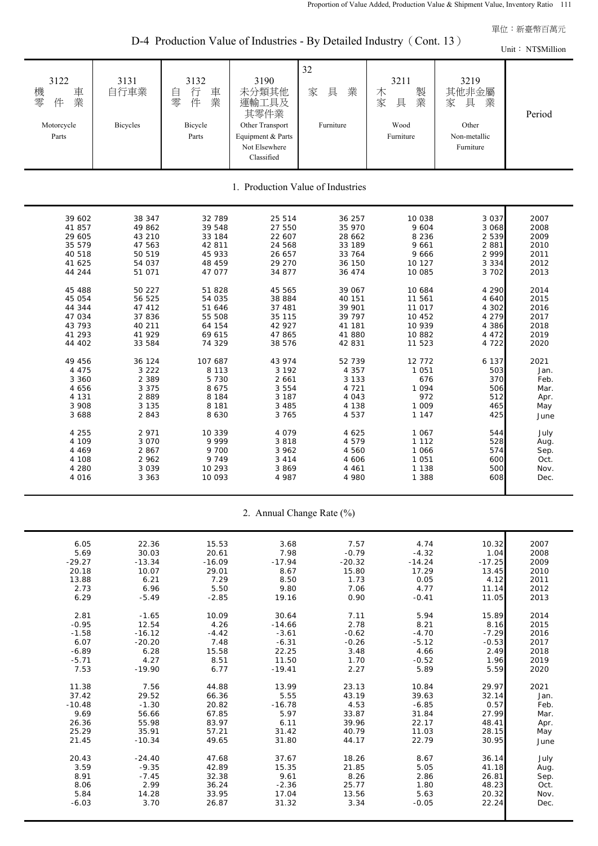D-4 Production Value of Industries - By Detailed Industry (Cont. 13)

|                                                  |                          | $\tau$ i routelion value of mutstries $\tau$ by belance mutstry (Com. 197) |                                                                                                       |                                   |                                                    |                                                                    | Unit: NT\$Million |
|--------------------------------------------------|--------------------------|----------------------------------------------------------------------------|-------------------------------------------------------------------------------------------------------|-----------------------------------|----------------------------------------------------|--------------------------------------------------------------------|-------------------|
| 3122<br>機<br>車業<br>零<br>件<br>Motorcycle<br>Parts | 3131<br>自行車業<br>Bicycles | 3132<br>行<br>自<br>車<br>業<br>零<br>件<br>Bicycle<br>Parts                     | 3190<br>未分類其他<br>運輸工具及<br>其零件業<br>Other Transport<br>Equipment & Parts<br>Not Elsewhere<br>Classified | 32<br>具<br>業<br>家<br>Furniture    | 3211<br>製<br>木<br>業<br>家<br>具<br>Wood<br>Furniture | 3219<br>其他非金屬<br>家<br>具<br>業<br>Other<br>Non-metallic<br>Furniture | Period            |
|                                                  |                          |                                                                            |                                                                                                       | 1. Production Value of Industries |                                                    |                                                                    |                   |
| 39 602                                           | 38 347                   | 32 789                                                                     | 25 514                                                                                                | 36 257                            | 10 038                                             | 3 0 3 7                                                            | 2007              |
| 41 857                                           | 49 862                   | 39 548                                                                     | 27 550                                                                                                | 35 970                            | 9 604                                              | 3 0 6 8                                                            | 2008              |
| 29 605                                           | 43 210                   | 33 184                                                                     | 22 607                                                                                                | 28 662                            | 8 2 3 6                                            | 2 5 3 9                                                            | 2009              |
| 35 579                                           | 47 563                   | 42 811                                                                     | 24 568                                                                                                | 33 189                            | 9 6 6 1                                            | 2881                                                               | 2010              |
| 40 518                                           | 50 519                   | 45 933                                                                     | 26 657                                                                                                | 33 764                            | 9 6 6 6                                            | 2 9 9 9                                                            | 2011              |
| 41 625                                           | 54 037                   | 48 459                                                                     | 29 270                                                                                                | 36 150                            | 10 127                                             | 3 3 3 4                                                            | 2012              |
| 44 244                                           | 51 071                   | 47 077                                                                     | 34 877                                                                                                | 36 474                            | 10 085                                             | 3 7 0 2                                                            | 2013              |
| 45 488                                           | 50 227                   | 51 828                                                                     | 45 565                                                                                                | 39 067                            | 10 684                                             | 4 2 9 0                                                            | 2014              |
| 45 054                                           | 56 525                   | 54 035                                                                     | 38 884                                                                                                | 40 151                            | 11 561                                             | 4 640                                                              | 2015              |
| 44 344                                           | 47 412                   | 51 646                                                                     | 37 481                                                                                                | 39 901                            | 11 017                                             | 4 3 0 2                                                            | 2016              |
| 47 034                                           | 37 836                   | 55 508                                                                     | 35 115                                                                                                | 39 797                            | 10 452                                             | 4 2 7 9                                                            | 2017              |
| 43 793                                           | 40 211                   | 64 154                                                                     | 42 927                                                                                                | 41 181                            | 10 939                                             | 4 3 8 6                                                            | 2018              |
| 41 293                                           | 41 929                   | 69 615                                                                     | 47 865                                                                                                | 41 880                            | 10 882                                             | 4 4 7 2                                                            | 2019              |
| 44 402                                           | 33 584                   | 74 329                                                                     | 38 576                                                                                                | 42 831                            | 11 523                                             | 4 7 2 2                                                            | 2020              |
| 49 456                                           | 36 124                   | 107 687                                                                    | 43 974                                                                                                | 52 739                            | 12 772                                             | 6 1 3 7                                                            | 2021              |
| 4 4 7 5                                          | 3 2 2 2                  | 8 1 1 3                                                                    | 3 1 9 2                                                                                               | 4 3 5 7                           | 1 0 5 1                                            | 503                                                                | Jan.              |
| 3 3 6 0                                          | 2 3 8 9                  | 5 7 3 0                                                                    | 2 6 6 1                                                                                               | 3 1 3 3                           | 676                                                | 370                                                                | Feb.              |
| 4 6 5 6                                          | 3 3 7 5                  | 8 6 7 5                                                                    | 3 5 5 4                                                                                               | 4 7 2 1                           | 1 0 9 4                                            | 506                                                                | Mar.              |
| 4 1 3 1                                          | 2889                     | 8 1 8 4                                                                    | 3 1 8 7                                                                                               | 4 0 4 3                           | 972                                                | 512                                                                | Apr.              |
| 3 9 0 8                                          | 3 1 3 5                  | 8 1 8 1                                                                    | 3 4 8 5                                                                                               | 4 1 3 8                           | 1 0 0 9                                            | 465                                                                | May               |
| 3 6 8 8                                          | 2843                     | 8 6 3 0                                                                    | 3 7 6 5                                                                                               | 4 5 3 7                           | 1 1 4 7                                            | 425                                                                | June              |
| 4 2 5 5                                          | 2 9 7 1                  | 10 339                                                                     | 4 0 7 9                                                                                               | 4 6 2 5                           | 1 0 6 7                                            | 544                                                                | July              |
| 4 109                                            | 3 0 7 0                  | 9 9 9 9                                                                    | 3818                                                                                                  | 4579                              | 1 1 1 2                                            | 528                                                                | Aug.              |
| 4 4 6 9                                          | 2 8 6 7                  | 9 700                                                                      | 3 962                                                                                                 | 4 560                             | 1 0 6 6                                            | 574                                                                | Sep.              |
| 4 108                                            | 2 9 6 2                  | 9 7 4 9                                                                    | 3 4 1 4                                                                                               | 4 606                             | 1 0 5 1                                            | 600                                                                | Oct.              |
| 4 2 8 0                                          | 3 0 3 9                  | 10 293                                                                     | 3869                                                                                                  | 4 4 6 1                           | 1 1 3 8                                            | 500                                                                | Nov.              |
| 4 0 1 6                                          | 3 3 6 3                  | 10 093                                                                     | 4 987                                                                                                 | 4 980                             | 1 3 8 8                                            | 608                                                                | Dec.              |

2. Annual Change Rate (%)

| 6.05     | 22.36    | 15.53    | 3.68     | 7.57     | 4.74     | 10.32    | 2007 |
|----------|----------|----------|----------|----------|----------|----------|------|
| 5.69     | 30.03    | 20.61    | 7.98     | $-0.79$  | $-4.32$  | 1.04     | 2008 |
| $-29.27$ | $-13.34$ | $-16.09$ | $-17.94$ | $-20.32$ | $-14.24$ | $-17.25$ | 2009 |
| 20.18    | 10.07    | 29.01    | 8.67     | 15.80    | 17.29    | 13.45    | 2010 |
| 13.88    | 6.21     | 7.29     | 8.50     | 1.73     | 0.05     | 4.12     | 2011 |
| 2.73     | 6.96     | 5.50     | 9.80     | 7.06     | 4.77     | 11.14    | 2012 |
| 6.29     | $-5.49$  | $-2.85$  | 19.16    | 0.90     | $-0.41$  | 11.05    | 2013 |
|          |          |          |          |          |          |          |      |
| 2.81     | $-1.65$  | 10.09    | 30.64    | 7.11     | 5.94     | 15.89    | 2014 |
| $-0.95$  | 12.54    | 4.26     | $-14.66$ | 2.78     | 8.21     | 8.16     | 2015 |
| $-1.58$  | $-16.12$ | $-4.42$  | $-3.61$  | $-0.62$  | $-4.70$  | $-7.29$  | 2016 |
| 6.07     | $-20.20$ | 7.48     | $-6.31$  | $-0.26$  | $-5.12$  | $-0.53$  | 2017 |
| $-6.89$  | 6.28     | 15.58    | 22.25    | 3.48     | 4.66     | 2.49     | 2018 |
| $-5.71$  | 4.27     | 8.51     | 11.50    | 1.70     | $-0.52$  | 1.96     | 2019 |
| 7.53     | $-19.90$ | 6.77     | $-19.41$ | 2.27     | 5.89     | 5.59     | 2020 |
|          |          |          |          |          |          |          |      |
| 11.38    | 7.56     | 44.88    | 13.99    | 23.13    | 10.84    | 29.97    | 2021 |
| 37.42    | 29.52    | 66.36    | 5.55     | 43.19    | 39.63    | 32.14    | Jan. |
| $-10.48$ | $-1.30$  | 20.82    | $-16.78$ | 4.53     | $-6.85$  | 0.57     | Feb. |
| 9.69     | 56.66    | 67.85    | 5.97     | 33.87    | 31.84    | 27.99    | Mar. |
| 26.36    | 55.98    | 83.97    | 6.11     | 39.96    | 22.17    | 48.41    | Apr. |
| 25.29    | 35.91    | 57.21    | 31.42    | 40.79    | 11.03    | 28.15    | May  |
| 21.45    | $-10.34$ | 49.65    | 31.80    | 44.17    | 22.79    | 30.95    | June |
|          |          |          |          |          |          |          |      |
| 20.43    | $-24.40$ | 47.68    | 37.67    | 18.26    | 8.67     | 36.14    | July |
| 3.59     | $-9.35$  | 42.89    | 15.35    | 21.85    | 5.05     | 41.18    | Aug. |
| 8.91     | $-7.45$  | 32.38    | 9.61     | 8.26     | 2.86     | 26.81    | Sep. |
| 8.06     | 2.99     | 36.24    | $-2.36$  | 25.77    | 1.80     | 48.23    | Oct. |
| 5.84     | 14.28    | 33.95    | 17.04    | 13.56    | 5.63     | 20.32    | Nov. |
| $-6.03$  | 3.70     | 26.87    | 31.32    | 3.34     | $-0.05$  | 22.24    | Dec. |
|          |          |          |          |          |          |          |      |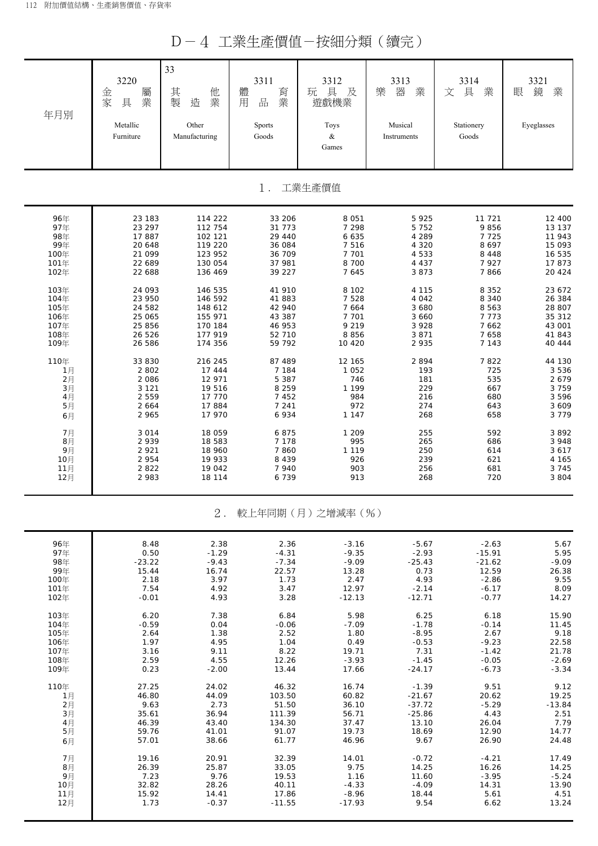D-4 工業生產價值-按細分類(續完)

| 年月別                                 | 3220<br>金<br>屬<br>家<br>業<br>具<br>Metallic<br>Furniture   | 33<br>其製<br>他<br>造<br>業<br>Other<br>Manufacturing | 3311<br>體<br>育<br>業<br>用<br>品<br>Sports<br>Goods | 3312<br>具<br>及<br>玩<br>遊戲機業<br>Toys<br>&<br>Games                                             | 3313<br>器<br>樂<br>業<br>Musical<br>Instruments | 3314<br>文<br>具<br>業<br>Stationery<br>Goods | 3321<br>鏡<br>業<br>眼<br>Eyeglasses                         |  |
|-------------------------------------|----------------------------------------------------------|---------------------------------------------------|--------------------------------------------------|-----------------------------------------------------------------------------------------------|-----------------------------------------------|--------------------------------------------|-----------------------------------------------------------|--|
|                                     |                                                          |                                                   | $1$ .                                            | 工業生產價值                                                                                        |                                               |                                            |                                                           |  |
| 96年                                 | 23 183                                                   | 114 222                                           | 33 206                                           | 8 0 5 1                                                                                       | 5 9 2 5                                       | 11 721                                     | 12 400                                                    |  |
| 97年                                 | 23 297                                                   | 112 754                                           | 31 773                                           | 7 2 9 8                                                                                       | 5 7 5 2                                       | 9856                                       | 13 137                                                    |  |
| 98年                                 | 17887                                                    | 102 121                                           | 29 440                                           | 6 6 3 5                                                                                       | 4 2 8 9                                       | 7725                                       | 11 943                                                    |  |
| 99年                                 | 20 648                                                   | 119 220                                           | 36 084                                           | 7 5 1 6                                                                                       | 4 3 2 0                                       | 8697                                       | 15 093                                                    |  |
| 100年                                | 21 099                                                   | 123 952                                           | 36 709                                           | 7 7 0 1                                                                                       | 4 5 3 3                                       | 8 4 4 8                                    | 16 535                                                    |  |
| 101年                                | 22 689                                                   | 130 054                                           | 37 981                                           | 8 700                                                                                         | 4 4 3 7                                       | 7927                                       | 17873                                                     |  |
| 102年                                | 22 688                                                   | 136 469                                           | 39 227                                           | 7 645                                                                                         | 3873                                          | 7866                                       | 20 4 24                                                   |  |
| 103年                                | 24 093                                                   | 146 535                                           | 41 910                                           | 8 1 0 2                                                                                       | 4 1 1 5                                       | 8 3 5 2                                    | 23 672                                                    |  |
| 104年                                | 23 950                                                   | 146 592                                           | 41 883                                           | 7 5 2 8                                                                                       | 4 0 4 2                                       | 8 3 4 0                                    | 26 384                                                    |  |
| 105年                                | 24 582                                                   | 148 612                                           | 42 940                                           | 7 6 6 4                                                                                       | 3 680                                         | 8 5 6 3                                    | 28 807                                                    |  |
| 106年                                | 25 065                                                   | 155 971                                           | 43 387                                           | 7 701                                                                                         | 3 6 6 0                                       | 7773                                       | 35 312                                                    |  |
| 107年                                | 25 856                                                   | 170 184                                           | 46 953                                           | 9 2 1 9                                                                                       | 3 9 2 8                                       | 7 6 6 2                                    | 43 001                                                    |  |
| 108年                                | 26 526                                                   | 177 919                                           | 52 710                                           | 8 8 5 6                                                                                       | 3 8 7 1                                       | 7 6 5 8                                    | 41 843                                                    |  |
| 109年                                | 26 586                                                   | 174 356                                           | 59 792                                           | 10 4 20                                                                                       | 2 9 3 5                                       | 7 1 4 3                                    | 40 444                                                    |  |
| 110年                                | 33 830                                                   | 216 245                                           | 87 489                                           | 12 165                                                                                        | 2 8 9 4                                       | 7822                                       | 44 130                                                    |  |
| 1月                                  | 2 8 0 2                                                  | 17 444                                            | 7 1 8 4                                          | 1 0 5 2                                                                                       | 193                                           | 725                                        | 3 5 3 6                                                   |  |
| 2月                                  | 2 0 8 6                                                  | 12 971                                            | 5 3 8 7                                          | 746                                                                                           | 181                                           | 535                                        | 2679                                                      |  |
| 3月                                  | 3 1 2 1                                                  | 19 516                                            | 8 2 5 9                                          | 1 1 9 9                                                                                       | 229                                           | 667                                        | 3759                                                      |  |
| 4月                                  | 2 5 5 9                                                  | 17 770                                            | 7 4 5 2                                          | 984                                                                                           | 216                                           | 680                                        | 3 5 9 6                                                   |  |
| 5月                                  | 2 6 6 4                                                  | 17884                                             | 7 241                                            | 972                                                                                           | 274                                           | 643                                        | 3 609                                                     |  |
| 6月                                  | 2 9 6 5                                                  | 17 970                                            | 6934                                             | 1 1 4 7                                                                                       | 268                                           | 658                                        | 3 7 7 9                                                   |  |
| 7月<br>8月<br>9月<br>10月<br>11月<br>12月 | 3 0 1 4<br>2939<br>2 9 2 1<br>2 9 5 4<br>2822<br>2 9 8 3 |                                                   | 6875<br>18 960<br>19 042                         | 1 2 0 9<br>7 1 7 8<br>995<br>7860<br>1 1 1 9<br>8 4 3 9<br>926<br>7 940<br>903<br>6739<br>913 |                                               | 592<br>686<br>614<br>621<br>681<br>720     | 3892<br>3 9 4 8<br>3 6 1 7<br>4 165<br>3 7 4 5<br>3 8 0 4 |  |
| $2$ .<br>較上年同期(月)之增減率(%)            |                                                          |                                                   |                                                  |                                                                                               |                                               |                                            |                                                           |  |
| 96年                                 | 8.48                                                     | 2.38                                              | 2.36                                             | $-3.16$                                                                                       | $-5.67$                                       | $-2.63$                                    | 5.67                                                      |  |
| 97年                                 | 0.50                                                     | $-1.29$                                           | $-4.31$                                          | $-9.35$                                                                                       | $-2.93$                                       | $-15.91$                                   | 5.95                                                      |  |
| 98年                                 | $-23.22$                                                 | $-9.43$                                           | $-7.34$                                          | $-9.09$                                                                                       | $-25.43$                                      | $-21.62$                                   | $-9.09$                                                   |  |
| 99年                                 | 15.44                                                    | 16.74                                             | 22.57                                            | 13.28                                                                                         | 0.73                                          | 12.59                                      | 26.38                                                     |  |
| 100年                                | 2.18                                                     | 3.97                                              | 1.73                                             | 2.47                                                                                          | 4.93                                          | $-2.86$                                    | 9.55                                                      |  |
| 101年                                | 7.54                                                     | 4.92                                              | 3.47                                             | 12.97                                                                                         | $-2.14$                                       | $-6.17$                                    | 8.09                                                      |  |
| 102年                                | $-0.01$                                                  | 4.93                                              | 3.28                                             | $-12.13$                                                                                      | $-12.71$                                      | $-0.77$                                    | 14.27                                                     |  |
| 103年                                | 6.20                                                     | 7.38                                              | 6.84                                             | 5.98                                                                                          | 6.25                                          | 6.18                                       | 15.90                                                     |  |
| 104年                                | $-0.59$                                                  | 0.04                                              | $-0.06$                                          | $-7.09$                                                                                       | $-1.78$                                       | $-0.14$                                    | 11.45                                                     |  |
| 105年                                | 2.64                                                     | 1.38                                              | 2.52                                             | 1.80                                                                                          | $-8.95$                                       | 2.67                                       | 9.18                                                      |  |
| 106年                                | 1.97                                                     | 4.95                                              | 1.04                                             | 0.49                                                                                          | $-0.53$                                       | $-9.23$                                    | 22.58                                                     |  |
| 107年                                | 3.16                                                     | 9.11                                              | 8.22                                             | 19.71                                                                                         | 7.31                                          | $-1.42$                                    | 21.78                                                     |  |
| 108年                                | 2.59                                                     | 4.55                                              | 12.26                                            | $-3.93$                                                                                       | $-1.45$                                       | $-0.05$                                    | $-2.69$                                                   |  |
| 109年                                | 0.23                                                     | $-2.00$                                           | 13.44                                            | 17.66                                                                                         | $-24.17$                                      | $-6.73$                                    | $-3.34$                                                   |  |
| 110年                                | 27.25                                                    | 24.02                                             | 46.32                                            | 16.74                                                                                         | $-1.39$                                       | 9.51                                       | 9.12                                                      |  |
| 1月                                  | 46.80                                                    | 44.09                                             | 103.50                                           | 60.82                                                                                         | $-21.67$                                      | 20.62                                      | 19.25                                                     |  |
| 2月                                  | 9.63                                                     | 2.73                                              | 51.50                                            | 36.10                                                                                         | $-37.72$                                      | $-5.29$                                    | $-13.84$                                                  |  |
| 3月                                  | 35.61                                                    | 36.94                                             | 111.39                                           | 56.71                                                                                         | $-25.86$                                      | 4.43                                       | 2.51                                                      |  |
| 4月                                  | 46.39                                                    | 43.40                                             | 134.30                                           | 37.47                                                                                         | 13.10                                         | 26.04                                      | 7.79                                                      |  |
| 5月                                  | 59.76                                                    | 41.01                                             | 91.07                                            | 19.73                                                                                         | 18.69                                         | 12.90                                      | 14.77                                                     |  |
| 6月                                  | 57.01                                                    | 38.66                                             | 61.77                                            | 46.96                                                                                         | 9.67                                          | 26.90                                      | 24.48                                                     |  |
| 7月                                  | 19.16                                                    | 20.91                                             | 32.39                                            | 14.01                                                                                         | $-0.72$                                       | $-4.21$                                    | 17.49                                                     |  |
| 8月                                  | 26.39                                                    | 25.87                                             | 33.05                                            | 9.75                                                                                          | 14.25                                         | 16.26                                      | 14.25                                                     |  |
| 9月                                  | 7.23                                                     | 9.76                                              | 19.53                                            | 1.16                                                                                          | 11.60                                         | $-3.95$                                    | $-5.24$                                                   |  |
| 10月                                 | 32.82                                                    | 28.26                                             | 40.11                                            | $-4.33$                                                                                       | $-4.09$                                       | 14.31                                      | 13.90                                                     |  |
| 11月                                 | 15.92                                                    | 14.41                                             | 17.86                                            | $-8.96$                                                                                       | 18.44                                         | 5.61                                       | 4.51                                                      |  |
| 12月                                 | 1.73                                                     | $-0.37$                                           | $-11.55$                                         | $-17.93$                                                                                      | 9.54                                          | 6.62                                       | 13.24                                                     |  |